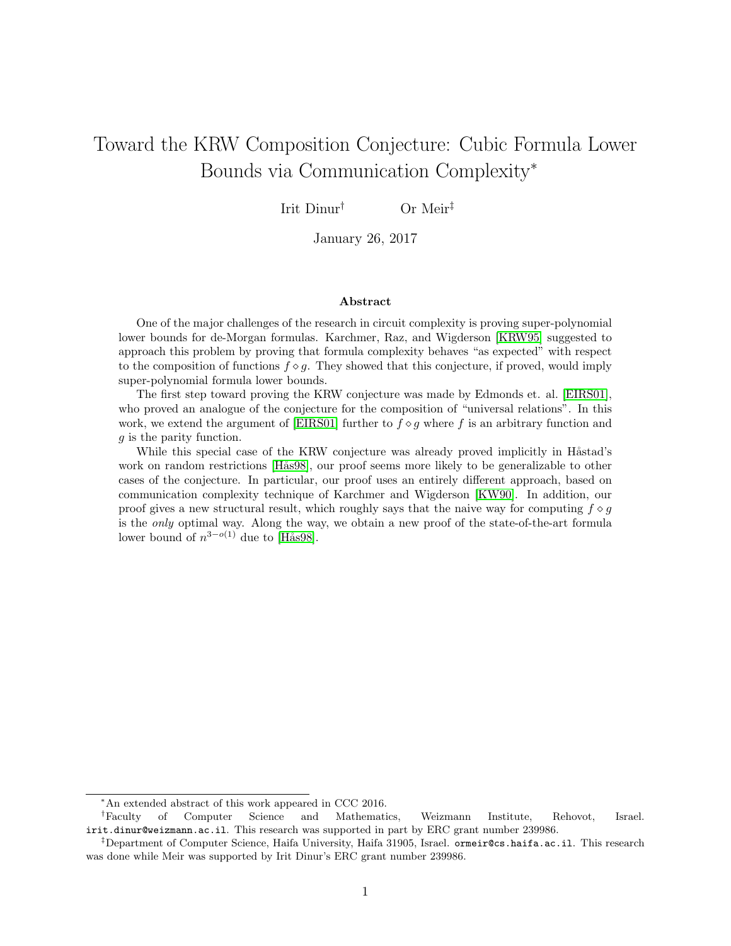# <span id="page-0-0"></span>Toward the KRW Composition Conjecture: Cubic Formula Lower Bounds via Communication Complexity<sup>∗</sup>

Irit Dinur† Or Meir‡

January 26, 2017

#### Abstract

One of the major challenges of the research in circuit complexity is proving super-polynomial lower bounds for de-Morgan formulas. Karchmer, Raz, and Wigderson [\[KRW95\]](#page-52-0) suggested to approach this problem by proving that formula complexity behaves "as expected" with respect to the composition of functions  $f \circ g$ . They showed that this conjecture, if proved, would imply super-polynomial formula lower bounds.

The first step toward proving the KRW conjecture was made by Edmonds et. al. [\[EIRS01\]](#page-51-0), who proved an analogue of the conjecture for the composition of "universal relations". In this work, we extend the argument of [\[EIRS01\]](#page-51-0) further to  $f \circ g$  where f is an arbitrary function and g is the parity function.

While this special case of the KRW conjecture was already proved implicitly in Håstad's work on random restrictions [Hås98], our proof seems more likely to be generalizable to other cases of the conjecture. In particular, our proof uses an entirely different approach, based on communication complexity technique of Karchmer and Wigderson [\[KW90\]](#page-52-1). In addition, our proof gives a new structural result, which roughly says that the naive way for computing  $f \circ q$ is the only optimal way. Along the way, we obtain a new proof of the state-of-the-art formula lower bound of  $n^{3-o(1)}$  due to [Hås98].

<sup>∗</sup>An extended abstract of this work appeared in CCC 2016.

<sup>†</sup>Faculty of Computer Science and Mathematics, Weizmann Institute, Rehovot, Israel. irit.dinur@weizmann.ac.il. This research was supported in part by ERC grant number 239986.

<sup>‡</sup>Department of Computer Science, Haifa University, Haifa 31905, Israel. ormeir@cs.haifa.ac.il. This research was done while Meir was supported by Irit Dinur's ERC grant number 239986.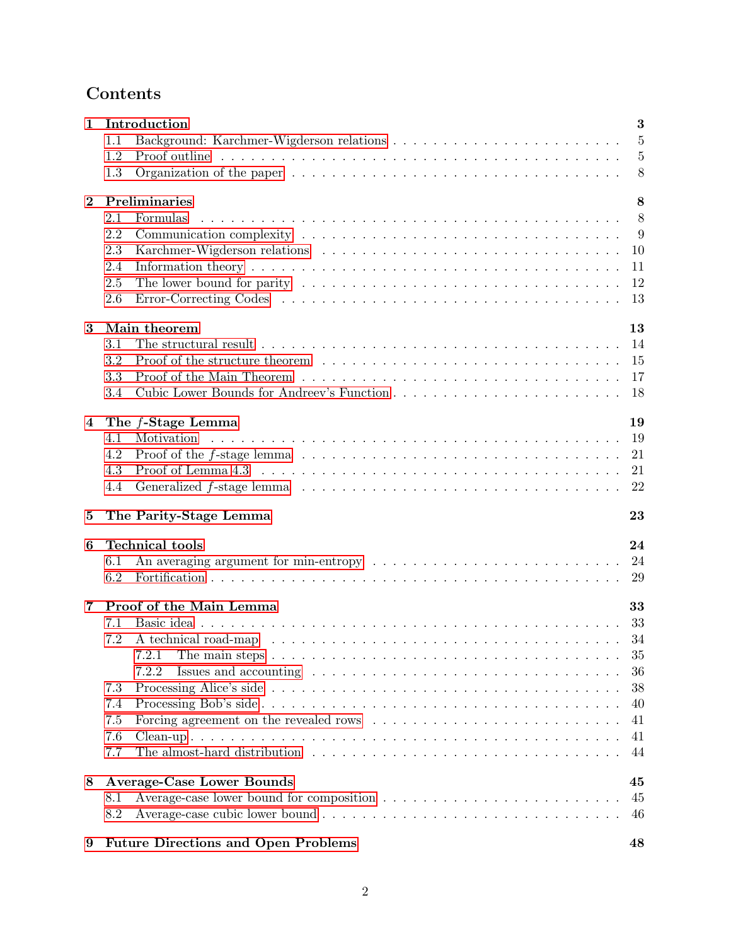# Contents

| 1              | Introduction                                                                                                                      |                |  |  |
|----------------|-----------------------------------------------------------------------------------------------------------------------------------|----------------|--|--|
|                | 1.1                                                                                                                               | $\overline{5}$ |  |  |
|                | 1.2                                                                                                                               | $\overline{5}$ |  |  |
|                | Organization of the paper $\dots \dots \dots \dots \dots \dots \dots \dots \dots \dots \dots \dots \dots \dots$<br>1.3            | 8              |  |  |
| $\bf{2}$       | Preliminaries                                                                                                                     | 8              |  |  |
|                | 2.1<br>Formulas                                                                                                                   | 8              |  |  |
|                | 2.2                                                                                                                               | 9              |  |  |
|                | 2.3                                                                                                                               | 10             |  |  |
|                | Information theory $\dots \dots \dots \dots \dots \dots \dots \dots \dots \dots \dots \dots \dots \dots \dots \dots \dots$<br>2.4 | 11             |  |  |
|                | 2.5                                                                                                                               | 12             |  |  |
|                | 2.6                                                                                                                               | 13             |  |  |
|                |                                                                                                                                   |                |  |  |
| 3              | Main theorem                                                                                                                      | 13             |  |  |
|                | The structural result $\ldots \ldots \ldots \ldots \ldots \ldots \ldots \ldots \ldots \ldots \ldots$<br>3.1                       | 14             |  |  |
|                | 3.2                                                                                                                               | 15             |  |  |
|                | 3.3                                                                                                                               | 17             |  |  |
|                | 3.4                                                                                                                               | 18             |  |  |
| $\overline{4}$ | The $f$ -Stage Lemma                                                                                                              | 19             |  |  |
|                | Motivation<br>4.1                                                                                                                 | 19             |  |  |
|                | Proof of the $f$ -stage lemma $\ldots \ldots \ldots \ldots \ldots \ldots \ldots \ldots \ldots \ldots \ldots$<br>4.2               | 21             |  |  |
|                | 4.3                                                                                                                               | 21             |  |  |
|                | 4.4                                                                                                                               | 22             |  |  |
| 5              | The Parity-Stage Lemma                                                                                                            | 23             |  |  |
|                |                                                                                                                                   |                |  |  |
| 6              | <b>Technical tools</b>                                                                                                            | 24             |  |  |
|                | 6.1                                                                                                                               | 24             |  |  |
|                | 6.2                                                                                                                               | 29             |  |  |
| 7              | Proof of the Main Lemma                                                                                                           | 33             |  |  |
|                | 7.1                                                                                                                               | 33             |  |  |
|                | 7.2                                                                                                                               | 34             |  |  |
|                | 7.2.1<br>The main steps $\ldots \ldots \ldots \ldots \ldots \ldots \ldots \ldots \ldots \ldots \ldots \ldots$                     | 35             |  |  |
|                | 7.2.2                                                                                                                             | 36             |  |  |
|                | 7.3                                                                                                                               | 38             |  |  |
|                | 7.4                                                                                                                               | 40             |  |  |
|                | 7.5                                                                                                                               | 41             |  |  |
|                | 7.6                                                                                                                               | 41             |  |  |
|                | 7.7                                                                                                                               | 44             |  |  |
| 8              | <b>Average-Case Lower Bounds</b><br>45                                                                                            |                |  |  |
|                | 8.1                                                                                                                               | 45             |  |  |
|                | 8.2                                                                                                                               | 46             |  |  |
|                |                                                                                                                                   |                |  |  |
| 9              | <b>Future Directions and Open Problems</b>                                                                                        | 48             |  |  |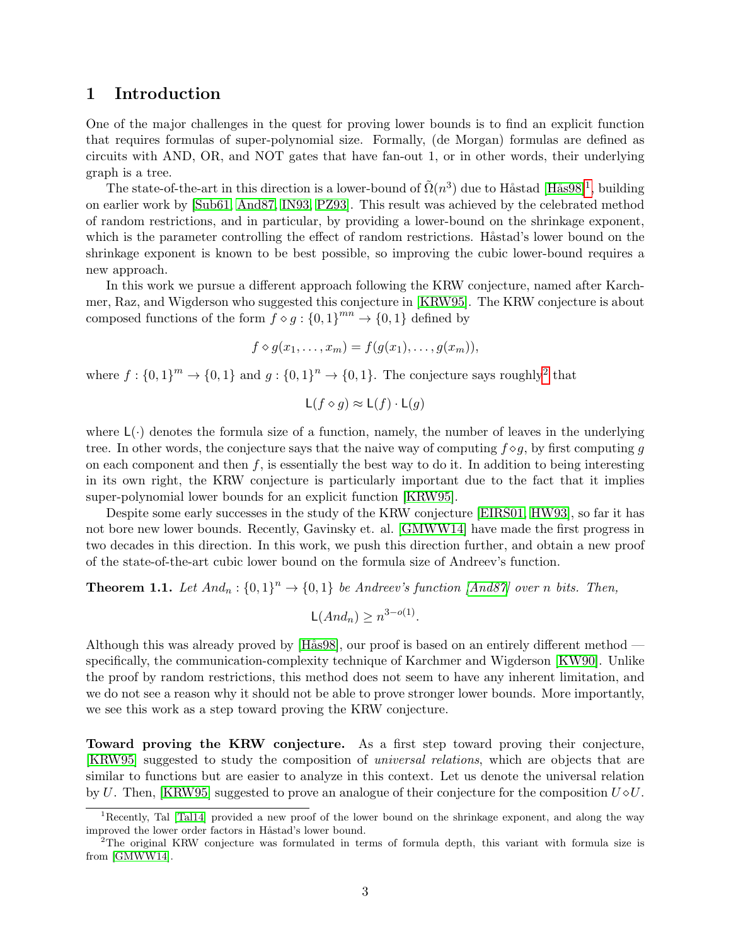# <span id="page-2-0"></span>1 Introduction

One of the major challenges in the quest for proving lower bounds is to find an explicit function that requires formulas of super-polynomial size. Formally, (de Morgan) formulas are defined as circuits with AND, OR, and NOT gates that have fan-out 1, or in other words, their underlying graph is a tree.

The state-of-the-art in this direction is a lower-bound of  $\tilde{\Omega}(n^3)$  due to Håstad [Hås98]<sup>[1](#page-2-1)</sup>, building on earlier work by [\[Sub61,](#page-53-0) [And87,](#page-51-2) [IN93,](#page-52-2) [PZ93\]](#page-52-3). This result was achieved by the celebrated method of random restrictions, and in particular, by providing a lower-bound on the shrinkage exponent, which is the parameter controlling the effect of random restrictions. Håstad's lower bound on the shrinkage exponent is known to be best possible, so improving the cubic lower-bound requires a new approach.

In this work we pursue a different approach following the KRW conjecture, named after Karchmer, Raz, and Wigderson who suggested this conjecture in [\[KRW95\]](#page-52-0). The KRW conjecture is about composed functions of the form  $f \circ g : \{0,1\}^{mn} \to \{0,1\}$  defined by

$$
f \diamond g(x_1,\ldots,x_m) = f(g(x_1),\ldots,g(x_m)),
$$

where  $f: \{0,1\}^m \to \{0,1\}$  and  $g: \{0,1\}^n \to \{0,1\}$ . The conjecture says roughly<sup>[2](#page-2-2)</sup> that

$$
L(f \diamond g) \approx L(f) \cdot L(g)
$$

where  $L(\cdot)$  denotes the formula size of a function, namely, the number of leaves in the underlying tree. In other words, the conjecture says that the naive way of computing  $f \diamond q$ , by first computing q on each component and then  $f$ , is essentially the best way to do it. In addition to being interesting in its own right, the KRW conjecture is particularly important due to the fact that it implies super-polynomial lower bounds for an explicit function [\[KRW95\]](#page-52-0).

Despite some early successes in the study of the KRW conjecture [\[EIRS01,](#page-51-0) [HW93\]](#page-51-3), so far it has not bore new lower bounds. Recently, Gavinsky et. al. [\[GMWW14\]](#page-51-4) have made the first progress in two decades in this direction. In this work, we push this direction further, and obtain a new proof of the state-of-the-art cubic lower bound on the formula size of Andreev's function.

<span id="page-2-3"></span>**Theorem 1.1.** Let  $And_n : \{0,1\}^n \to \{0,1\}$  be Andreev's function [\[And87\]](#page-51-2) over n bits. Then,

$$
\mathsf{L}(And_n) \ge n^{3-o(1)}.
$$

Although this was already proved by [Hås98], our proof is based on an entirely different method specifically, the communication-complexity technique of Karchmer and Wigderson [\[KW90\]](#page-52-1). Unlike the proof by random restrictions, this method does not seem to have any inherent limitation, and we do not see a reason why it should not be able to prove stronger lower bounds. More importantly, we see this work as a step toward proving the KRW conjecture.

<span id="page-2-4"></span>Toward proving the KRW conjecture. As a first step toward proving their conjecture, [\[KRW95\]](#page-52-0) suggested to study the composition of universal relations, which are objects that are similar to functions but are easier to analyze in this context. Let us denote the universal relation by U. Then, [\[KRW95\]](#page-52-0) suggested to prove an analogue of their conjecture for the composition  $U \circ U$ .

<span id="page-2-1"></span><sup>&</sup>lt;sup>1</sup>Recently, Tal [\[Tal14\]](#page-53-1) provided a new proof of the lower bound on the shrinkage exponent, and along the way improved the lower order factors in Håstad's lower bound.

<span id="page-2-2"></span><sup>&</sup>lt;sup>2</sup>The original KRW conjecture was formulated in terms of formula depth, this variant with formula size is from [\[GMWW14\]](#page-51-4).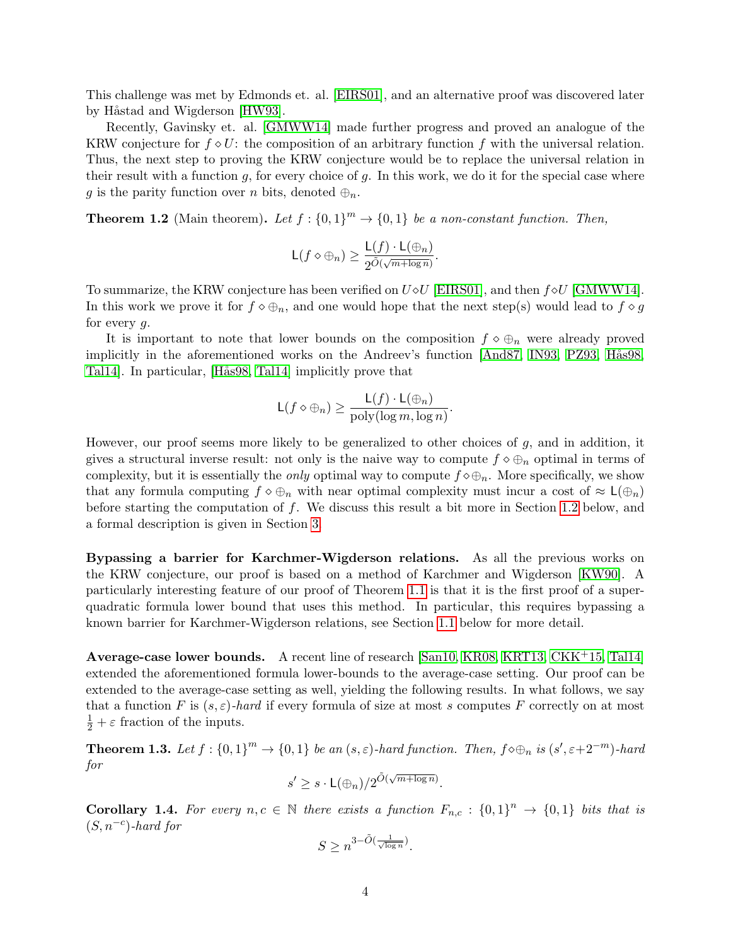This challenge was met by Edmonds et. al. [\[EIRS01\]](#page-51-0), and an alternative proof was discovered later by Håstad and Wigderson [\[HW93\]](#page-51-3).

Recently, Gavinsky et. al. [\[GMWW14\]](#page-51-4) made further progress and proved an analogue of the KRW conjecture for  $f \diamond U$ : the composition of an arbitrary function f with the universal relation. Thus, the next step to proving the KRW conjecture would be to replace the universal relation in their result with a function  $g$ , for every choice of  $g$ . In this work, we do it for the special case where g is the parity function over n bits, denoted  $\oplus_n$ .

<span id="page-3-0"></span>**Theorem 1.2** (Main theorem). Let  $f: \{0,1\}^m \to \{0,1\}$  be a non-constant function. Then,

$$
\mathsf{L}(f \diamond \oplus_n) \ge \frac{\mathsf{L}(f) \cdot \mathsf{L}(\oplus_n)}{2^{\tilde{O}(\sqrt{m + \log n})}}.
$$

To summarize, the KRW conjecture has been verified on  $U \diamond U$  [\[EIRS01\]](#page-51-0), and then  $f \diamond U$  [\[GMWW14\]](#page-51-4). In this work we prove it for  $f \circ \bigoplus_n$ , and one would hope that the next step(s) would lead to  $f \circ g$ for every g.

It is important to note that lower bounds on the composition  $f \circ \bigoplus_n$  were already proved implicitly in the aforementioned works on the Andreev's function [\[And87,](#page-51-2) [IN93,](#page-52-2) [PZ93,](#page-52-3) Hås98, [Tal14\]](#page-53-1). In particular, [Hås98, [Tal14\]](#page-53-1) implicitly prove that

$$
\mathsf{L}(f \diamond \oplus_n) \ge \frac{\mathsf{L}(f) \cdot \mathsf{L}(\oplus_n)}{\text{poly}(\log m, \log n)}.
$$

However, our proof seems more likely to be generalized to other choices of  $g$ , and in addition, it gives a structural inverse result: not only is the naive way to compute  $f \diamond \bigoplus_n$  optimal in terms of complexity, but it is essentially the *only* optimal way to compute  $f \diamond \oplus_n$ . More specifically, we show that any formula computing  $f \circ \bigoplus_n$  with near optimal complexity must incur a cost of  $\approx \mathsf{L}(\bigoplus_n)$ before starting the computation of  $f$ . We discuss this result a bit more in Section [1.2](#page-4-1) below, and a formal description is given in Section [3.](#page-12-1)

<span id="page-3-4"></span>Bypassing a barrier for Karchmer-Wigderson relations. As all the previous works on the KRW conjecture, our proof is based on a method of Karchmer and Wigderson [\[KW90\]](#page-52-1). A particularly interesting feature of our proof of Theorem [1.1](#page-2-3) is that it is the first proof of a superquadratic formula lower bound that uses this method. In particular, this requires bypassing a known barrier for Karchmer-Wigderson relations, see Section [1.1](#page-4-0) below for more detail.

<span id="page-3-3"></span>Average-case lower bounds. A recent line of research [\[San10,](#page-52-4) [KR08,](#page-52-5) [KRT13,](#page-52-6) [CKK](#page-51-5)+15, [Tal14\]](#page-53-1) extended the aforementioned formula lower-bounds to the average-case setting. Our proof can be extended to the average-case setting as well, yielding the following results. In what follows, we say that a function F is  $(s, \varepsilon)$ -hard if every formula of size at most s computes F correctly on at most  $\frac{1}{2} + \varepsilon$  fraction of the inputs.

<span id="page-3-1"></span>**Theorem 1.3.** Let  $f: \{0,1\}^m \to \{0,1\}$  be an  $(s,\varepsilon)$ -hard function. Then,  $f \diamond \bigoplus_n$  is  $(s', \varepsilon+2^{-m})$ -hard for √

$$
s' \geq s \cdot L(\bigoplus_n)/2^{\tilde{O}(\sqrt{m + \log n})}.
$$

<span id="page-3-2"></span>**Corollary 1.4.** For every  $n, c \in \mathbb{N}$  there exists a function  $F_{n,c} : \{0,1\}^n \to \{0,1\}$  bits that is  $(S, n^{-c})$ -hard for

$$
S \ge n^{3 - \tilde{O}(\frac{1}{\sqrt{\log n}})}.
$$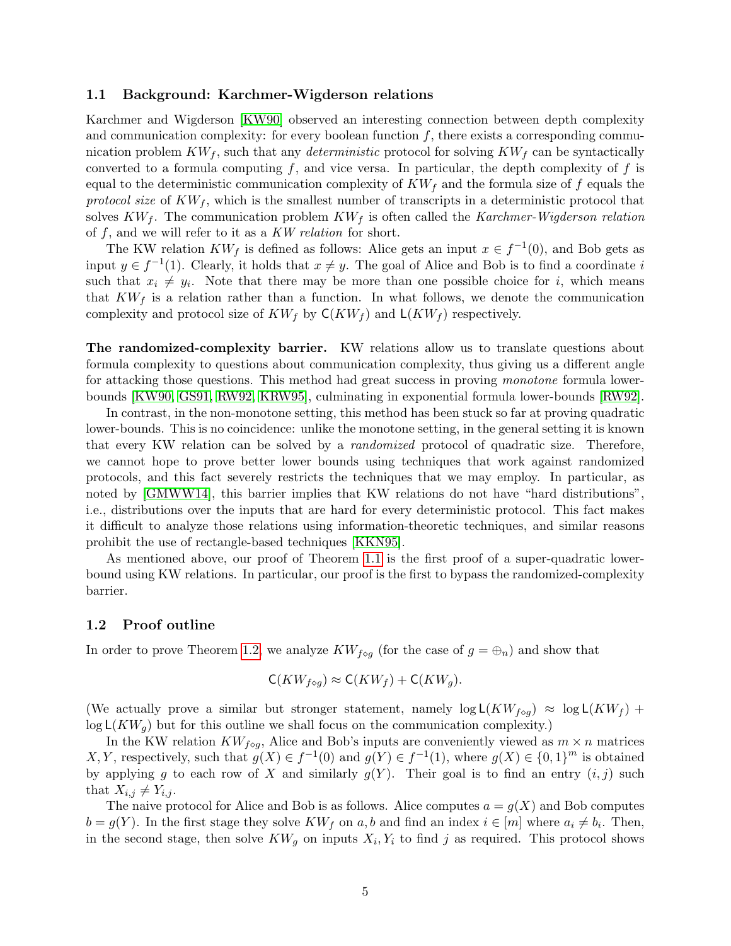#### <span id="page-4-0"></span>1.1 Background: Karchmer-Wigderson relations

Karchmer and Wigderson [\[KW90\]](#page-52-1) observed an interesting connection between depth complexity and communication complexity: for every boolean function  $f$ , there exists a corresponding communication problem  $KW_f$ , such that any *deterministic* protocol for solving  $KW_f$  can be syntactically converted to a formula computing  $f$ , and vice versa. In particular, the depth complexity of  $f$  is equal to the deterministic communication complexity of  $KW_f$  and the formula size of f equals the protocol size of  $KW_f$ , which is the smallest number of transcripts in a deterministic protocol that solves  $KW_f$ . The communication problem  $KW_f$  is often called the Karchmer-Wigderson relation of  $f$ , and we will refer to it as a KW relation for short.

The KW relation  $KW_f$  is defined as follows: Alice gets an input  $x \in f^{-1}(0)$ , and Bob gets as input  $y \in f^{-1}(1)$ . Clearly, it holds that  $x \neq y$ . The goal of Alice and Bob is to find a coordinate i such that  $x_i \neq y_i$ . Note that there may be more than one possible choice for i, which means that  $KW_f$  is a relation rather than a function. In what follows, we denote the communication complexity and protocol size of  $KW_f$  by  $C(KW_f)$  and  $L(KW_f)$  respectively.

<span id="page-4-2"></span>The randomized-complexity barrier. KW relations allow us to translate questions about formula complexity to questions about communication complexity, thus giving us a different angle for attacking those questions. This method had great success in proving *monotone* formula lowerbounds [\[KW90,](#page-52-1) [GS91,](#page-51-6) [RW92,](#page-52-7) [KRW95\]](#page-52-0), culminating in exponential formula lower-bounds [\[RW92\]](#page-52-7).

In contrast, in the non-monotone setting, this method has been stuck so far at proving quadratic lower-bounds. This is no coincidence: unlike the monotone setting, in the general setting it is known that every KW relation can be solved by a randomized protocol of quadratic size. Therefore, we cannot hope to prove better lower bounds using techniques that work against randomized protocols, and this fact severely restricts the techniques that we may employ. In particular, as noted by [\[GMWW14\]](#page-51-4), this barrier implies that KW relations do not have "hard distributions", i.e., distributions over the inputs that are hard for every deterministic protocol. This fact makes it difficult to analyze those relations using information-theoretic techniques, and similar reasons prohibit the use of rectangle-based techniques [\[KKN95\]](#page-52-8).

As mentioned above, our proof of Theorem [1.1](#page-2-3) is the first proof of a super-quadratic lowerbound using KW relations. In particular, our proof is the first to bypass the randomized-complexity barrier.

#### <span id="page-4-1"></span>1.2 Proof outline

In order to prove Theorem [1.2,](#page-3-0) we analyze  $KW_{f\circ q}$  (for the case of  $g=\bigoplus_n$ ) and show that

$$
\mathsf{C}(KW_{f\diamond g})\approx \mathsf{C}(KW_f)+\mathsf{C}(KW_g).
$$

(We actually prove a similar but stronger statement, namely  $\log L(KW_{f \circ q}) \approx \log L(KW_f)$  +  $\log L(KW_q)$  but for this outline we shall focus on the communication complexity.)

In the KW relation  $KW_{f\circ g}$ , Alice and Bob's inputs are conveniently viewed as  $m \times n$  matrices X, Y, respectively, such that  $g(X) \in f^{-1}(0)$  and  $g(Y) \in f^{-1}(1)$ , where  $g(X) \in \{0,1\}^m$  is obtained by applying g to each row of X and similarly  $g(Y)$ . Their goal is to find an entry  $(i, j)$  such that  $X_{i,j} \neq Y_{i,j}$ .

The naive protocol for Alice and Bob is as follows. Alice computes  $a = g(X)$  and Bob computes  $b = g(Y)$ . In the first stage they solve  $KW_f$  on a, b and find an index  $i \in [m]$  where  $a_i \neq b_i$ . Then, in the second stage, then solve  $KW_g$  on inputs  $X_i, Y_i$  to find j as required. This protocol shows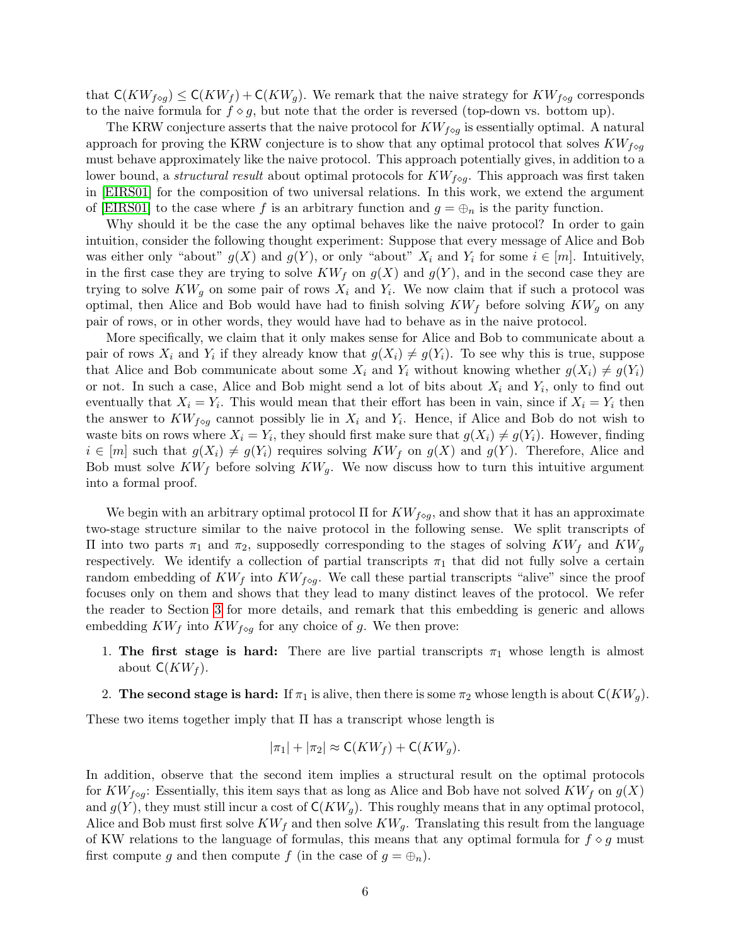that  $\mathsf{C}(KW_{f\circ q})\leq \mathsf{C}(KW_f)+\mathsf{C}(KW_q)$ . We remark that the naive strategy for  $KW_{f\circ q}$  corresponds to the naive formula for  $f \circ g$ , but note that the order is reversed (top-down vs. bottom up).

The KRW conjecture asserts that the naive protocol for  $KW_{f\circ q}$  is essentially optimal. A natural approach for proving the KRW conjecture is to show that any optimal protocol that solves  $KW_{f\circ q}$ must behave approximately like the naive protocol. This approach potentially gives, in addition to a lower bound, a *structural result* about optimal protocols for  $KW_{f\circ g}$ . This approach was first taken in [\[EIRS01\]](#page-51-0) for the composition of two universal relations. In this work, we extend the argument of [\[EIRS01\]](#page-51-0) to the case where f is an arbitrary function and  $g = \bigoplus_n$  is the parity function.

Why should it be the case the any optimal behaves like the naive protocol? In order to gain intuition, consider the following thought experiment: Suppose that every message of Alice and Bob was either only "about"  $g(X)$  and  $g(Y)$ , or only "about"  $X_i$  and  $Y_i$  for some  $i \in [m]$ . Intuitively, in the first case they are trying to solve  $KW_f$  on  $g(X)$  and  $g(Y)$ , and in the second case they are trying to solve  $KW_g$  on some pair of rows  $X_i$  and  $Y_i$ . We now claim that if such a protocol was optimal, then Alice and Bob would have had to finish solving  $KW_f$  before solving  $KW_g$  on any pair of rows, or in other words, they would have had to behave as in the naive protocol.

More specifically, we claim that it only makes sense for Alice and Bob to communicate about a pair of rows  $X_i$  and  $Y_i$  if they already know that  $g(X_i) \neq g(Y_i)$ . To see why this is true, suppose that Alice and Bob communicate about some  $X_i$  and  $Y_i$  without knowing whether  $g(X_i) \neq g(Y_i)$ or not. In such a case, Alice and Bob might send a lot of bits about  $X_i$  and  $Y_i$ , only to find out eventually that  $X_i = Y_i$ . This would mean that their effort has been in vain, since if  $X_i = Y_i$  then the answer to  $KW_{f\circ g}$  cannot possibly lie in  $X_i$  and  $Y_i$ . Hence, if Alice and Bob do not wish to waste bits on rows where  $X_i = Y_i$ , they should first make sure that  $g(X_i) \neq g(Y_i)$ . However, finding  $i \in [m]$  such that  $g(X_i) \neq g(Y_i)$  requires solving  $KW_f$  on  $g(X)$  and  $g(Y)$ . Therefore, Alice and Bob must solve  $KW_f$  before solving  $KW_g$ . We now discuss how to turn this intuitive argument into a formal proof.

We begin with an arbitrary optimal protocol  $\Pi$  for  $KW_{f\circ q}$ , and show that it has an approximate two-stage structure similar to the naive protocol in the following sense. We split transcripts of Π into two parts  $π_1$  and  $π_2$ , supposedly corresponding to the stages of solving  $KW_f$  and  $KW_g$ respectively. We identify a collection of partial transcripts  $\pi_1$  that did not fully solve a certain random embedding of  $KW_f$  into  $KW_{f\circ g}$ . We call these partial transcripts "alive" since the proof focuses only on them and shows that they lead to many distinct leaves of the protocol. We refer the reader to Section [3](#page-12-1) for more details, and remark that this embedding is generic and allows embedding  $KW_f$  into  $KW_{f\circ q}$  for any choice of g. We then prove:

- 1. The first stage is hard: There are live partial transcripts  $\pi_1$  whose length is almost about  $C(KW_f)$ .
- <span id="page-5-0"></span>2. The second stage is hard: If  $\pi_1$  is alive, then there is some  $\pi_2$  whose length is about  $\mathsf{C}(KW_q)$ .

These two items together imply that  $\Pi$  has a transcript whose length is

$$
|\pi_1| + |\pi_2| \approx \mathsf{C}(KW_f) + \mathsf{C}(KW_g).
$$

In addition, observe that the second item implies a structural result on the optimal protocols for  $KW_{f\circ q}$ : Essentially, this item says that as long as Alice and Bob have not solved  $KW_f$  on  $g(X)$ and  $g(Y)$ , they must still incur a cost of  $C(KW_q)$ . This roughly means that in any optimal protocol, Alice and Bob must first solve  $KW_f$  and then solve  $KW_g$ . Translating this result from the language of KW relations to the language of formulas, this means that any optimal formula for  $f \circ g$  must first compute g and then compute f (in the case of  $g = \bigoplus_n$ ).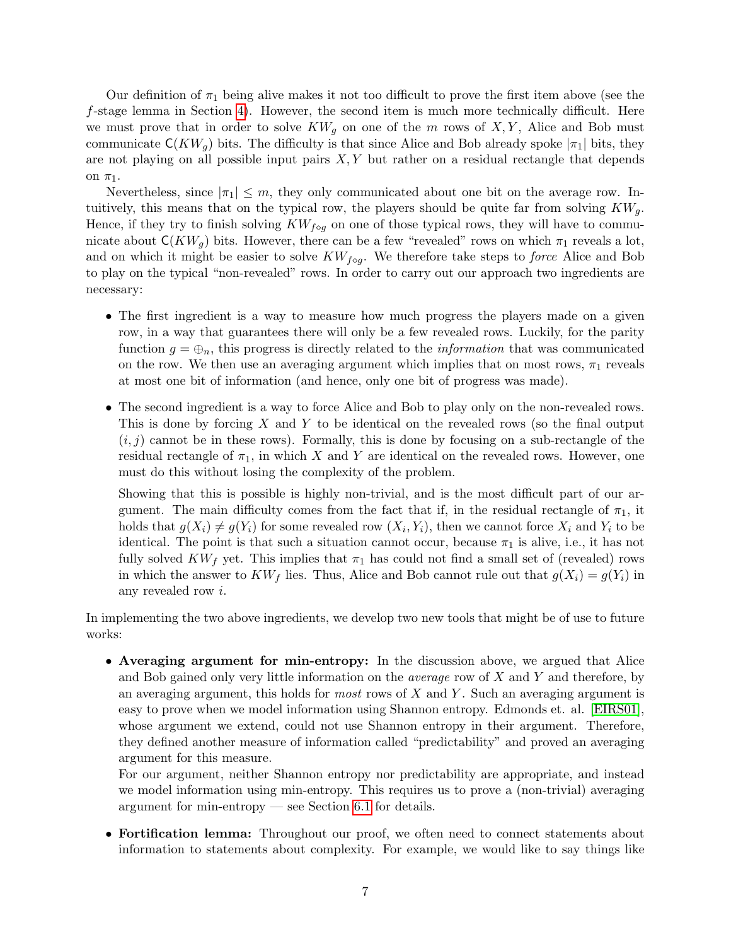Our definition of  $\pi_1$  being alive makes it not too difficult to prove the first item above (see the  $f$ -stage lemma in Section [4\)](#page-18-0). However, the second item is much more technically difficult. Here we must prove that in order to solve  $KW_g$  on one of the m rows of X, Y, Alice and Bob must communicate  $C(KW_q)$  bits. The difficulty is that since Alice and Bob already spoke  $|\pi_1|$  bits, they are not playing on all possible input pairs  $X, Y$  but rather on a residual rectangle that depends on  $\pi_1$ .

Nevertheless, since  $|\pi_1| \leq m$ , they only communicated about one bit on the average row. Intuitively, this means that on the typical row, the players should be quite far from solving  $KW_q$ . Hence, if they try to finish solving  $KW_{f\circ q}$  on one of those typical rows, they will have to communicate about  $C(KW_q)$  bits. However, there can be a few "revealed" rows on which  $\pi_1$  reveals a lot, and on which it might be easier to solve  $KW_{f\circ q}$ . We therefore take steps to *force* Alice and Bob to play on the typical "non-revealed" rows. In order to carry out our approach two ingredients are necessary:

- The first ingredient is a way to measure how much progress the players made on a given row, in a way that guarantees there will only be a few revealed rows. Luckily, for the parity function  $g = \bigoplus_n$ , this progress is directly related to the *information* that was communicated on the row. We then use an averaging argument which implies that on most rows,  $\pi_1$  reveals at most one bit of information (and hence, only one bit of progress was made).
- The second ingredient is a way to force Alice and Bob to play only on the non-revealed rows. This is done by forcing X and Y to be identical on the revealed rows (so the final output  $(i, j)$  cannot be in these rows). Formally, this is done by focusing on a sub-rectangle of the residual rectangle of  $\pi_1$ , in which X and Y are identical on the revealed rows. However, one must do this without losing the complexity of the problem.

Showing that this is possible is highly non-trivial, and is the most difficult part of our argument. The main difficulty comes from the fact that if, in the residual rectangle of  $\pi_1$ , it holds that  $g(X_i) \neq g(Y_i)$  for some revealed row  $(X_i, Y_i)$ , then we cannot force  $X_i$  and  $Y_i$  to be identical. The point is that such a situation cannot occur, because  $\pi_1$  is alive, i.e., it has not fully solved  $KW_f$  yet. This implies that  $\pi_1$  has could not find a small set of (revealed) rows in which the answer to  $KW_f$  lies. Thus, Alice and Bob cannot rule out that  $g(X_i) = g(Y_i)$  in any revealed row i.

In implementing the two above ingredients, we develop two new tools that might be of use to future works:

• Averaging argument for min-entropy: In the discussion above, we argued that Alice and Bob gained only very little information on the *average* row of  $X$  and  $Y$  and therefore, by an averaging argument, this holds for *most* rows of  $X$  and  $Y$ . Such an averaging argument is easy to prove when we model information using Shannon entropy. Edmonds et. al. [\[EIRS01\]](#page-51-0), whose argument we extend, could not use Shannon entropy in their argument. Therefore, they defined another measure of information called "predictability" and proved an averaging argument for this measure.

For our argument, neither Shannon entropy nor predictability are appropriate, and instead we model information using min-entropy. This requires us to prove a (non-trivial) averaging argument for min-entropy — see Section [6.1](#page-23-1) for details.

• Fortification lemma: Throughout our proof, we often need to connect statements about information to statements about complexity. For example, we would like to say things like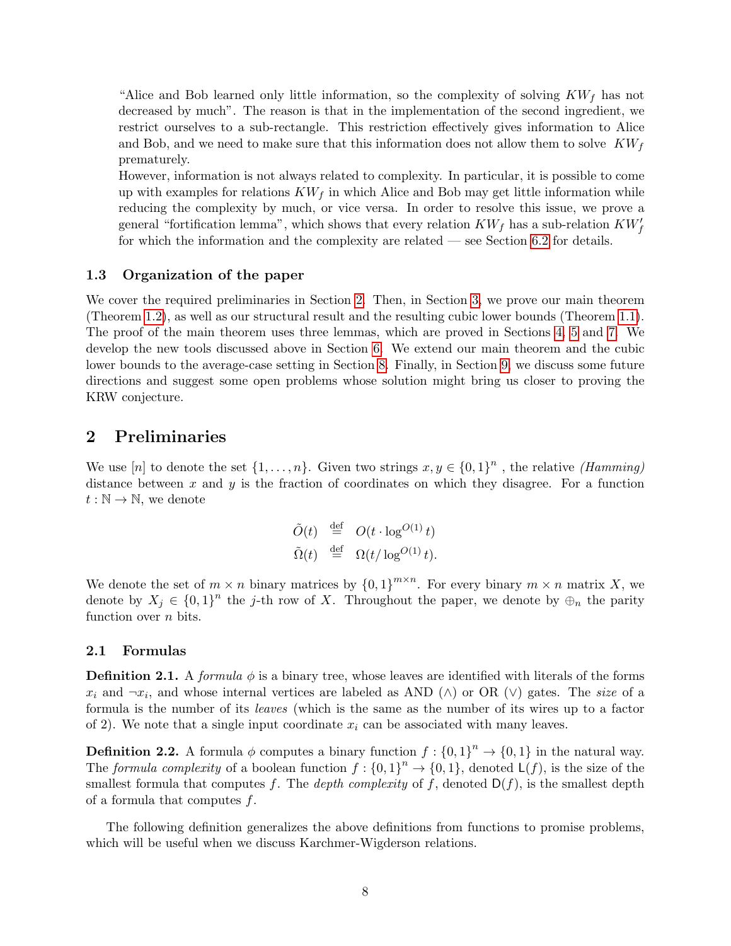"Alice and Bob learned only little information, so the complexity of solving  $KW<sub>f</sub>$  has not decreased by much". The reason is that in the implementation of the second ingredient, we restrict ourselves to a sub-rectangle. This restriction effectively gives information to Alice and Bob, and we need to make sure that this information does not allow them to solve  $KW<sub>f</sub>$ prematurely.

However, information is not always related to complexity. In particular, it is possible to come up with examples for relations  $KW_f$  in which Alice and Bob may get little information while reducing the complexity by much, or vice versa. In order to resolve this issue, we prove a general "fortification lemma", which shows that every relation  $KW_f$  has a sub-relation  $KW_f'$ for which the information and the complexity are related — see Section [6.2](#page-28-0) for details.

### <span id="page-7-0"></span>1.3 Organization of the paper

We cover the required preliminaries in Section [2.](#page-7-1) Then, in Section [3,](#page-12-1) we prove our main theorem (Theorem [1.2\)](#page-3-0), as well as our structural result and the resulting cubic lower bounds (Theorem [1.1\)](#page-2-3). The proof of the main theorem uses three lemmas, which are proved in Sections [4,](#page-18-0) [5](#page-22-0) and [7.](#page-32-0) We develop the new tools discussed above in Section [6.](#page-23-0) We extend our main theorem and the cubic lower bounds to the average-case setting in Section [8.](#page-44-0) Finally, in Section [9,](#page-47-0) we discuss some future directions and suggest some open problems whose solution might bring us closer to proving the KRW conjecture.

# <span id="page-7-1"></span>2 Preliminaries

We use [n] to denote the set  $\{1,\ldots,n\}$ . Given two strings  $x, y \in \{0,1\}^n$ , the relative *(Hamming)* distance between x and y is the fraction of coordinates on which they disagree. For a function  $t : \mathbb{N} \to \mathbb{N}$ , we denote

$$
\begin{array}{rcl}\n\tilde{O}(t) & \stackrel{\text{def}}{=} & O(t \cdot \log^{O(1)} t) \\
\tilde{\Omega}(t) & \stackrel{\text{def}}{=} & \Omega(t/\log^{O(1)} t).\n\end{array}
$$

We denote the set of  $m \times n$  binary matrices by  $\{0,1\}^{m \times n}$ . For every binary  $m \times n$  matrix X, we denote by  $X_j \in \{0,1\}^n$  the j-th row of X. Throughout the paper, we denote by  $\oplus_n$  the parity function over  $n$  bits.

### <span id="page-7-2"></span>2.1 Formulas

**Definition 2.1.** A formula  $\phi$  is a binary tree, whose leaves are identified with literals of the forms  $x_i$  and  $\neg x_i$ , and whose internal vertices are labeled as AND ( $\land$ ) or OR ( $\lor$ ) gates. The size of a formula is the number of its leaves (which is the same as the number of its wires up to a factor of 2). We note that a single input coordinate  $x_i$  can be associated with many leaves.

<span id="page-7-3"></span>**Definition 2.2.** A formula  $\phi$  computes a binary function  $f: \{0,1\}^n \to \{0,1\}$  in the natural way. The formula complexity of a boolean function  $f: \{0,1\}^n \to \{0,1\}$ , denoted  $\mathsf{L}(f)$ , is the size of the smallest formula that computes f. The *depth complexity* of f, denoted  $D(f)$ , is the smallest depth of a formula that computes  $f$ .

<span id="page-7-4"></span>The following definition generalizes the above definitions from functions to promise problems, which will be useful when we discuss Karchmer-Wigderson relations.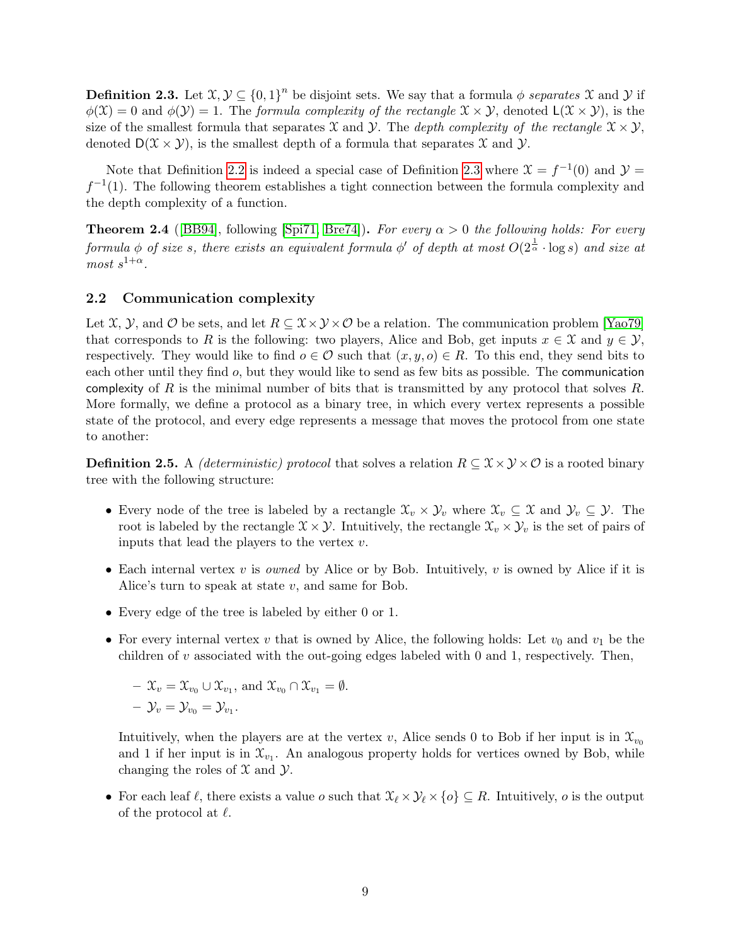**Definition 2.3.** Let  $\mathfrak{X}, \mathcal{Y} \subseteq \{0,1\}^n$  be disjoint sets. We say that a formula  $\phi$  separates X and Y if  $\phi(\mathfrak{X})=0$  and  $\phi(\mathcal{Y})=1$ . The formula complexity of the rectangle  $\mathfrak{X}\times\mathcal{Y}$ , denoted  $\mathsf{L}(\mathfrak{X}\times\mathcal{Y})$ , is the size of the smallest formula that separates X and Y. The depth complexity of the rectangle  $\mathfrak{X} \times \mathcal{Y}$ , denoted  $D(\mathcal{X} \times \mathcal{Y})$ , is the smallest depth of a formula that separates  $\mathcal{X}$  and  $\mathcal{Y}$ .

Note that Definition [2.2](#page-7-3) is indeed a special case of Definition [2.3](#page-7-4) where  $\mathfrak{X} = f^{-1}(0)$  and  $\mathcal{Y} =$  $f^{-1}(1)$ . The following theorem establishes a tight connection between the formula complexity and the depth complexity of a function.

<span id="page-8-1"></span>**Theorem 2.4** ([\[BB94\]](#page-51-7), following [\[Spi71,](#page-53-2) [Bre74\]](#page-51-8)). For every  $\alpha > 0$  the following holds: For every formula  $\phi$  of size s, there exists an equivalent formula  $\phi'$  of depth at most  $O(2^{\frac{1}{\alpha}} \cdot \log s)$  and size at  $most \; s^{1+\alpha}.$ 

### <span id="page-8-0"></span>2.2 Communication complexity

Let X, Y, and O be sets, and let  $R \subseteq X \times Y \times \mathcal{O}$  be a relation. The communication problem [\[Yao79\]](#page-53-3) that corresponds to R is the following: two players, Alice and Bob, get inputs  $x \in \mathcal{X}$  and  $y \in \mathcal{Y}$ , respectively. They would like to find  $o \in \mathcal{O}$  such that  $(x, y, o) \in R$ . To this end, they send bits to each other until they find o, but they would like to send as few bits as possible. The communication complexity of R is the minimal number of bits that is transmitted by any protocol that solves R. More formally, we define a protocol as a binary tree, in which every vertex represents a possible state of the protocol, and every edge represents a message that moves the protocol from one state to another:

**Definition 2.5.** A *(deterministic) protocol* that solves a relation  $R \subseteq \mathcal{X} \times \mathcal{Y} \times \mathcal{O}$  is a rooted binary tree with the following structure:

- Every node of the tree is labeled by a rectangle  $\mathfrak{X}_v \times \mathfrak{Y}_v$  where  $\mathfrak{X}_v \subseteq \mathfrak{X}$  and  $\mathfrak{Y}_v \subseteq \mathfrak{Y}$ . The root is labeled by the rectangle  $\mathcal{X} \times \mathcal{Y}$ . Intuitively, the rectangle  $\mathcal{X}_v \times \mathcal{Y}_v$  is the set of pairs of inputs that lead the players to the vertex  $v$ .
- Each internal vertex  $v$  is *owned* by Alice or by Bob. Intuitively,  $v$  is owned by Alice if it is Alice's turn to speak at state  $v$ , and same for Bob.
- Every edge of the tree is labeled by either 0 or 1.
- For every internal vertex v that is owned by Alice, the following holds: Let  $v_0$  and  $v_1$  be the children of v associated with the out-going edges labeled with 0 and 1, respectively. Then,

$$
- \mathfrak{X}_v = \mathfrak{X}_{v_0} \cup \mathfrak{X}_{v_1}, \text{ and } \mathfrak{X}_{v_0} \cap \mathfrak{X}_{v_1} = \emptyset.
$$
  

$$
- \mathfrak{Y}_v = \mathfrak{Y}_{v_0} = \mathfrak{Y}_{v_1}.
$$

Intuitively, when the players are at the vertex v, Alice sends 0 to Bob if her input is in  $\mathfrak{X}_{v_0}$ and 1 if her input is in  $\mathfrak{X}_{v_1}$ . An analogous property holds for vertices owned by Bob, while changing the roles of  $\mathfrak X$  and  $\mathfrak Y$ .

• For each leaf  $\ell$ , there exists a value  $o$  such that  $\mathcal{X}_{\ell} \times \mathcal{Y}_{\ell} \times \{o\} \subseteq R$ . Intuitively,  $o$  is the output of the protocol at  $\ell$ .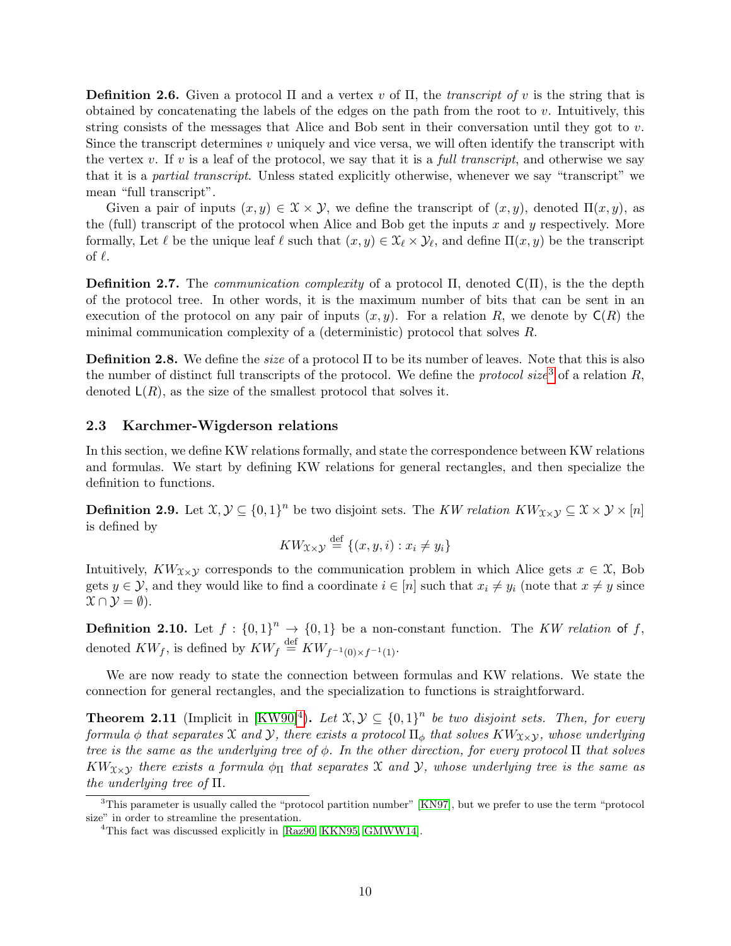**Definition 2.6.** Given a protocol  $\Pi$  and a vertex v of  $\Pi$ , the transcript of v is the string that is obtained by concatenating the labels of the edges on the path from the root to  $v$ . Intuitively, this string consists of the messages that Alice and Bob sent in their conversation until they got to  $v$ . Since the transcript determines v uniquely and vice versa, we will often identify the transcript with the vertex v. If v is a leaf of the protocol, we say that it is a full transcript, and otherwise we say that it is a partial transcript. Unless stated explicitly otherwise, whenever we say "transcript" we mean "full transcript".

Given a pair of inputs  $(x, y) \in \mathcal{X} \times \mathcal{Y}$ , we define the transcript of  $(x, y)$ , denoted  $\Pi(x, y)$ , as the (full) transcript of the protocol when Alice and Bob get the inputs  $x$  and  $y$  respectively. More formally, Let  $\ell$  be the unique leaf  $\ell$  such that  $(x, y) \in \mathcal{X}_{\ell} \times \mathcal{Y}_{\ell}$ , and define  $\Pi(x, y)$  be the transcript of  $\ell$ .

**Definition 2.7.** The *communication complexity* of a protocol  $\Pi$ , denoted  $C(\Pi)$ , is the the depth of the protocol tree. In other words, it is the maximum number of bits that can be sent in an execution of the protocol on any pair of inputs  $(x, y)$ . For a relation R, we denote by  $C(R)$  the minimal communication complexity of a (deterministic) protocol that solves R.

**Definition 2.8.** We define the *size* of a protocol  $\Pi$  to be its number of leaves. Note that this is also the number of distinct full transcripts of the protocol. We define the *protocol size*<sup>[3](#page-9-1)</sup> of a relation  $R$ , denoted  $\mathsf{L}(R)$ , as the size of the smallest protocol that solves it.

### <span id="page-9-0"></span>2.3 Karchmer-Wigderson relations

In this section, we define KW relations formally, and state the correspondence between KW relations and formulas. We start by defining KW relations for general rectangles, and then specialize the definition to functions.

**Definition 2.9.** Let  $\mathfrak{X}, \mathcal{Y} \subseteq \{0,1\}^n$  be two disjoint sets. The KW relation  $KW_{\mathfrak{X}\times\mathcal{Y}} \subseteq \mathfrak{X}\times\mathcal{Y}\times[n]$ is defined by

$$
KW_{\mathfrak{X}\times\mathfrak{Y}}\stackrel{\text{def}}{=}\{(x,y,i):x_i\neq y_i\}
$$

Intuitively,  $KW_{\chi\times\chi}$  corresponds to the communication problem in which Alice gets  $x \in \mathfrak{X}$ , Bob gets  $y \in \mathcal{Y}$ , and they would like to find a coordinate  $i \in [n]$  such that  $x_i \neq y_i$  (note that  $x \neq y$  since  $\mathcal{X} \cap \mathcal{Y} = \emptyset$ ).

**Definition 2.10.** Let  $f : \{0,1\}^n \to \{0,1\}$  be a non-constant function. The KW relation of f, denoted  $KW_f$ , is defined by  $KW_f \stackrel{\text{def}}{=} KW_{f^{-1}(0) \times f^{-1}(1)}$ .

We are now ready to state the connection between formulas and KW relations. We state the connection for general rectangles, and the specialization to functions is straightforward.

<span id="page-9-3"></span>**Theorem 2.11** (Implicit in [\[KW90\]](#page-52-1)<sup>[4](#page-9-2)</sup>). Let  $\mathfrak{X}, \mathcal{Y} \subseteq \{0,1\}^n$  be two disjoint sets. Then, for every formula  $\phi$  that separates X and Y, there exists a protocol  $\Pi_{\phi}$  that solves  $KW_{X\times Y}$ , whose underlying tree is the same as the underlying tree of  $\phi$ . In the other direction, for every protocol  $\Pi$  that solves  $KW_{X\times Y}$  there exists a formula  $\phi_{\Pi}$  that separates X and Y, whose underlying tree is the same as the underlying tree of Π.

<span id="page-9-4"></span><span id="page-9-1"></span><sup>3</sup>This parameter is usually called the "protocol partition number" [\[KN97\]](#page-52-9), but we prefer to use the term "protocol size" in order to streamline the presentation.

<span id="page-9-2"></span><sup>&</sup>lt;sup>4</sup>This fact was discussed explicitly in [\[Raz90,](#page-52-10) [KKN95,](#page-52-8) [GMWW14\]](#page-51-4).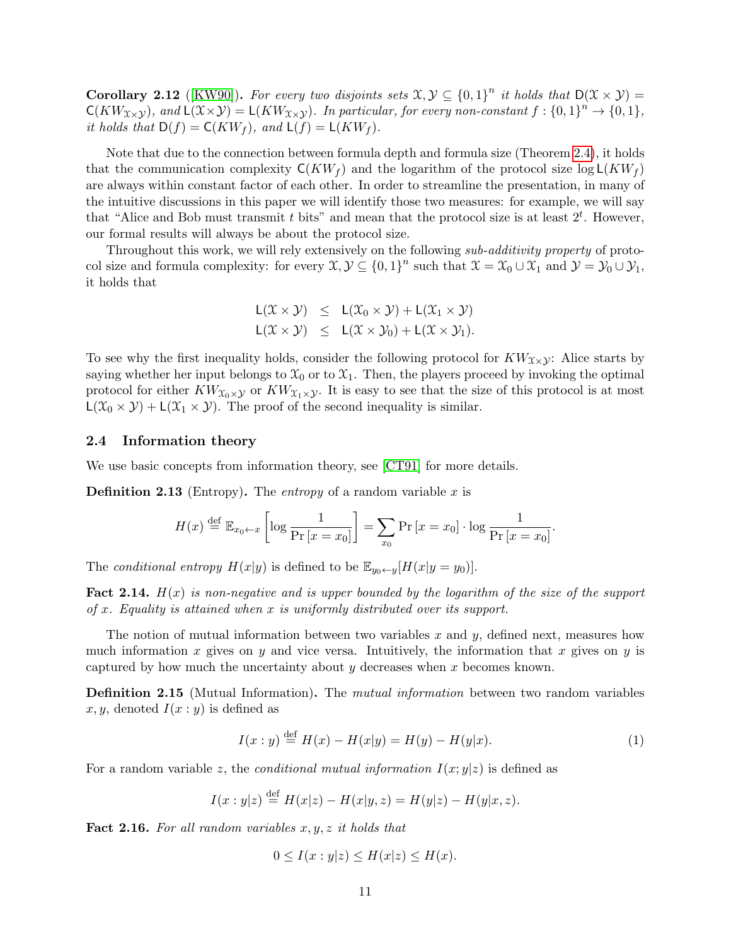**Corollary 2.12** ([\[KW90\]](#page-52-1)). For every two disjoints sets  $\mathfrak{X}, \mathcal{Y} \subseteq \{0,1\}^n$  it holds that  $D(\mathfrak{X} \times \mathcal{Y}) =$  $\mathsf{C}(KW_{\mathfrak{X}\times \mathcal{Y}}),$  and  $\mathsf{L}(\mathfrak{X}\times \mathcal{Y})=\mathsf{L}(KW_{\mathfrak{X}\times \mathcal{Y}}).$  In particular, for every non-constant  $f:\{0,1\}^n\to\{0,1\},$ it holds that  $D(f) = C(KW_f)$ , and  $L(f) = L(KW_f)$ .

Note that due to the connection between formula depth and formula size (Theorem [2.4\)](#page-8-1), it holds that the communication complexity  $C(KW_f)$  and the logarithm of the protocol size  $\log L(KW_f)$ are always within constant factor of each other. In order to streamline the presentation, in many of the intuitive discussions in this paper we will identify those two measures: for example, we will say that "Alice and Bob must transmit t bits" and mean that the protocol size is at least  $2^t$ . However, our formal results will always be about the protocol size.

Throughout this work, we will rely extensively on the following sub-additivity property of protocol size and formula complexity: for every  $\mathfrak{X}, \mathcal{Y} \subseteq \{0,1\}^n$  such that  $\mathfrak{X} = \mathfrak{X}_0 \cup \mathfrak{X}_1$  and  $\mathcal{Y} = \mathcal{Y}_0 \cup \mathcal{Y}_1$ , it holds that

$$
L(\mathcal{X} \times \mathcal{Y}) \leq L(\mathcal{X}_0 \times \mathcal{Y}) + L(\mathcal{X}_1 \times \mathcal{Y})
$$
  

$$
L(\mathcal{X} \times \mathcal{Y}) \leq L(\mathcal{X} \times \mathcal{Y}_0) + L(\mathcal{X} \times \mathcal{Y}_1).
$$

To see why the first inequality holds, consider the following protocol for  $KW_{\mathfrak{X}\times \mathfrak{Y}}$ : Alice starts by saying whether her input belongs to  $\mathfrak{X}_0$  or to  $\mathfrak{X}_1$ . Then, the players proceed by invoking the optimal protocol for either  $KW_{\mathfrak{X}_0\times\mathcal{Y}}$  or  $KW_{\mathfrak{X}_1\times\mathcal{Y}}$ . It is easy to see that the size of this protocol is at most  $L(\mathfrak{X}_0 \times \mathcal{Y}) + L(\mathfrak{X}_1 \times \mathcal{Y})$ . The proof of the second inequality is similar.

#### <span id="page-10-0"></span>2.4 Information theory

We use basic concepts from information theory, see [\[CT91\]](#page-51-9) for more details.

**Definition 2.13** (Entropy). The entropy of a random variable  $x$  is

$$
H(x) \stackrel{\text{def}}{=} \mathbb{E}_{x_0 \leftarrow x} \left[ \log \frac{1}{\Pr\left[x = x_0\right]} \right] = \sum_{x_0} \Pr\left[x = x_0\right] \cdot \log \frac{1}{\Pr\left[x = x_0\right]}.
$$

The conditional entropy  $H(x|y)$  is defined to be  $\mathbb{E}_{y_0 \leftarrow y}[H(x|y = y_0)].$ 

**Fact 2.14.**  $H(x)$  is non-negative and is upper bounded by the logarithm of the size of the support of  $x$ . Equality is attained when  $x$  is uniformly distributed over its support.

The notion of mutual information between two variables x and y, defined next, measures how much information x gives on y and vice versa. Intuitively, the information that x gives on y is captured by how much the uncertainty about  $y$  decreases when  $x$  becomes known.

**Definition 2.15** (Mutual Information). The *mutual information* between two random variables x, y, denoted  $I(x : y)$  is defined as

$$
I(x:y) \stackrel{\text{def}}{=} H(x) - H(x|y) = H(y) - H(y|x). \tag{1}
$$

For a random variable z, the *conditional mutual information*  $I(x; y|z)$  is defined as

$$
I(x: y|z) \stackrel{\text{def}}{=} H(x|z) - H(x|y, z) = H(y|z) - H(y|x, z).
$$

**Fact 2.16.** For all random variables  $x, y, z$  it holds that

$$
0 \le I(x : y | z) \le H(x | z) \le H(x).
$$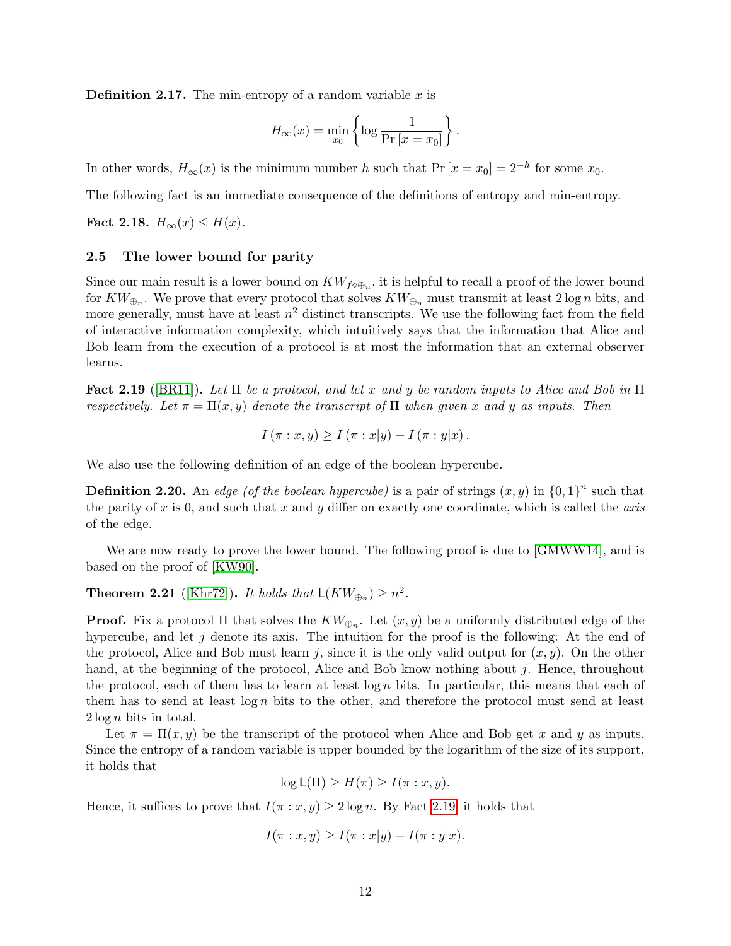**Definition 2.17.** The min-entropy of a random variable  $x$  is

$$
H_{\infty}(x) = \min_{x_0} \left\{ \log \frac{1}{\Pr\left[x = x_0\right]} \right\}.
$$

In other words,  $H_{\infty}(x)$  is the minimum number h such that  $Pr[x = x_0] = 2^{-h}$  for some  $x_0$ .

<span id="page-11-3"></span>The following fact is an immediate consequence of the definitions of entropy and min-entropy.

Fact 2.18.  $H_{\infty}(x) \leq H(x)$ .

### <span id="page-11-0"></span>2.5 The lower bound for parity

Since our main result is a lower bound on  $KW_{f\circ\oplus_n}$ , it is helpful to recall a proof of the lower bound for  $KW_{\oplus_n}$ . We prove that every protocol that solves  $KW_{\oplus_n}$  must transmit at least  $2\log n$  bits, and more generally, must have at least  $n^2$  distinct transcripts. We use the following fact from the field of interactive information complexity, which intuitively says that the information that Alice and Bob learn from the execution of a protocol is at most the information that an external observer learns.

<span id="page-11-1"></span>Fact 2.19 ([\[BR11\]](#page-51-10)). Let  $\Pi$  be a protocol, and let x and y be random inputs to Alice and Bob in  $\Pi$ respectively. Let  $\pi = \Pi(x, y)$  denote the transcript of  $\Pi$  when given x and y as inputs. Then

$$
I(\pi: x, y) \ge I(\pi: x|y) + I(\pi: y|x).
$$

<span id="page-11-2"></span>We also use the following definition of an edge of the boolean hypercube.

**Definition 2.20.** An edge (of the boolean hypercube) is a pair of strings  $(x, y)$  in  $\{0, 1\}^n$  such that the parity of x is 0, and such that x and y differ on exactly one coordinate, which is called the axis of the edge.

We are now ready to prove the lower bound. The following proof is due to [\[GMWW14\]](#page-51-4), and is based on the proof of [\[KW90\]](#page-52-1).

<span id="page-11-4"></span>**Theorem 2.21** ([\[Khr72\]](#page-52-11)). It holds that  $\mathsf{L}(KW_{\oplus n})\geq n^2$ .

**Proof.** Fix a protocol  $\Pi$  that solves the  $KW_{\oplus_n}$ . Let  $(x, y)$  be a uniformly distributed edge of the hypercube, and let  $j$  denote its axis. The intuition for the proof is the following: At the end of the protocol, Alice and Bob must learn j, since it is the only valid output for  $(x, y)$ . On the other hand, at the beginning of the protocol, Alice and Bob know nothing about  $j$ . Hence, throughout the protocol, each of them has to learn at least  $\log n$  bits. In particular, this means that each of them has to send at least  $\log n$  bits to the other, and therefore the protocol must send at least  $2 \log n$  bits in total.

Let  $\pi = \Pi(x, y)$  be the transcript of the protocol when Alice and Bob get x and y as inputs. Since the entropy of a random variable is upper bounded by the logarithm of the size of its support, it holds that

 $\log L(\Pi) \geq H(\pi) \geq I(\pi: x, y).$ 

Hence, it suffices to prove that  $I(\pi : x, y) \geq 2 \log n$ . By Fact [2.19,](#page-11-1) it holds that

$$
I(\pi: x, y) \ge I(\pi: x|y) + I(\pi: y|x).
$$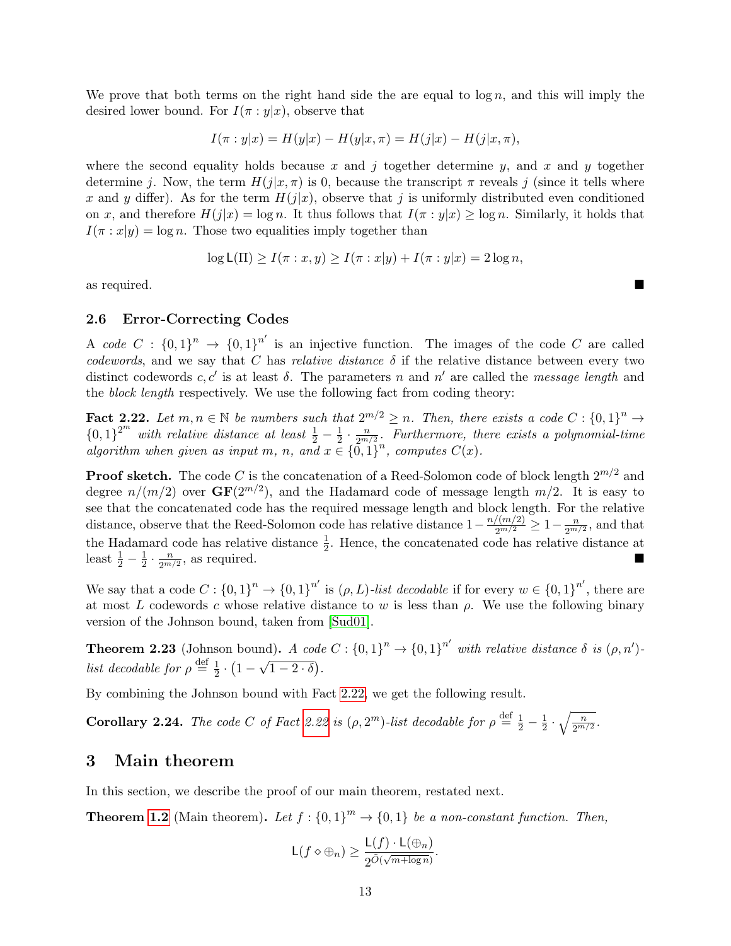We prove that both terms on the right hand side the are equal to  $\log n$ , and this will imply the desired lower bound. For  $I(\pi : y|x)$ , observe that

$$
I(\pi : y | x) = H(y | x) - H(y | x, \pi) = H(j | x) - H(j | x, \pi),
$$

where the second equality holds because x and j together determine y, and x and y together determine j. Now, the term  $H(j|x,\pi)$  is 0, because the transcript  $\pi$  reveals j (since it tells where x and y differ). As for the term  $H(j|x)$ , observe that j is uniformly distributed even conditioned on x, and therefore  $H(j|x) = \log n$ . It thus follows that  $I(\pi : y|x) \geq \log n$ . Similarly, it holds that  $I(\pi : x|y) = \log n$ . Those two equalities imply together than

$$
\log \mathsf{L}(\Pi) \ge I(\pi : x, y) \ge I(\pi : x | y) + I(\pi : y | x) = 2 \log n,
$$

as required.

#### <span id="page-12-0"></span>2.6 Error-Correcting Codes

A code  $C: \{0,1\}^n \to \{0,1\}^{n'}$  is an injective function. The images of the code C are called codewords, and we say that C has relative distance  $\delta$  if the relative distance between every two distinct codewords c, c' is at least  $\delta$ . The parameters n and n' are called the message length and the block length respectively. We use the following fact from coding theory:

<span id="page-12-2"></span>**Fact 2.22.** Let  $m, n \in \mathbb{N}$  be numbers such that  $2^{m/2} \ge n$ . Then, there exists a code  $C : \{0,1\}^n \to$  ${0,1}^{2^m}$  with relative distance at least  $\frac{1}{2} - \frac{1}{2}$  $rac{1}{2} \cdot \frac{n}{2^m}$  $\frac{n}{2^{m/2}}$ . Furthermore, there exists a polynomial-time algorithm when given as input m, n, and  $x \in \{0,1\}^n$ , computes  $C(x)$ .

**Proof sketch.** The code C is the concatenation of a Reed-Solomon code of block length  $2^{m/2}$  and degree  $n/(m/2)$  over  $GF(2^{m/2})$ , and the Hadamard code of message length  $m/2$ . It is easy to see that the concatenated code has the required message length and block length. For the relative distance, observe that the Reed-Solomon code has relative distance  $1 - \frac{n/(m/2)}{2^{m/2}} \geq 1 - \frac{n}{2^{m/2}}$  $\frac{n}{2^{m/2}}$ , and that the Hadamard code has relative distance  $\frac{1}{2}$ . Hence, the concatenated code has relative distance at least  $\frac{1}{2} - \frac{1}{2}$  $rac{1}{2} \cdot \frac{n}{2^m}$  $\frac{n}{2^{m/2}}$ , as required.

We say that a code  $C: \{0,1\}^n \to \{0,1\}^{n'}$  is  $(\rho, L)$ -list decodable if for every  $w \in \{0,1\}^{n'}$ , there are at most L codewords c whose relative distance to w is less than  $\rho$ . We use the following binary version of the Johnson bound, taken from [\[Sud01\]](#page-53-4).

**Theorem 2.23** (Johnson bound). A code  $C: \{0,1\}^n \rightarrow \{0,1\}^{n'}$  with relative distance  $\delta$  is  $(\rho, n')$ . list decodable for  $\rho \stackrel{\text{def}}{=} \frac{1}{2}$  $rac{1}{2} \cdot (1 -$ √  $\overline{1-2\cdot\delta})$ .

By combining the Johnson bound with Fact [2.22,](#page-12-2) we get the following result.

**Corollary 2.24.** The code C of Fact [2.22](#page-12-2) is  $(\rho, 2^m)$ -list decodable for  $\rho \stackrel{\text{def}}{=} \frac{1}{2} - \frac{1}{2}$  $rac{1}{2} \cdot \sqrt{\frac{n}{2^{m/2}}}.$ 

# <span id="page-12-1"></span>3 Main theorem

In this section, we describe the proof of our main theorem, restated next.

**Theorem [1.2](#page-3-0)** (Main theorem). Let  $f: \{0,1\}^m \to \{0,1\}$  be a non-constant function. Then,

$$
\mathsf{L}(f \diamond \oplus_n) \ge \frac{\mathsf{L}(f) \cdot \mathsf{L}(\oplus_n)}{2^{\tilde{O}(\sqrt{m + \log n})}}.
$$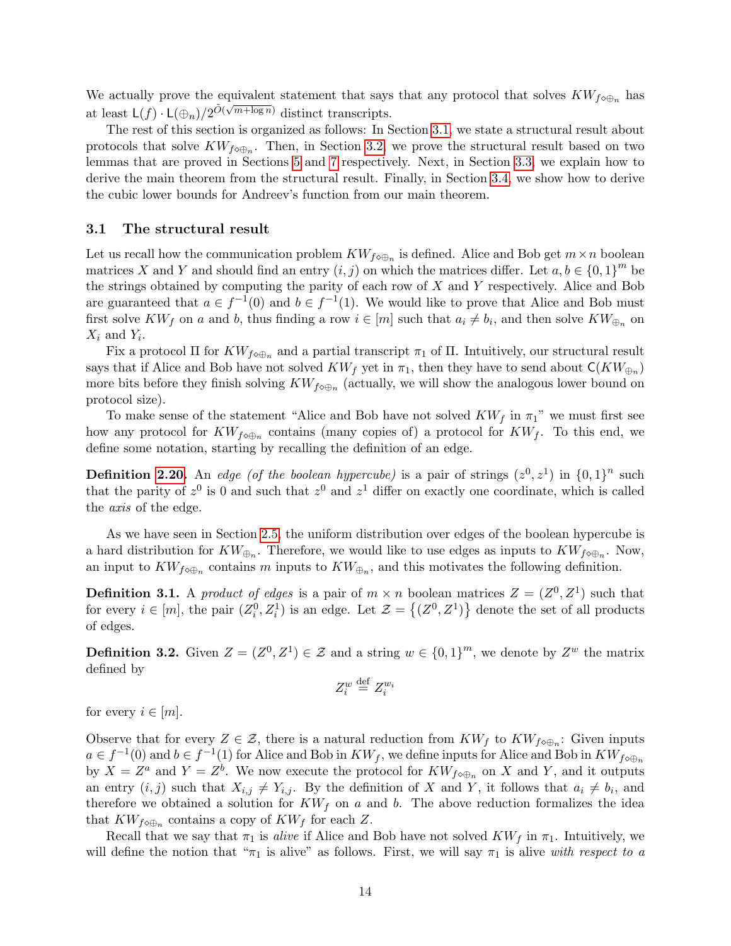We actually prove the equivalent statement that says that any protocol that solves  $KW_{f\circ\oplus_n}$  has at least  $\mathsf{L}(f) \cdot \mathsf{L}(\bigoplus_n)/2^{\tilde{O}(\sqrt{m+\log n})}$  distinct transcripts.

The rest of this section is organized as follows: In Section [3.1,](#page-13-0) we state a structural result about protocols that solve  $KW_{f\circ\oplus_n}$ . Then, in Section [3.2,](#page-14-0) we prove the structural result based on two lemmas that are proved in Sections [5](#page-22-0) and [7](#page-32-0) respectively. Next, in Section [3.3,](#page-16-0) we explain how to derive the main theorem from the structural result. Finally, in Section [3.4,](#page-17-0) we show how to derive the cubic lower bounds for Andreev's function from our main theorem.

#### <span id="page-13-0"></span>3.1 The structural result

Let us recall how the communication problem  $KW_{f\circ\oplus_n}$  is defined. Alice and Bob get  $m\times n$  boolean matrices X and Y and should find an entry  $(i, j)$  on which the matrices differ. Let  $a, b \in \{0, 1\}^m$  be the strings obtained by computing the parity of each row of  $X$  and  $Y$  respectively. Alice and Bob are guaranteed that  $a \in f^{-1}(0)$  and  $b \in f^{-1}(1)$ . We would like to prove that Alice and Bob must first solve  $KW_f$  on a and b, thus finding a row  $i \in [m]$  such that  $a_i \neq b_i$ , and then solve  $KW_{\bigoplus_n}$  on  $X_i$  and  $Y_i$ .

Fix a protocol  $\Pi$  for  $KW_{f\circ\oplus_n}$  and a partial transcript  $\pi_1$  of  $\Pi$ . Intuitively, our structural result says that if Alice and Bob have not solved  $KW_f$  yet in  $\pi_1$ , then they have to send about  $\mathsf{C}(KW_{\oplus n})$ more bits before they finish solving  $KW_{f\circ\oplus_n}$  (actually, we will show the analogous lower bound on protocol size).

To make sense of the statement "Alice and Bob have not solved  $KW_f$  in  $\pi_1$ " we must first see how any protocol for  $KW_{f\circ\oplus n}$  contains (many copies of) a protocol for  $KW_f$ . To this end, we define some notation, starting by recalling the definition of an edge.

**Definition [2.20.](#page-11-2)** An edge (of the boolean hypercube) is a pair of strings  $(z^0, z^1)$  in  $\{0, 1\}^n$  such that the parity of  $z^0$  is 0 and such that  $z^0$  and  $z^1$  differ on exactly one coordinate, which is called the axis of the edge.

As we have seen in Section [2.5,](#page-11-0) the uniform distribution over edges of the boolean hypercube is a hard distribution for  $KW_{\oplus n}$ . Therefore, we would like to use edges as inputs to  $KW_{f\circ\oplus n}$ . Now, an input to  $KW_{f\circ\oplus_n}$  contains m inputs to  $KW_{\oplus_n}$ , and this motivates the following definition.

**Definition 3.1.** A product of edges is a pair of  $m \times n$  boolean matrices  $Z = (Z^0, Z^1)$  such that for every  $i \in [m]$ , the pair  $(Z_i^0, Z_i^1)$  is an edge. Let  $\mathcal{Z} = \{(Z^0, Z^1)\}\$  denote the set of all products of edges.

**Definition 3.2.** Given  $Z = (Z^0, Z^1) \in \mathcal{Z}$  and a string  $w \in \{0, 1\}^m$ , we denote by  $Z^w$  the matrix defined by

$$
Z_i^w \stackrel{\text{def}}{=} Z_i^{w_i}
$$

for every  $i \in [m]$ .

Observe that for every  $Z \in \mathcal{Z}$ , there is a natural reduction from  $KW_f$  to  $KW_{f\circ\oplus n}$ : Given inputs  $a \in f^{-1}(0)$  and  $b \in f^{-1}(1)$  for Alice and Bob in  $KW_f$ , we define inputs for Alice and Bob in  $KW_{f\circ\oplus_n}$ by  $X = Z^a$  and  $Y = Z^b$ . We now execute the protocol for  $KW_{f\circ\oplus_n}$  on X and Y, and it outputs an entry  $(i, j)$  such that  $X_{i,j} \neq Y_{i,j}$ . By the definition of X and Y, it follows that  $a_i \neq b_i$ , and therefore we obtained a solution for  $KW_f$  on a and b. The above reduction formalizes the idea that  $KW_{f\circ\oplus_n}$  contains a copy of  $KW_f$  for each Z.

Recall that we say that  $\pi_1$  is alive if Alice and Bob have not solved  $KW_f$  in  $\pi_1$ . Intuitively, we will define the notion that " $\pi_1$  is alive" as follows. First, we will say  $\pi_1$  is alive with respect to a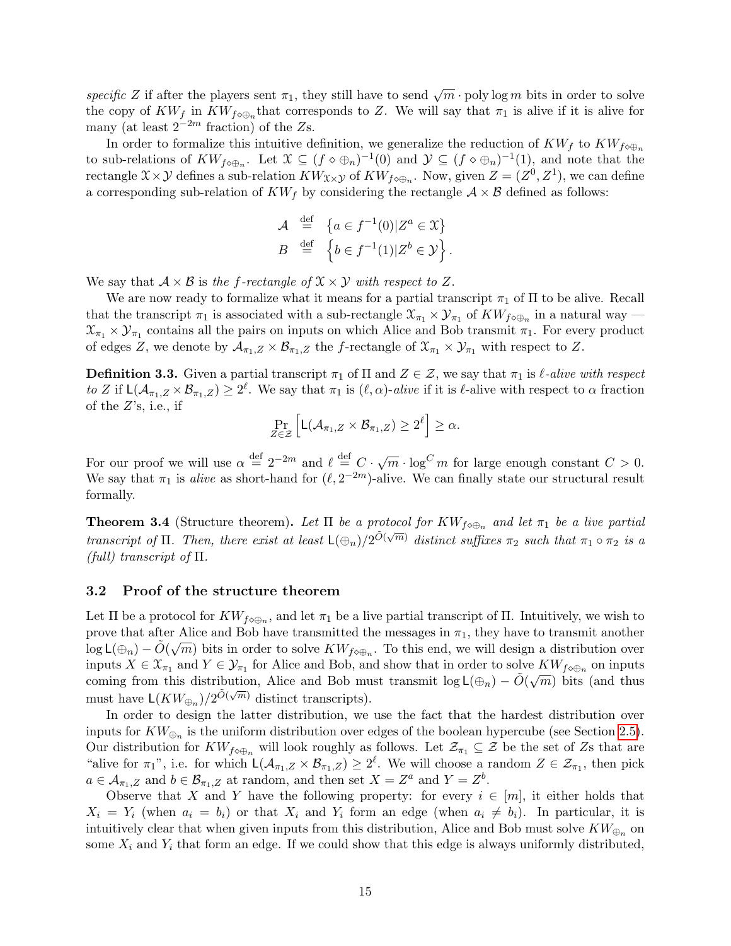specific Z if after the players sent  $\pi_1$ , they still have to send  $\sqrt{m} \cdot \text{poly} \log m$  bits in order to solve the copy of  $KW_f$  in  $KW_{f\circ\oplus_n}$  that corresponds to Z. We will say that  $\pi_1$  is alive if it is alive for many (at least  $2^{-2m}$  fraction) of the Zs.

In order to formalize this intuitive definition, we generalize the reduction of  $KW_f$  to  $KW_{f\otimes\oplus_n}$ to sub-relations of  $KW_{f\circ\oplus_n}$ . Let  $\mathfrak{X}\subseteq (f\circ\oplus_n)^{-1}(0)$  and  $\mathcal{Y}\subseteq (f\circ\oplus_n)^{-1}(1)$ , and note that the rectangle  $\mathfrak{X}\times\mathcal{Y}$  defines a sub-relation  $KW_{\mathfrak{X}\times\mathcal{Y}}$  of  $KW_{f\circ\oplus n}$ . Now, given  $Z=(Z^0,Z^1)$ , we can define a corresponding sub-relation of  $KW_f$  by considering the rectangle  $A \times B$  defined as follows:

$$
\mathcal{A} \stackrel{\text{def}}{=} \{ a \in f^{-1}(0) | Z^a \in \mathcal{X} \}
$$

$$
B \stackrel{\text{def}}{=} \{ b \in f^{-1}(1) | Z^b \in \mathcal{Y} \}.
$$

We say that  $A \times B$  is the f-rectangle of  $\mathfrak{X} \times \mathcal{Y}$  with respect to Z.

We are now ready to formalize what it means for a partial transcript  $\pi_1$  of  $\Pi$  to be alive. Recall that the transcript  $\pi_1$  is associated with a sub-rectangle  $\mathfrak{X}_{\pi_1} \times \mathcal{Y}_{\pi_1}$  of  $KW_{f\circ\oplus_n}$  in a natural way  $\mathfrak{X}_{\pi_1} \times \mathcal{Y}_{\pi_1}$  contains all the pairs on inputs on which Alice and Bob transmit  $\pi_1$ . For every product of edges Z, we denote by  $\mathcal{A}_{\pi_1,Z} \times \mathcal{B}_{\pi_1,Z}$  the f-rectangle of  $\mathfrak{X}_{\pi_1} \times \mathcal{Y}_{\pi_1}$  with respect to Z.

<span id="page-14-1"></span>**Definition 3.3.** Given a partial transcript  $\pi_1$  of  $\Pi$  and  $Z \in \mathcal{Z}$ , we say that  $\pi_1$  is  $\ell$ -alive with respect to Z if  $\mathsf{L}(\mathcal{A}_{\pi_1,Z}\times\mathcal{B}_{\pi_1,Z})\geq 2^\ell$ . We say that  $\pi_1$  is  $(\ell,\alpha)$ -alive if it is  $\ell$ -alive with respect to  $\alpha$  fraction of the  $Z$ 's, i.e., if

$$
\Pr_{Z\in\mathcal{Z}}\left[L(\mathcal{A}_{\pi_1,Z}\times\mathcal{B}_{\pi_1,Z})\geq 2^{\ell}\right]\geq\alpha.
$$

For our proof we will use  $\alpha \stackrel{\text{def}}{=} 2^{-2m}$  and  $\ell \stackrel{\text{def}}{=} C \cdot \sqrt{m} \cdot \log^C m$  for large enough constant  $C > 0$ . We say that  $\pi_1$  is *alive* as short-hand for  $(\ell, 2^{-2m})$ -alive. We can finally state our structural result formally.

<span id="page-14-2"></span>**Theorem 3.4** (Structure theorem). Let  $\Pi$  be a protocol for  $KW_{f\circ\oplus_n}$  and let  $\pi_1$  be a live partial transcript of  $\Pi$ . Then, there exist at least  $L(\bigoplus_n)/2^{\tilde{O}(\sqrt{m})}$  distinct suffixes  $\pi_2$  such that  $\pi_1 \circ \pi_2$  is a  $(full)$  transcript of  $\Pi$ .

### <span id="page-14-0"></span>3.2 Proof of the structure theorem

Let  $\Pi$  be a protocol for  $KW_{f\circ\oplus_n}$ , and let  $\pi_1$  be a live partial transcript of  $\Pi$ . Intuitively, we wish to prove that after Alice and Bob have transmitted the messages in  $\pi_1$ , they have to transmit another  $\log \mathsf{L}(\bigoplus_n) - \tilde{O}(\sqrt{m})$  bits in order to solve  $KW_{f\circ \bigoplus_n}$ . To this end, we will design a distribution over inputs  $X \in \mathfrak{X}_{\pi_1}$  and  $Y \in \mathcal{Y}_{\pi_1}$  for Alice and Bob, and show that in order to solve  $KW_{f\circ\oplus_n}$  on inputs coming from this distribution, Alice and Bob must transmit  $\log L(\bigoplus_n) - \tilde{O}(\sqrt{m})$  bits (and thus must have  $\mathsf{L}(KW_{\oplus_n})/2^{\tilde{O}(\sqrt{m})}$  distinct transcripts).

In order to design the latter distribution, we use the fact that the hardest distribution over inputs for  $KW_{\oplus_n}$  is the uniform distribution over edges of the boolean hypercube (see Section [2.5\)](#page-11-0). Our distribution for  $KW_{f\circ\oplus_n}$  will look roughly as follows. Let  $\mathcal{Z}_{\pi_1}\subseteq\mathcal{Z}$  be the set of Zs that are "alive for  $\pi_1$ ", i.e. for which  $\mathsf{L}(\mathcal{A}_{\pi_1,Z}\times\mathcal{B}_{\pi_1,Z})\geq 2^{\ell}$ . We will choose a random  $Z\in\mathcal{Z}_{\pi_1}$ , then pick  $a \in \mathcal{A}_{\pi_1,Z}$  and  $b \in \mathcal{B}_{\pi_1,Z}$  at random, and then set  $X = Z^a$  and  $Y = Z^b$ .

Observe that X and Y have the following property: for every  $i \in [m]$ , it either holds that  $X_i = Y_i$  (when  $a_i = b_i$ ) or that  $X_i$  and  $Y_i$  form an edge (when  $a_i \neq b_i$ ). In particular, it is intuitively clear that when given inputs from this distribution, Alice and Bob must solve  $KW_{\bigoplus_n}$  on some  $X_i$  and  $Y_i$  that form an edge. If we could show that this edge is always uniformly distributed,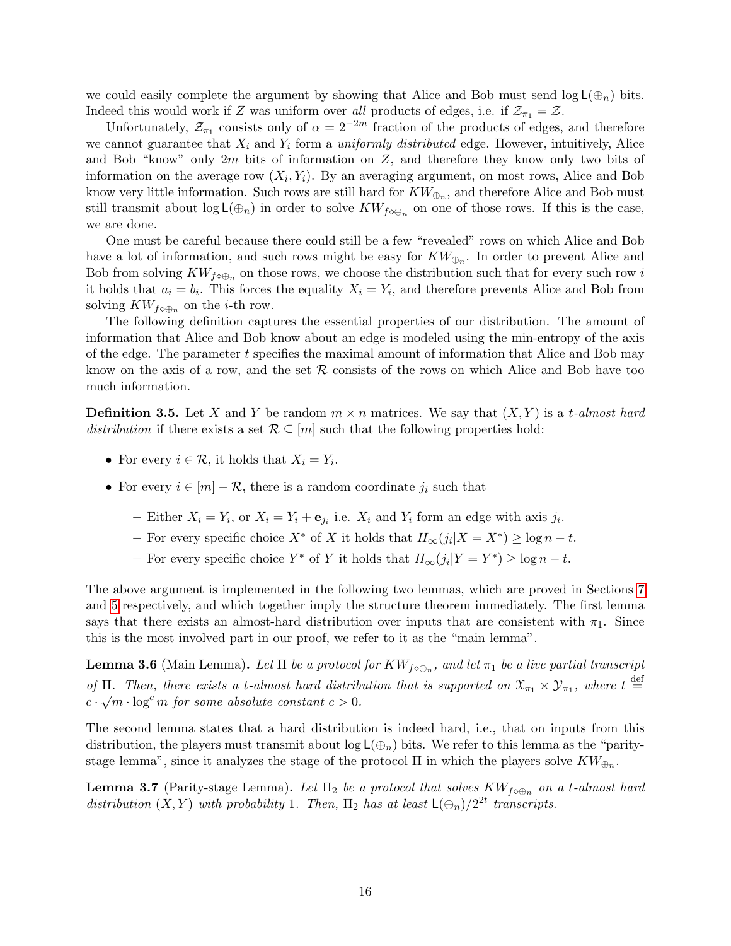we could easily complete the argument by showing that Alice and Bob must send  $log L(\oplus_n)$  bits. Indeed this would work if Z was uniform over all products of edges, i.e. if  $\mathcal{Z}_{\pi_1} = \mathcal{Z}$ .

Unfortunately,  $\mathcal{Z}_{\pi_1}$  consists only of  $\alpha = 2^{-2m}$  fraction of the products of edges, and therefore we cannot guarantee that  $X_i$  and  $Y_i$  form a *uniformly distributed* edge. However, intuitively, Alice and Bob "know" only  $2m$  bits of information on  $Z$ , and therefore they know only two bits of information on the average row  $(X_i, Y_i)$ . By an averaging argument, on most rows, Alice and Bob know very little information. Such rows are still hard for  $KW_{\bigoplus_n}$ , and therefore Alice and Bob must still transmit about  $log L(\bigoplus_n)$  in order to solve  $KW_{f\circ\bigoplus_n}$  on one of those rows. If this is the case, we are done.

One must be careful because there could still be a few "revealed" rows on which Alice and Bob have a lot of information, and such rows might be easy for  $KW_{\bigoplus_n}$ . In order to prevent Alice and Bob from solving  $KW_{f\circ\oplus_n}$  on those rows, we choose the distribution such that for every such row i it holds that  $a_i = b_i$ . This forces the equality  $X_i = Y_i$ , and therefore prevents Alice and Bob from solving  $KW_{f\circ\oplus_n}$  on the *i*-th row.

The following definition captures the essential properties of our distribution. The amount of information that Alice and Bob know about an edge is modeled using the min-entropy of the axis of the edge. The parameter t specifies the maximal amount of information that Alice and Bob may know on the axis of a row, and the set  $R$  consists of the rows on which Alice and Bob have too much information.

**Definition 3.5.** Let X and Y be random  $m \times n$  matrices. We say that  $(X, Y)$  is a t-almost hard distribution if there exists a set  $\mathcal{R} \subseteq [m]$  such that the following properties hold:

- For every  $i \in \mathcal{R}$ , it holds that  $X_i = Y_i$ .
- For every  $i \in [m] \mathcal{R}$ , there is a random coordinate  $j_i$  such that
	- Either  $X_i = Y_i$ , or  $X_i = Y_i + e_{j_i}$  i.e.  $X_i$  and  $Y_i$  form an edge with axis  $j_i$ .
	- For every specific choice  $X^*$  of X it holds that  $H_{\infty}(j_i|X = X^*) \ge \log n t$ .
	- − For every specific choice  $Y^*$  of Y it holds that  $H_{\infty}(j_i|Y = Y^*) \ge \log n t$ .

The above argument is implemented in the following two lemmas, which are proved in Sections [7](#page-32-0) and [5](#page-22-0) respectively, and which together imply the structure theorem immediately. The first lemma says that there exists an almost-hard distribution over inputs that are consistent with  $\pi_1$ . Since this is the most involved part in our proof, we refer to it as the "main lemma".

<span id="page-15-1"></span>**Lemma 3.6** (Main Lemma). Let  $\Pi$  be a protocol for  $KW_{f\circ\oplus_n},$  and let  $\pi_1$  be a live partial transcript of  $\Pi$ . Then, there exists a t-almost hard distribution that is supported on  $\mathfrak{X}_{\pi_1} \times \mathcal{Y}_{\pi_1}$ , where  $t \stackrel{\text{def}}{=}$  $c \cdot \sqrt{m} \cdot \log^c m$  for some absolute constant  $c > 0$ .

The second lemma states that a hard distribution is indeed hard, i.e., that on inputs from this distribution, the players must transmit about  $\log L(\bigoplus_n)$  bits. We refer to this lemma as the "paritystage lemma", since it analyzes the stage of the protocol  $\Pi$  in which the players solve  $KW_{\oplus_n}$ .

<span id="page-15-0"></span>**Lemma 3.7** (Parity-stage Lemma). Let  $\Pi_2$  be a protocol that solves  $KW_{f\circ\oplus_n}$  on a t-almost hard distribution  $(X, Y)$  with probability 1. Then,  $\Pi_2$  has at least  $\mathsf{L}(\bigoplus_n)/2^{2t}$  transcripts.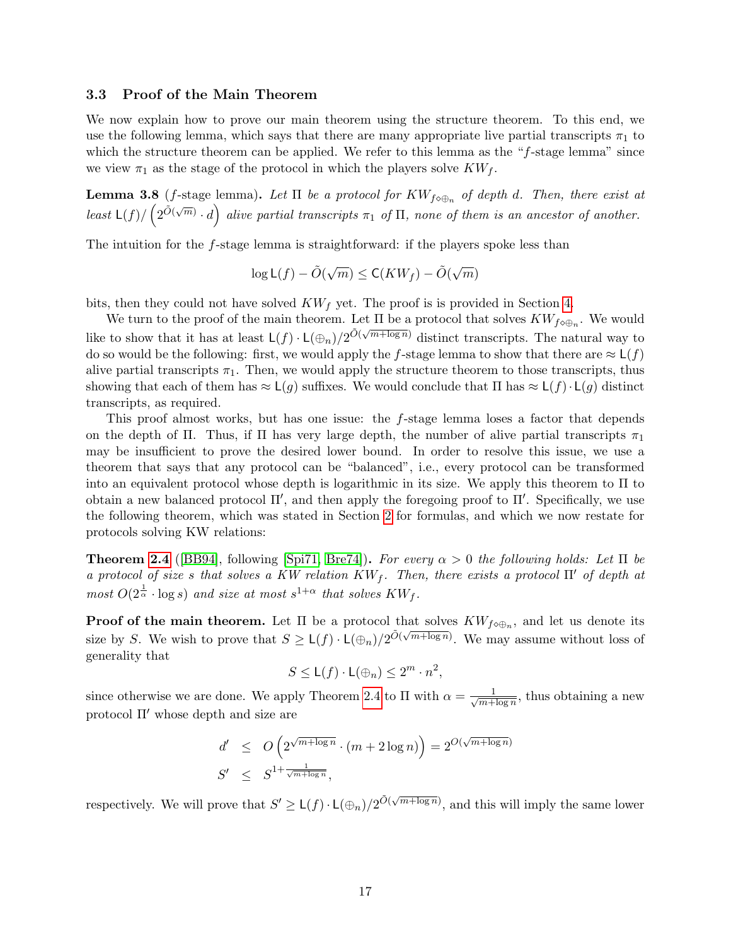#### <span id="page-16-0"></span>3.3 Proof of the Main Theorem

We now explain how to prove our main theorem using the structure theorem. To this end, we use the following lemma, which says that there are many appropriate live partial transcripts  $\pi_1$  to which the structure theorem can be applied. We refer to this lemma as the "f-stage lemma" since we view  $\pi_1$  as the stage of the protocol in which the players solve  $KW_f$ .

<span id="page-16-1"></span>**Lemma 3.8** (f-stage lemma). Let  $\Pi$  be a protocol for  $KW_{f\circ\oplus_n}$  of depth d. Then, there exist at least  $\mathsf{L}(f)/\left(2^{\tilde{O}(\sqrt{m})} \cdot d\right)$  alive partial transcripts  $\pi_1$  of  $\Pi$ , none of them is an ancestor of another.

The intuition for the f-stage lemma is straightforward: if the players spoke less than

$$
\log \mathsf{L}(f) - \tilde{O}(\sqrt{m}) \le \mathsf{C}(KW_f) - \tilde{O}(\sqrt{m})
$$

bits, then they could not have solved  $KW_f$  yet. The proof is is provided in Section [4.](#page-18-0)

We turn to the proof of the main theorem. Let  $\Pi$  be a protocol that solves  $KW_{f\circ\oplus n}$ . We would like to show that it has at least  $L(f) \cdot L(\bigoplus_n)/2^{\tilde{O}(\sqrt{m+\log n})}$  distinct transcripts. The natural way to do so would be the following: first, we would apply the f-stage lemma to show that there are  $\approx L(f)$ alive partial transcripts  $\pi_1$ . Then, we would apply the structure theorem to those transcripts, thus showing that each of them has  $\approx L(g)$  suffixes. We would conclude that  $\Pi$  has  $\approx L(f) \cdot L(g)$  distinct transcripts, as required.

This proof almost works, but has one issue: the f-stage lemma loses a factor that depends on the depth of Π. Thus, if Π has very large depth, the number of alive partial transcripts  $\pi_1$ may be insufficient to prove the desired lower bound. In order to resolve this issue, we use a theorem that says that any protocol can be "balanced", i.e., every protocol can be transformed into an equivalent protocol whose depth is logarithmic in its size. We apply this theorem to Π to obtain a new balanced protocol  $\Pi'$ , and then apply the foregoing proof to  $\Pi'$ . Specifically, we use the following theorem, which was stated in Section [2](#page-7-1) for formulas, and which we now restate for protocols solving KW relations:

**Theorem [2.4](#page-8-1)** ([\[BB94\]](#page-51-7), following [\[Spi71,](#page-53-2) [Bre74\]](#page-51-8)). For every  $\alpha > 0$  the following holds: Let  $\Pi$  be a protocol of size s that solves a KW relation  $KW_f$ . Then, there exists a protocol  $\Pi'$  of depth at most  $O(2^{\frac{1}{\alpha}} \cdot \log s)$  and size at most  $s^{1+\alpha}$  that solves  $KW_f$ .

**Proof of the main theorem.** Let  $\Pi$  be a protocol that solves  $KW_{f\circ\oplus_n}$ , and let us denote its size by S. We wish to prove that  $S \geq L(f) \cdot L(\bigoplus_n)/2^{\tilde{O}(\sqrt{m+\log n})}$ . We may assume without loss of generality that

$$
S \leq \mathsf{L}(f) \cdot \mathsf{L}(\oplus_n) \leq 2^m \cdot n^2,
$$

since otherwise we are done. We apply Theorem [2.4](#page-8-1) to  $\Pi$  with  $\alpha = \frac{1}{\sqrt{m}}$  $\frac{1}{m + \log n}$ , thus obtaining a new protocol  $\Pi'$  whose depth and size are

$$
d' \le O\left(2^{\sqrt{m + \log n}} \cdot (m + 2\log n)\right) = 2^{O(\sqrt{m + \log n})}
$$
  

$$
S' \le S^{1 + \frac{1}{\sqrt{m + \log n}}},
$$

respectively. We will prove that  $S' \geq \mathsf{L}(f) \cdot \mathsf{L}(\bigoplus_n)/2^{\tilde{O}(\sqrt{m + \log n})}$ , and this will imply the same lower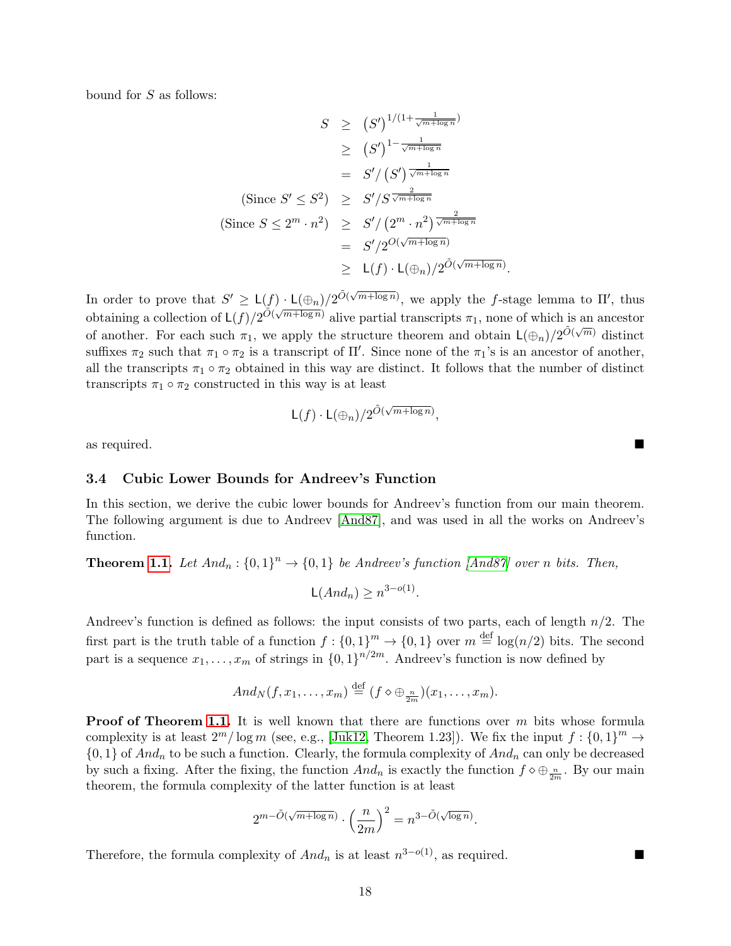bound for S as follows:

$$
S \ge (S')^{1/(1+\frac{1}{\sqrt{m+\log n}})}
$$
  
\n
$$
\ge (S')^{1-\frac{1}{\sqrt{m+\log n}}}
$$
  
\n
$$
= S'/ (S')^{\frac{1}{\sqrt{m+\log n}}}
$$
  
\n(Since  $S' \le S^2$ ) 
$$
\ge S'/S^{\frac{2}{\sqrt{m+\log n}}}
$$
  
\n
$$
= S'/2^{O(\sqrt{m+\log n})}
$$
  
\n
$$
\ge L(f) \cdot L(\bigoplus_n)/2^{\tilde{O}(\sqrt{m+\log n})}.
$$

In order to prove that  $S' \geq L(f) \cdot L(\bigoplus_n)/2^{\tilde{O}(\sqrt{m+\log n})}$ , we apply the f-stage lemma to  $\Pi'$ , thus obtaining a collection of  $\mathsf{L}(f)/2^{\tilde{O}(\sqrt{m+\log n}})$  alive partial transcripts  $\pi_1$ , none of which is an ancestor of another. For each such  $\pi_1$ , we apply the structure theorem and obtain  $L(\bigoplus_n)/2^{\tilde{O}(\sqrt{m})}$  distinct suffixes  $\pi_2$  such that  $\pi_1 \circ \pi_2$  is a transcript of  $\Pi'$ . Since none of the  $\pi_1$ 's is an ancestor of another, all the transcripts  $\pi_1 \circ \pi_2$  obtained in this way are distinct. It follows that the number of distinct transcripts  $\pi_1 \circ \pi_2$  constructed in this way is at least

$$
\mathsf{L}(f) \cdot \mathsf{L}(\oplus_n) / 2^{\tilde{O}(\sqrt{m + \log n})},
$$

as required.

#### <span id="page-17-0"></span>3.4 Cubic Lower Bounds for Andreev's Function

In this section, we derive the cubic lower bounds for Andreev's function from our main theorem. The following argument is due to Andreev [\[And87\]](#page-51-2), and was used in all the works on Andreev's function.

**Theorem [1.1.](#page-2-3)** Let  $And_n : \{0,1\}^n \to \{0,1\}$  be Andreev's function [\[And87\]](#page-51-2) over n bits. Then,

$$
\mathsf{L}(And_n) \ge n^{3-o(1)}.
$$

Andreev's function is defined as follows: the input consists of two parts, each of length  $n/2$ . The first part is the truth table of a function  $f: \{0,1\}^m \to \{0,1\}$  over  $m \stackrel{\text{def}}{=} \log(n/2)$  bits. The second part is a sequence  $x_1, \ldots, x_m$  of strings in  $\{0, 1\}^{n/2m}$ . Andreev's function is now defined by

$$
And_N(f,x_1,\ldots,x_m)\stackrel{\text{def}}{=} (f\diamond\oplus_{\frac{n}{2m}})(x_1,\ldots,x_m).
$$

**Proof of Theorem [1.1.](#page-2-3)** It is well known that there are functions over  $m$  bits whose formula complexity is at least  $2^m/\log m$  (see, e.g., [\[Juk12,](#page-52-12) Theorem 1.23]). We fix the input  $f: \{0,1\}^m \to$  $\{0,1\}$  of  $And_n$  to be such a function. Clearly, the formula complexity of  $And_n$  can only be decreased by such a fixing. After the fixing, the function  $And_n$  is exactly the function  $f \diamond \bigoplus_{\frac{n}{2m}}$ . By our main theorem, the formula complexity of the latter function is at least

$$
2^{m-\tilde{O}(\sqrt{m+\log n})} \cdot \left(\frac{n}{2m}\right)^2 = n^{3-\tilde{O}(\sqrt{\log n})}.
$$

Therefore, the formula complexity of  $And_n$  is at least  $n^{3-o(1)}$ , as required.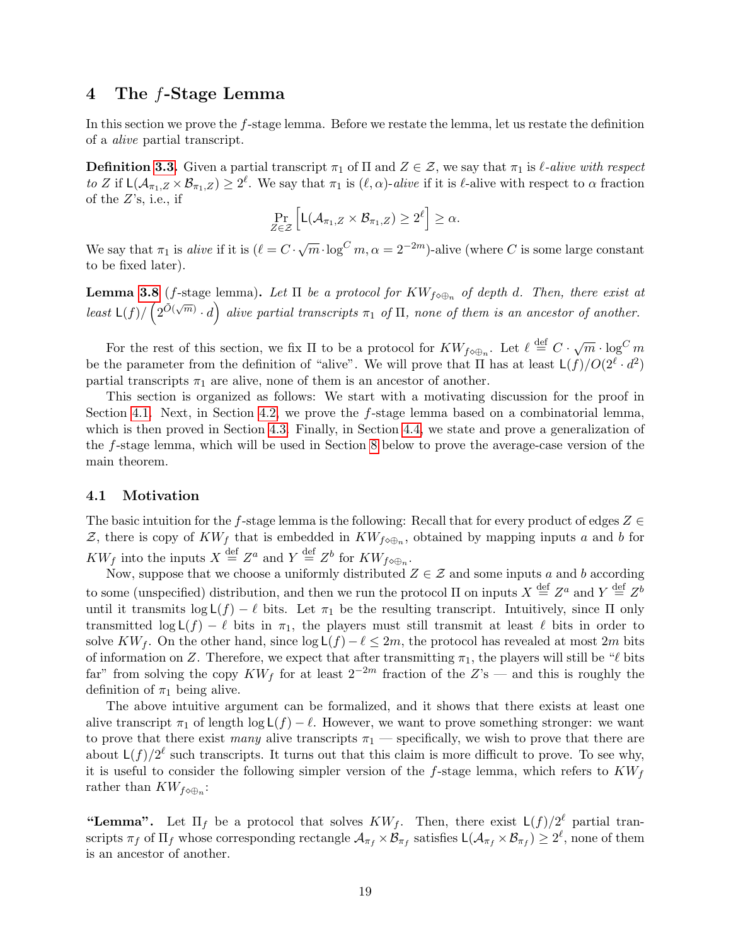# <span id="page-18-0"></span>4 The f-Stage Lemma

In this section we prove the f-stage lemma. Before we restate the lemma, let us restate the definition of a alive partial transcript.

**Definition [3.3.](#page-14-1)** Given a partial transcript  $\pi_1$  of  $\Pi$  and  $Z \in \mathcal{Z}$ , we say that  $\pi_1$  is  $\ell$ -alive with respect to Z if  $\mathsf{L}(\mathcal{A}_{\pi_1,Z}\times\mathcal{B}_{\pi_1,Z})\geq 2^\ell$ . We say that  $\pi_1$  is  $(\ell,\alpha)$ -alive if it is  $\ell$ -alive with respect to  $\alpha$  fraction of the  $Z$ 's, i.e., if

$$
\Pr_{Z \in \mathcal{Z}} \left[ \mathsf{L}(\mathcal{A}_{\pi_1, Z} \times \mathcal{B}_{\pi_1, Z}) \geq 2^{\ell} \right] \geq \alpha.
$$

We say that  $\pi_1$  is alive if it is  $(\ell = C \cdot \sqrt{m} \cdot \log^C m, \alpha = 2^{-2m})$ -alive (where C is some large constant to be fixed later).

**Lemma [3.8](#page-16-1)** (*f*-stage lemma). Let  $\Pi$  be a protocol for  $KW_{f\circ\oplus_n}$  of depth d. Then, there exist at least  $\mathsf{L}(f)/\left(2^{\tilde{O}(\sqrt{m})}\cdot d\right)$  alive partial transcripts  $\pi_1$  of  $\Pi$ , none of them is an ancestor of another.

For the rest of this section, we fix  $\Pi$  to be a protocol for  $KW_{f\circ\oplus n}$ . Let  $\ell \stackrel{\text{def}}{=} C \cdot \sqrt{m} \cdot \log^C m$ be the parameter from the definition of "alive". We will prove that  $\Pi$  has at least  $\mathsf{L}(f)/O(2^\ell \cdot d^2)$ partial transcripts  $\pi_1$  are alive, none of them is an ancestor of another.

This section is organized as follows: We start with a motivating discussion for the proof in Section [4.1.](#page-18-1) Next, in Section [4.2,](#page-20-0) we prove the f-stage lemma based on a combinatorial lemma, which is then proved in Section [4.3.](#page-20-1) Finally, in Section [4.4,](#page-21-0) we state and prove a generalization of the f-stage lemma, which will be used in Section [8](#page-44-0) below to prove the average-case version of the main theorem.

#### <span id="page-18-1"></span>4.1 Motivation

The basic intuition for the f-stage lemma is the following: Recall that for every product of edges  $Z \in \mathbb{R}$ Z, there is copy of  $KW_f$  that is embedded in  $KW_{f\circ\oplus_n}$ , obtained by mapping inputs a and b for  $KW_f$  into the inputs  $X \stackrel{\text{def}}{=} Z^a$  and  $Y \stackrel{\text{def}}{=} Z^b$  for  $KW_{f\circ\oplus_n}$ .

Now, suppose that we choose a uniformly distributed  $Z \in \mathcal{Z}$  and some inputs a and b according to some (unspecified) distribution, and then we run the protocol  $\Pi$  on inputs  $X \stackrel{\text{def}}{=} Z^a$  and  $Y \stackrel{\text{def}}{=} Z^b$ until it transmits  $\log L(f) - \ell$  bits. Let  $\pi_1$  be the resulting transcript. Intuitively, since  $\Pi$  only transmitted log  $L(f) - \ell$  bits in  $\pi_1$ , the players must still transmit at least  $\ell$  bits in order to solve KW<sub>f</sub>. On the other hand, since  $\log L(f) - \ell \leq 2m$ , the protocol has revealed at most 2m bits of information on Z. Therefore, we expect that after transmitting  $\pi_1$ , the players will still be " $\ell$  bits far" from solving the copy  $KW_f$  for at least  $2^{-2m}$  fraction of the  $Z$ 's — and this is roughly the definition of  $\pi_1$  being alive.

The above intuitive argument can be formalized, and it shows that there exists at least one alive transcript  $\pi_1$  of length  $\log L(f) - \ell$ . However, we want to prove something stronger: we want to prove that there exist many alive transcripts  $\pi_1$  — specifically, we wish to prove that there are about  $\mathsf{L}(f)/2^{\ell}$  such transcripts. It turns out that this claim is more difficult to prove. To see why, it is useful to consider the following simpler version of the f-stage lemma, which refers to  $KW<sub>f</sub>$ rather than  $KW_{f\otimes\bigoplus_n}$ :

"Lemma". Let  $\Pi_f$  be a protocol that solves  $KW_f$ . Then, there exist  $\mathsf{L}(f)/2^{\ell}$  partial transcripts  $\pi_f$  of  $\Pi_f$  whose corresponding rectangle  $\mathcal{A}_{\pi_f} \times \mathcal{B}_{\pi_f}$  satisfies  $\mathsf{L}(\mathcal{A}_{\pi_f} \times \mathcal{B}_{\pi_f}) \geq 2^{\ell}$ , none of them is an ancestor of another.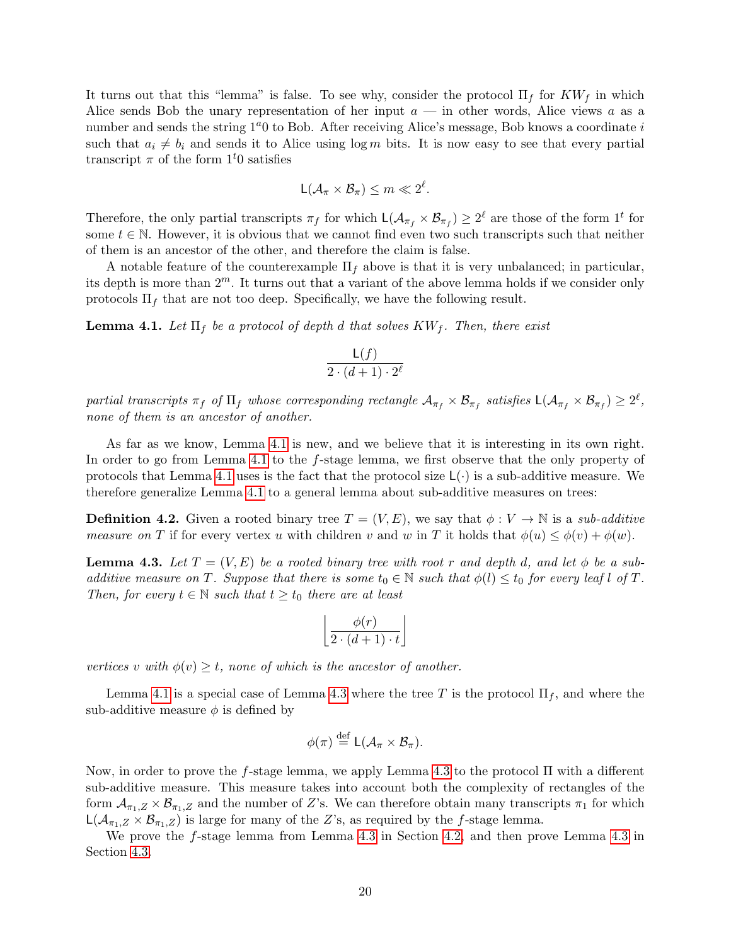It turns out that this "lemma" is false. To see why, consider the protocol  $\Pi_f$  for  $KW_f$  in which Alice sends Bob the unary representation of her input  $a$  — in other words, Alice views a as a number and sends the string  $1<sup>a</sup>0$  to Bob. After receiving Alice's message, Bob knows a coordinate i such that  $a_i \neq b_i$  and sends it to Alice using log m bits. It is now easy to see that every partial transcript  $\pi$  of the form  $1<sup>t</sup>0$  satisfies

$$
L(\mathcal{A}_{\pi} \times \mathcal{B}_{\pi}) \leq m \ll 2^{\ell}.
$$

Therefore, the only partial transcripts  $\pi_f$  for which  $\mathsf{L}(\mathcal{A}_{\pi_f} \times \mathcal{B}_{\pi_f}) \geq 2^\ell$  are those of the form  $1^t$  for some  $t \in \mathbb{N}$ . However, it is obvious that we cannot find even two such transcripts such that neither of them is an ancestor of the other, and therefore the claim is false.

A notable feature of the counterexample  $\Pi_f$  above is that it is very unbalanced; in particular, its depth is more than  $2^m$ . It turns out that a variant of the above lemma holds if we consider only protocols  $\Pi_f$  that are not too deep. Specifically, we have the following result.

<span id="page-19-1"></span>**Lemma 4.1.** Let  $\Pi_f$  be a protocol of depth d that solves  $KW_f$ . Then, there exist

$$
\frac{\mathsf{L}(f)}{2\cdot (d+1)\cdot 2^{\ell}}
$$

partial transcripts  $\pi_f$  of  $\Pi_f$  whose corresponding rectangle  $\mathcal{A}_{\pi_f}\times\mathcal{B}_{\pi_f}$  satisfies  $\mathsf{L}(\mathcal{A}_{\pi_f}\times\mathcal{B}_{\pi_f})\geq 2^\ell,$ none of them is an ancestor of another.

As far as we know, Lemma [4.1](#page-19-1) is new, and we believe that it is interesting in its own right. In order to go from Lemma [4.1](#page-19-1) to the f-stage lemma, we first observe that the only property of protocols that Lemma [4.1](#page-19-1) uses is the fact that the protocol size  $\mathsf{L}(\cdot)$  is a sub-additive measure. We therefore generalize Lemma [4.1](#page-19-1) to a general lemma about sub-additive measures on trees:

**Definition 4.2.** Given a rooted binary tree  $T = (V, E)$ , we say that  $\phi: V \to \mathbb{N}$  is a sub-additive measure on T if for every vertex u with children v and w in T it holds that  $\phi(u) \leq \phi(v) + \phi(w)$ .

<span id="page-19-0"></span>**Lemma 4.3.** Let  $T = (V, E)$  be a rooted binary tree with root r and depth d, and let  $\phi$  be a subadditive measure on T. Suppose that there is some  $t_0 \in \mathbb{N}$  such that  $\phi(l) \leq t_0$  for every leaf l of T. Then, for every  $t \in \mathbb{N}$  such that  $t \geq t_0$  there are at least

$$
\left\lfloor \frac{\phi(r)}{2\cdot (d+1)\cdot t} \right\rfloor
$$

vertices v with  $\phi(v) \geq t$ , none of which is the ancestor of another.

Lemma [4.1](#page-19-1) is a special case of Lemma [4.3](#page-19-0) where the tree T is the protocol  $\Pi_f$ , and where the sub-additive measure  $\phi$  is defined by

$$
\phi(\pi) \stackrel{\text{def}}{=} \mathsf{L}(\mathcal{A}_{\pi} \times \mathcal{B}_{\pi}).
$$

Now, in order to prove the f-stage lemma, we apply Lemma [4.3](#page-19-0) to the protocol Π with a different sub-additive measure. This measure takes into account both the complexity of rectangles of the form  $\mathcal{A}_{\pi_1,Z} \times \mathcal{B}_{\pi_1,Z}$  and the number of Z's. We can therefore obtain many transcripts  $\pi_1$  for which  $L(A_{\pi_1,Z} \times B_{\pi_1,Z})$  is large for many of the Z's, as required by the f-stage lemma.

We prove the f-stage lemma from Lemma [4.3](#page-19-0) in Section [4.2,](#page-20-0) and then prove Lemma [4.3](#page-19-0) in Section [4.3.](#page-20-1)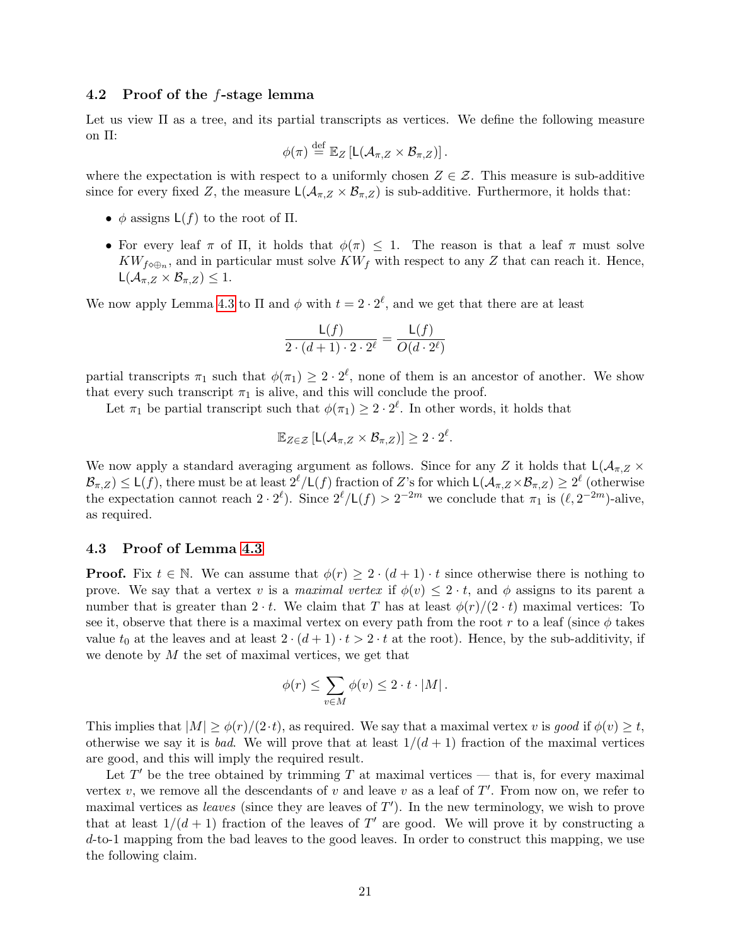### <span id="page-20-0"></span>4.2 Proof of the f-stage lemma

Let us view  $\Pi$  as a tree, and its partial transcripts as vertices. We define the following measure on Π:

$$
\phi(\pi) \stackrel{\text{def}}{=} \mathbb{E}_Z \left[ \mathsf{L}(\mathcal{A}_{\pi,Z} \times \mathcal{B}_{\pi,Z}) \right].
$$

where the expectation is with respect to a uniformly chosen  $Z \in \mathcal{Z}$ . This measure is sub-additive since for every fixed Z, the measure  $L(\mathcal{A}_{\pi,Z} \times \mathcal{B}_{\pi,Z})$  is sub-additive. Furthermore, it holds that:

- $\phi$  assigns  $L(f)$  to the root of  $\Pi$ .
- For every leaf  $\pi$  of  $\Pi$ , it holds that  $\phi(\pi) \leq 1$ . The reason is that a leaf  $\pi$  must solve  $KW_{f\circ\oplus_n}$ , and in particular must solve  $KW_f$  with respect to any Z that can reach it. Hence,  $L(\mathcal{A}_{\pi,Z}\times\mathcal{B}_{\pi,Z})\leq 1.$

We now apply Lemma [4.3](#page-19-0) to  $\Pi$  and  $\phi$  with  $t = 2 \cdot 2^{\ell}$ , and we get that there are at least

$$
\frac{\mathsf{L}(f)}{2\cdot (d+1)\cdot 2\cdot 2^{\ell}} = \frac{\mathsf{L}(f)}{O(d\cdot 2^{\ell})}
$$

partial transcripts  $\pi_1$  such that  $\phi(\pi_1) \geq 2 \cdot 2^{\ell}$ , none of them is an ancestor of another. We show that every such transcript  $\pi_1$  is alive, and this will conclude the proof.

Let  $\pi_1$  be partial transcript such that  $\phi(\pi_1) \geq 2 \cdot 2^{\ell}$ . In other words, it holds that

$$
\mathbb{E}_{Z \in \mathcal{Z}}\left[\mathsf{L}(\mathcal{A}_{\pi,Z} \times \mathcal{B}_{\pi,Z})\right] \geq 2 \cdot 2^{\ell}.
$$

We now apply a standard averaging argument as follows. Since for any Z it holds that  $L(\mathcal{A}_{\pi,Z} \times$  $\mathcal{B}_{\pi,Z} \leq \mathsf{L}(f)$ , there must be at least  $2^{\ell}/\mathsf{L}(f)$  fraction of Z's for which  $\mathsf{L}(\mathcal{A}_{\pi,Z}\times \mathcal{B}_{\pi,Z}) \geq 2^{\ell}$  (otherwise the expectation cannot reach  $2 \cdot 2^{\ell}$ . Since  $2^{\ell}/L(f) > 2^{-2m}$  we conclude that  $\pi_1$  is  $(\ell, 2^{-2m})$ -alive, as required.

#### <span id="page-20-1"></span>4.3 Proof of Lemma [4.3](#page-19-0)

**Proof.** Fix  $t \in \mathbb{N}$ . We can assume that  $\phi(r) \geq 2 \cdot (d+1) \cdot t$  since otherwise there is nothing to prove. We say that a vertex v is a maximal vertex if  $\phi(v) \leq 2 \cdot t$ , and  $\phi$  assigns to its parent a number that is greater than  $2 \cdot t$ . We claim that T has at least  $\phi(r)/(2 \cdot t)$  maximal vertices: To see it, observe that there is a maximal vertex on every path from the root r to a leaf (since  $\phi$  takes value  $t_0$  at the leaves and at least  $2 \cdot (d+1) \cdot t > 2 \cdot t$  at the root). Hence, by the sub-additivity, if we denote by  $M$  the set of maximal vertices, we get that

$$
\phi(r) \leq \sum_{v \in M} \phi(v) \leq 2 \cdot t \cdot |M|.
$$

This implies that  $|M| \geq \phi(r)/(2 \cdot t)$ , as required. We say that a maximal vertex v is good if  $\phi(v) \geq t$ , otherwise we say it is *bad*. We will prove that at least  $1/(d+1)$  fraction of the maximal vertices are good, and this will imply the required result.

Let  $T'$  be the tree obtained by trimming T at maximal vertices — that is, for every maximal vertex  $v$ , we remove all the descendants of  $v$  and leave  $v$  as a leaf of  $T'$ . From now on, we refer to maximal vertices as *leaves* (since they are leaves of  $T'$ ). In the new terminology, we wish to prove that at least  $1/(d+1)$  fraction of the leaves of T' are good. We will prove it by constructing a  $d$ -to-1 mapping from the bad leaves to the good leaves. In order to construct this mapping, we use the following claim.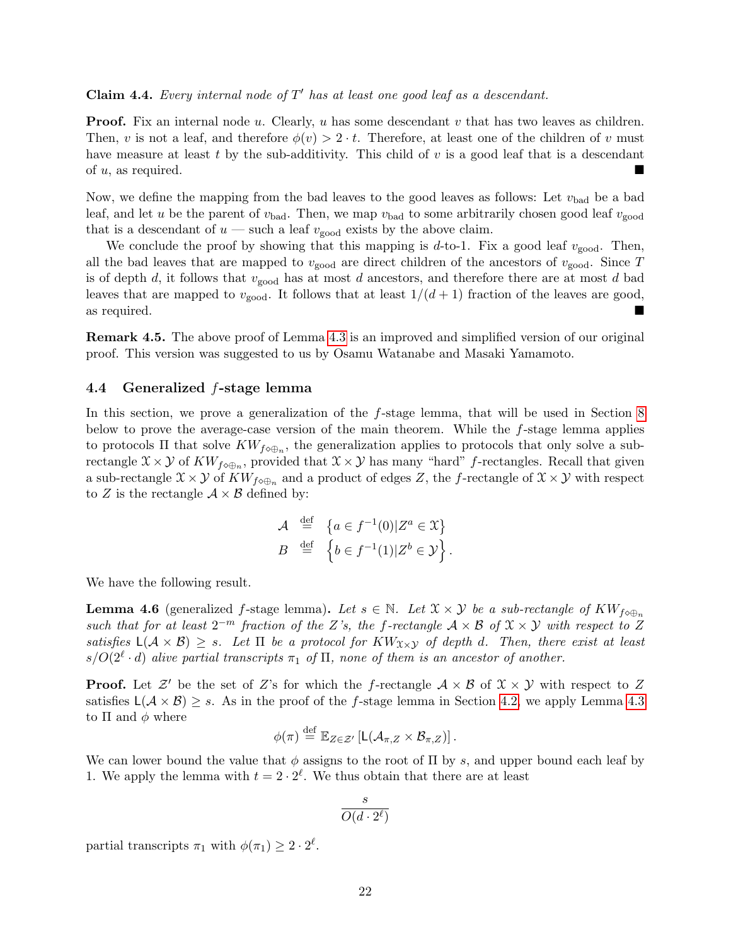# **Claim 4.4.** Every internal node of  $T'$  has at least one good leaf as a descendant.

**Proof.** Fix an internal node u. Clearly, u has some descendant v that has two leaves as children. Then, v is not a leaf, and therefore  $\phi(v) > 2 \cdot t$ . Therefore, at least one of the children of v must have measure at least t by the sub-additivity. This child of  $v$  is a good leaf that is a descendant of u, as required.

Now, we define the mapping from the bad leaves to the good leaves as follows: Let  $v_{bad}$  be a bad leaf, and let u be the parent of  $v_{bad}$ . Then, we map  $v_{bad}$  to some arbitrarily chosen good leaf  $v_{good}$ that is a descendant of  $u$  — such a leaf  $v_{\text{good}}$  exists by the above claim.

We conclude the proof by showing that this mapping is  $d$ -to-1. Fix a good leaf  $v_{\text{good}}$ . Then, all the bad leaves that are mapped to  $v_{\text{good}}$  are direct children of the ancestors of  $v_{\text{good}}$ . Since T is of depth d, it follows that  $v_{\text{good}}$  has at most d ancestors, and therefore there are at most d bad leaves that are mapped to  $v_{\text{good}}$ . It follows that at least  $1/(d+1)$  fraction of the leaves are good, as required.

Remark 4.5. The above proof of Lemma [4.3](#page-19-0) is an improved and simplified version of our original proof. This version was suggested to us by Osamu Watanabe and Masaki Yamamoto.

#### <span id="page-21-0"></span>4.4 Generalized f-stage lemma

In this section, we prove a generalization of the f-stage lemma, that will be used in Section [8](#page-44-0) below to prove the average-case version of the main theorem. While the f-stage lemma applies to protocols  $\Pi$  that solve  $KW_{f\circ\oplus_n}$ , the generalization applies to protocols that only solve a subrectangle  $\mathfrak{X}\times\mathcal{Y}$  of  $KW_{f\circ\oplus_n}$ , provided that  $\mathfrak{X}\times\mathcal{Y}$  has many "hard" f-rectangles. Recall that given a sub-rectangle  $\mathfrak{X}\times\mathcal{Y}$  of  $KW_{f\circ\oplus_n}$  and a product of edges Z, the f-rectangle of  $\mathfrak{X}\times\mathcal{Y}$  with respect to Z is the rectangle  $A \times B$  defined by:

$$
\mathcal{A} \stackrel{\text{def}}{=} \{ a \in f^{-1}(0) | Z^a \in \mathcal{X} \}
$$

$$
B \stackrel{\text{def}}{=} \{ b \in f^{-1}(1) | Z^b \in \mathcal{Y} \}.
$$

<span id="page-21-1"></span>We have the following result.

**Lemma 4.6** (generalized f-stage lemma). Let  $s \in \mathbb{N}$ . Let  $\mathcal{X} \times \mathcal{Y}$  be a sub-rectangle of  $KW_{f \circ \oplus_n}$ such that for at least  $2^{-m}$  fraction of the Z's, the f-rectangle  $A \times B$  of  $X \times Y$  with respect to Z satisfies  $L(\mathcal{A} \times \mathcal{B}) \geq s$ . Let  $\Pi$  be a protocol for  $KW_{X\times Y}$  of depth d. Then, there exist at least  $s/O(2^{\ell} \cdot d)$  alive partial transcripts  $\pi_1$  of  $\Pi$ , none of them is an ancestor of another.

**Proof.** Let  $\mathcal{Z}'$  be the set of Z's for which the f-rectangle  $\mathcal{A} \times \mathcal{B}$  of  $\mathcal{X} \times \mathcal{Y}$  with respect to Z satisfies  $L(\mathcal{A} \times \mathcal{B}) \geq s$ . As in the proof of the f-stage lemma in Section [4.2,](#page-20-0) we apply Lemma [4.3](#page-19-0) to  $\Pi$  and  $\phi$  where

$$
\phi(\pi) \stackrel{\text{def}}{=} \mathbb{E}_{Z \in \mathcal{Z}'} \left[ L(\mathcal{A}_{\pi,Z} \times \mathcal{B}_{\pi,Z}) \right].
$$

We can lower bound the value that  $\phi$  assigns to the root of  $\Pi$  by s, and upper bound each leaf by 1. We apply the lemma with  $t = 2 \cdot 2^{\ell}$ . We thus obtain that there are at least

$$
\frac{s}{O(d \cdot 2^{\ell})}
$$

partial transcripts  $\pi_1$  with  $\phi(\pi_1) \geq 2 \cdot 2^{\ell}$ .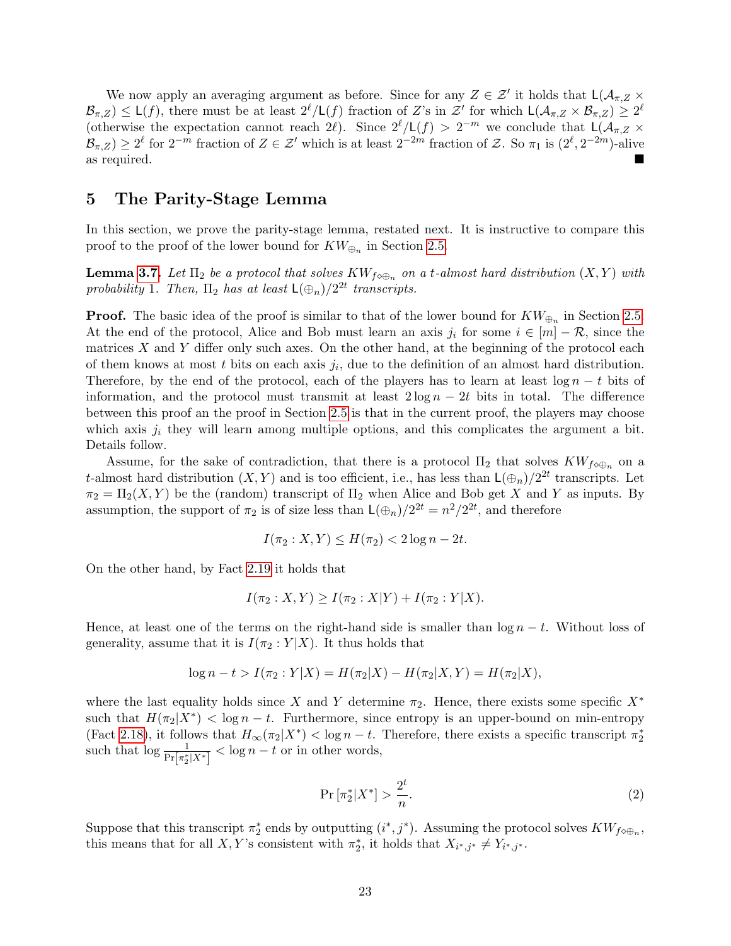We now apply an averaging argument as before. Since for any  $Z \in \mathcal{Z}'$  it holds that  $\mathsf{L}(\mathcal{A}_{\pi,Z} \times$  $\mathcal{B}_{\pi,Z}$ )  $\leq L(f)$ , there must be at least  $2^{\ell}/L(f)$  fraction of Z's in Z' for which  $L(\mathcal{A}_{\pi,Z} \times \mathcal{B}_{\pi,Z}) \geq 2^{\ell}$ (otherwise the expectation cannot reach 2 $\ell$ ). Since  $2^{\ell}/L(f) > 2^{-m}$  we conclude that  $L(\mathcal{A}_{\pi,Z} \times$  $\mathcal{B}_{\pi,Z}$ )  $\geq 2^{\ell}$  for  $2^{-m}$  fraction of  $Z \in \mathcal{Z}'$  which is at least  $2^{-2m}$  fraction of  $\mathcal{Z}$ . So  $\pi_1$  is  $(2^{\ell}, 2^{-2m})$ -alive as required.

# <span id="page-22-0"></span>5 The Parity-Stage Lemma

In this section, we prove the parity-stage lemma, restated next. It is instructive to compare this proof to the proof of the lower bound for  $KW_{\oplus_n}$  in Section [2.5.](#page-11-0)

**Lemma [3.7.](#page-15-0)** Let  $\Pi_2$  be a protocol that solves  $KW_{f\circ\oplus_n}$  on a t-almost hard distribution  $(X, Y)$  with probability 1. Then,  $\Pi_2$  has at least  $\mathsf{L}(\oplus_n)/2^{2t}$  transcripts.

**Proof.** The basic idea of the proof is similar to that of the lower bound for  $KW_{\bigoplus_n}$  in Section [2.5:](#page-11-0) At the end of the protocol, Alice and Bob must learn an axis  $j_i$  for some  $i \in [m] - \mathcal{R}$ , since the matrices  $X$  and  $Y$  differ only such axes. On the other hand, at the beginning of the protocol each of them knows at most  $t$  bits on each axis  $j_i$ , due to the definition of an almost hard distribution. Therefore, by the end of the protocol, each of the players has to learn at least  $\log n - t$  bits of information, and the protocol must transmit at least  $2 \log n - 2t$  bits in total. The difference between this proof an the proof in Section [2.5](#page-11-0) is that in the current proof, the players may choose which axis  $j_i$  they will learn among multiple options, and this complicates the argument a bit. Details follow.

Assume, for the sake of contradiction, that there is a protocol  $\Pi_2$  that solves  $KW_{f\circ\oplus_n}$  on a t-almost hard distribution  $(X, Y)$  and is too efficient, i.e., has less than  $\mathsf{L}(\oplus_n)/2^{2t}$  transcripts. Let  $\pi_2 = \Pi_2(X, Y)$  be the (random) transcript of  $\Pi_2$  when Alice and Bob get X and Y as inputs. By assumption, the support of  $\pi_2$  is of size less than  $\mathsf{L}(\oplus_n)/2^{2t} = n^2/2^{2t}$ , and therefore

$$
I(\pi_2: X, Y) \le H(\pi_2) < 2\log n - 2t.
$$

On the other hand, by Fact [2.19](#page-11-1) it holds that

$$
I(\pi_2: X, Y) \ge I(\pi_2: X|Y) + I(\pi_2: Y|X).
$$

Hence, at least one of the terms on the right-hand side is smaller than  $\log n - t$ . Without loss of generality, assume that it is  $I(\pi_2 : Y | X)$ . It thus holds that

$$
\log n - t > I(\pi_2 : Y | X) = H(\pi_2 | X) - H(\pi_2 | X, Y) = H(\pi_2 | X),
$$

where the last equality holds since X and Y determine  $\pi_2$ . Hence, there exists some specific  $X^*$ such that  $H(\pi_2|X^*) < \log n - t$ . Furthermore, since entropy is an upper-bound on min-entropy (Fact [2.18\)](#page-11-3), it follows that  $H_{\infty}(\pi_2|X^*) < \log n - t$ . Therefore, there exists a specific transcript  $\pi_2^*$ such that  $\log \frac{1}{\Pr[\pi_2^*|X^*]} < \log n - t$  or in other words,

<span id="page-22-1"></span>
$$
\Pr\left[\pi_2^*|X^*\right] > \frac{2^t}{n}.\tag{2}
$$

Suppose that this transcript  $\pi_2^*$  ends by outputting  $(i^*, j^*)$ . Assuming the protocol solves  $KW_{f\circ\oplus_n}$ , this means that for all X, Y's consistent with  $\pi_2^*$ , it holds that  $X_{i^*,j^*} \neq Y_{i^*,j^*}$ .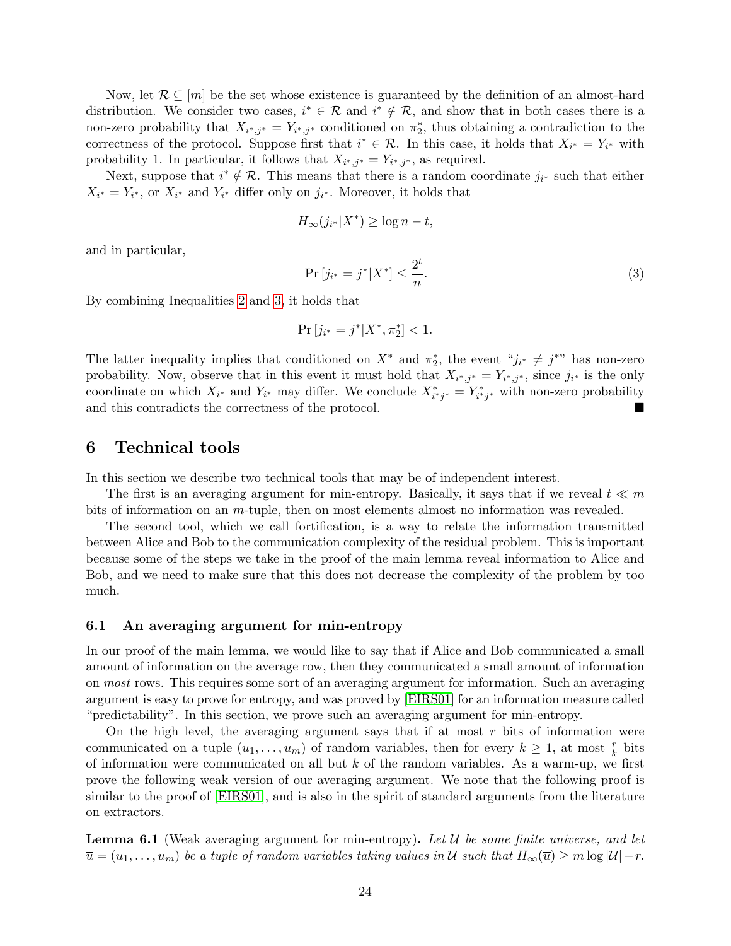Now, let  $\mathcal{R} \subseteq [m]$  be the set whose existence is guaranteed by the definition of an almost-hard distribution. We consider two cases,  $i^* \in \mathcal{R}$  and  $i^* \notin \mathcal{R}$ , and show that in both cases there is a non-zero probability that  $X_{i^*,j^*} = Y_{i^*,j^*}$  conditioned on  $\pi^*_{2}$ , thus obtaining a contradiction to the correctness of the protocol. Suppose first that  $i^* \in \mathcal{R}$ . In this case, it holds that  $X_{i^*} = Y_{i^*}$  with probability 1. In particular, it follows that  $X_{i^*,j^*} = Y_{i^*,j^*}$ , as required.

Next, suppose that  $i^* \notin \mathcal{R}$ . This means that there is a random coordinate  $j_{i^*}$  such that either  $X_{i^*} = Y_{i^*}$ , or  $X_{i^*}$  and  $Y_{i^*}$  differ only on  $j_{i^*}$ . Moreover, it holds that

$$
H_{\infty}(j_{i^*}|X^*) \ge \log n - t,
$$

and in particular,

<span id="page-23-2"></span>
$$
\Pr\left[j_{i^*} = j^* | X^* \right] \le \frac{2^t}{n}.\tag{3}
$$

By combining Inequalities [2](#page-22-1) and [3,](#page-23-2) it holds that

$$
\Pr\left[j_{i^*} = j^* | X^*, \pi_2^*\right] < 1.
$$

The latter inequality implies that conditioned on  $X^*$  and  $\pi^*_2$ , the event " $j_{i^*} \neq j^{**}$ " has non-zero probability. Now, observe that in this event it must hold that  $X_{i^*,j^*} = Y_{i^*,j^*}$ , since  $j_{i^*}$  is the only coordinate on which  $X_{i^*}$  and  $Y_{i^*}$  may differ. We conclude  $X_{i^*j^*}^* = Y_{i^*j^*}^*$  with non-zero probability and this contradicts the correctness of the protocol.

## <span id="page-23-0"></span>6 Technical tools

In this section we describe two technical tools that may be of independent interest.

The first is an averaging argument for min-entropy. Basically, it says that if we reveal  $t \ll m$ bits of information on an m-tuple, then on most elements almost no information was revealed.

The second tool, which we call fortification, is a way to relate the information transmitted between Alice and Bob to the communication complexity of the residual problem. This is important because some of the steps we take in the proof of the main lemma reveal information to Alice and Bob, and we need to make sure that this does not decrease the complexity of the problem by too much.

### <span id="page-23-1"></span>6.1 An averaging argument for min-entropy

In our proof of the main lemma, we would like to say that if Alice and Bob communicated a small amount of information on the average row, then they communicated a small amount of information on most rows. This requires some sort of an averaging argument for information. Such an averaging argument is easy to prove for entropy, and was proved by [\[EIRS01\]](#page-51-0) for an information measure called "predictability". In this section, we prove such an averaging argument for min-entropy.

On the high level, the averaging argument says that if at most  $r$  bits of information were communicated on a tuple  $(u_1, \ldots, u_m)$  of random variables, then for every  $k \geq 1$ , at most  $\frac{r}{k}$  bits of information were communicated on all but  $k$  of the random variables. As a warm-up, we first prove the following weak version of our averaging argument. We note that the following proof is similar to the proof of [\[EIRS01\]](#page-51-0), and is also in the spirit of standard arguments from the literature on extractors.

**Lemma 6.1** (Weak averaging argument for min-entropy). Let  $\mathcal{U}$  be some finite universe, and let  $\overline{u} = (u_1, \ldots, u_m)$  be a tuple of random variables taking values in U such that  $H_{\infty}(\overline{u}) \geq m \log |\mathcal{U}| - r$ .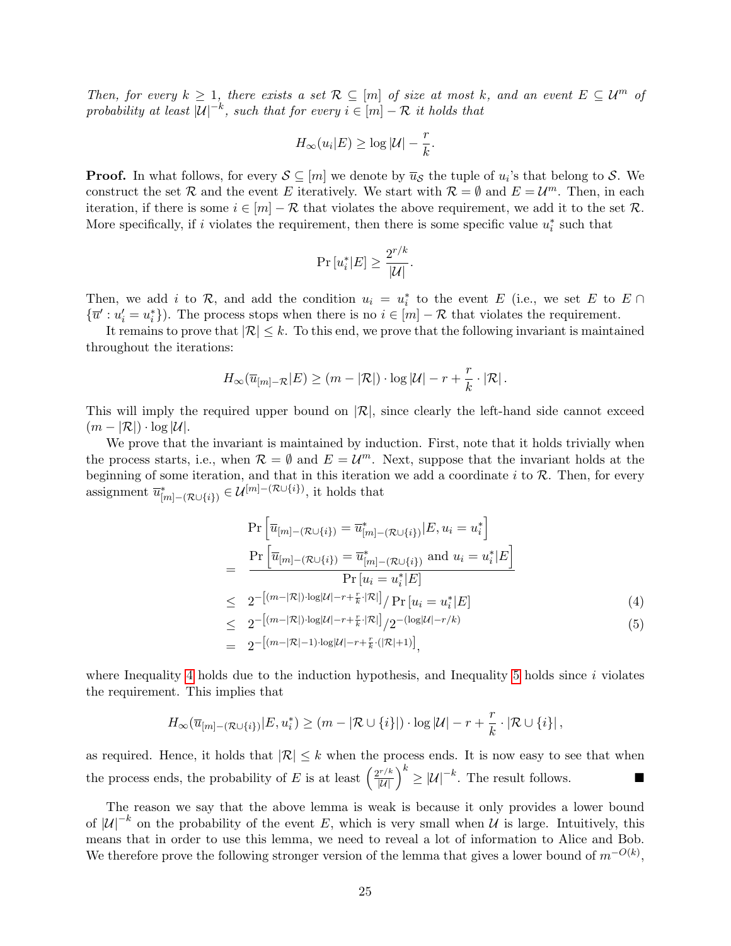Then, for every  $k \geq 1$ , there exists a set  $\mathcal{R} \subseteq [m]$  of size at most k, and an event  $E \subseteq \mathcal{U}^m$  of probability at least  $|U|^{-k}$ , such that for every  $i \in [m] - \mathcal{R}$  it holds that

$$
H_{\infty}(u_i|E) \ge \log |\mathcal{U}| - \frac{r}{k}.
$$

**Proof.** In what follows, for every  $S \subseteq [m]$  we denote by  $\overline{u}_{\mathcal{S}}$  the tuple of  $u_i$ 's that belong to S. We construct the set R and the event E iteratively. We start with  $\mathcal{R} = \emptyset$  and  $E = \mathcal{U}^m$ . Then, in each iteration, if there is some  $i \in [m] - \mathcal{R}$  that violates the above requirement, we add it to the set  $\mathcal{R}$ . More specifically, if i violates the requirement, then there is some specific value  $u_i^*$  such that

$$
\Pr\left[u_i^*|E\right] \ge \frac{2^{r/k}}{|\mathcal{U}|}.
$$

Then, we add i to  $\mathcal{R}$ , and add the condition  $u_i = u_i^*$  to the event E (i.e., we set E to E  $\cap$  $\{\overline{u}' : u'_i = u_i^*\}$ . The process stops when there is no  $i \in [m] - \mathcal{R}$  that violates the requirement.

It remains to prove that  $|\mathcal{R}| \leq k$ . To this end, we prove that the following invariant is maintained throughout the iterations:

$$
H_{\infty}(\overline{u}_{[m]-R}|E) \geq (m - |\mathcal{R}|) \cdot \log |\mathcal{U}| - r + \frac{r}{k} \cdot |\mathcal{R}|.
$$

This will imply the required upper bound on  $|\mathcal{R}|$ , since clearly the left-hand side cannot exceed  $(m - |\mathcal{R}|) \cdot \log |\mathcal{U}|.$ 

We prove that the invariant is maintained by induction. First, note that it holds trivially when the process starts, i.e., when  $\mathcal{R} = \emptyset$  and  $E = \mathcal{U}^m$ . Next, suppose that the invariant holds at the beginning of some iteration, and that in this iteration we add a coordinate  $i$  to  $R$ . Then, for every assignment  $\overline{u}_{[m] - (\mathcal{R} \cup \{i\})}^* \in \mathcal{U}^{[m] - (\mathcal{R} \cup \{i\})}$ , it holds that

<span id="page-24-0"></span>
$$
\Pr\left[\overline{u}_{[m] - (\mathcal{R} \cup \{i\})} = \overline{u}_{[m] - (\mathcal{R} \cup \{i\})}^{*}|E, u_i = u_i^{*}\right]
$$
\n
$$
= \frac{\Pr\left[\overline{u}_{[m] - (\mathcal{R} \cup \{i\})} = \overline{u}_{[m] - (\mathcal{R} \cup \{i\})}^{*}\text{ and } u_i = u_i^{*}|E\right]}{\Pr\left[u_i = u_i^{*}|E\right]}
$$
\n
$$
\leq 2^{-\left[(m - |\mathcal{R}|) \cdot \log|\mathcal{U}| - r + \frac{r}{k} \cdot |\mathcal{R}| \right]}/\Pr\left[u_i = u_i^{*}|E\right]}
$$
\n
$$
\leq 2^{-\left[(m - |\mathcal{R}|) \cdot \log|\mathcal{U}| - r + \frac{r}{k} \cdot |\mathcal{R}| \right]}/2^{-\left(\log|\mathcal{U}| - r/k\right)} (4)
$$
\n
$$
= 2^{-\left[(m - |\mathcal{R}| - 1) \cdot \log|\mathcal{U}| - r + \frac{r}{k} \cdot (|\mathcal{R}| + 1)\right]},
$$

where Inequality [4](#page-24-0) holds due to the induction hypothesis, and Inequality [5](#page-24-0) holds since  $i$  violates the requirement. This implies that

$$
H_{\infty}(\overline{u}_{[m]-({\mathcal{R}}\cup\{i\})}|E,u_i^*)\geq (m-|{\mathcal{R}}\cup\{i\}|)\cdot \log|{\mathcal{U}}|-r+\frac{r}{k}\cdot |{\mathcal{R}}\cup\{i\}|,
$$

as required. Hence, it holds that  $|\mathcal{R}| \leq k$  when the process ends. It is now easy to see that when the process ends, the probability of E is at least  $\left(\frac{2^{r/k}}{|U|}\right)^k \geq |U|^{-k}$ . The result follows.

The reason we say that the above lemma is weak is because it only provides a lower bound of  $|U|^{-k}$  on the probability of the event E, which is very small when U is large. Intuitively, this means that in order to use this lemma, we need to reveal a lot of information to Alice and Bob. We therefore prove the following stronger version of the lemma that gives a lower bound of  $m^{-O(k)}$ ,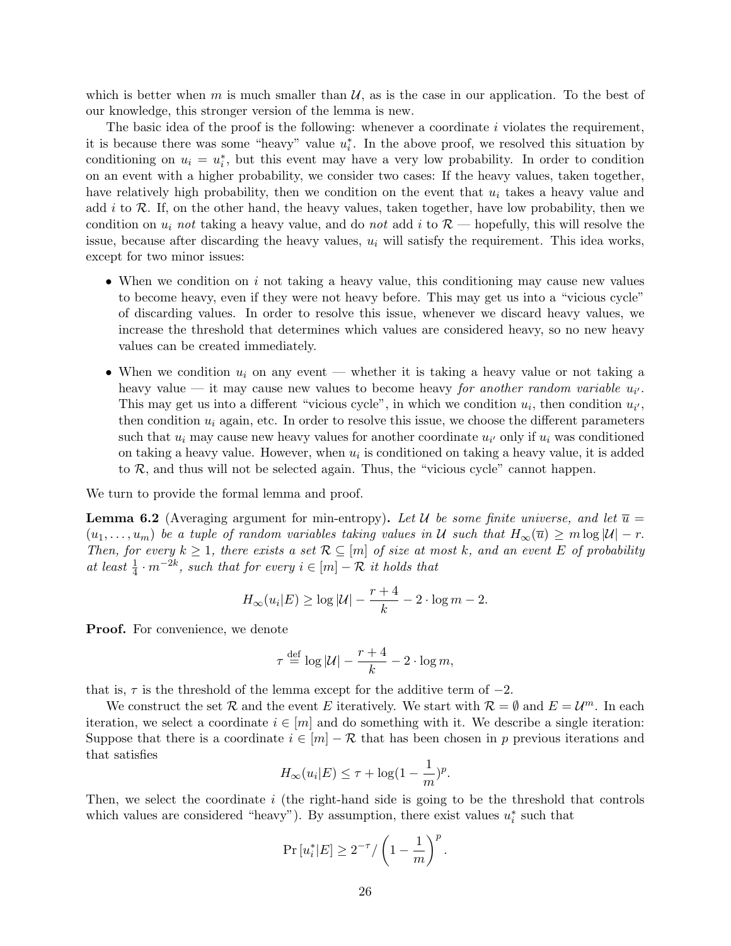which is better when m is much smaller than  $\mathcal{U}$ , as is the case in our application. To the best of our knowledge, this stronger version of the lemma is new.

The basic idea of the proof is the following: whenever a coordinate  $i$  violates the requirement, it is because there was some "heavy" value  $u_i^*$ . In the above proof, we resolved this situation by conditioning on  $u_i = u_i^*$ , but this event may have a very low probability. In order to condition on an event with a higher probability, we consider two cases: If the heavy values, taken together, have relatively high probability, then we condition on the event that  $u_i$  takes a heavy value and add  $i$  to  $R$ . If, on the other hand, the heavy values, taken together, have low probability, then we condition on  $u_i$  not taking a heavy value, and do not add i to  $\mathcal{R}$  — hopefully, this will resolve the issue, because after discarding the heavy values,  $u_i$  will satisfy the requirement. This idea works, except for two minor issues:

- When we condition on  $i$  not taking a heavy value, this conditioning may cause new values to become heavy, even if they were not heavy before. This may get us into a "vicious cycle" of discarding values. In order to resolve this issue, whenever we discard heavy values, we increase the threshold that determines which values are considered heavy, so no new heavy values can be created immediately.
- When we condition  $u_i$  on any event whether it is taking a heavy value or not taking a heavy value — it may cause new values to become heavy *for another random variable*  $u_{i'}$ *.* This may get us into a different "vicious cycle", in which we condition  $u_i$ , then condition  $u_{i'}$ , then condition  $u_i$  again, etc. In order to resolve this issue, we choose the different parameters such that  $u_i$  may cause new heavy values for another coordinate  $u_{i'}$  only if  $u_i$  was conditioned on taking a heavy value. However, when  $u_i$  is conditioned on taking a heavy value, it is added to  $\mathcal{R}$ , and thus will not be selected again. Thus, the "vicious cycle" cannot happen.

<span id="page-25-0"></span>We turn to provide the formal lemma and proof.

**Lemma 6.2** (Averaging argument for min-entropy). Let U be some finite universe, and let  $\overline{u} =$  $(u_1, \ldots, u_m)$  be a tuple of random variables taking values in U such that  $H_\infty(\overline{u}) \geq m \log |\mathcal{U}| - r$ . Then, for every  $k \geq 1$ , there exists a set  $\mathcal{R} \subseteq [m]$  of size at most k, and an event E of probability at least  $\frac{1}{4} \cdot m^{-2k}$ , such that for every  $i \in [m] - \mathcal{R}$  it holds that

$$
H_{\infty}(u_i|E) \ge \log |\mathcal{U}| - \frac{r+4}{k} - 2 \cdot \log m - 2.
$$

Proof. For convenience, we denote

$$
\tau \stackrel{\text{def}}{=} \log |\mathcal{U}| - \frac{r+4}{k} - 2 \cdot \log m,
$$

that is,  $\tau$  is the threshold of the lemma except for the additive term of  $-2$ .

We construct the set R and the event E iteratively. We start with  $\mathcal{R} = \emptyset$  and  $E = \mathcal{U}^m$ . In each iteration, we select a coordinate  $i \in [m]$  and do something with it. We describe a single iteration: Suppose that there is a coordinate  $i \in [m] - \mathcal{R}$  that has been chosen in p previous iterations and that satisfies

$$
H_{\infty}(u_i|E) \le \tau + \log(1 - \frac{1}{m})^p.
$$

Then, we select the coordinate  $i$  (the right-hand side is going to be the threshold that controls which values are considered "heavy"). By assumption, there exist values  $u_i^*$  such that

$$
\Pr\left[u_i^*|E\right] \ge 2^{-\tau}/\left(1-\frac{1}{m}\right)^p.
$$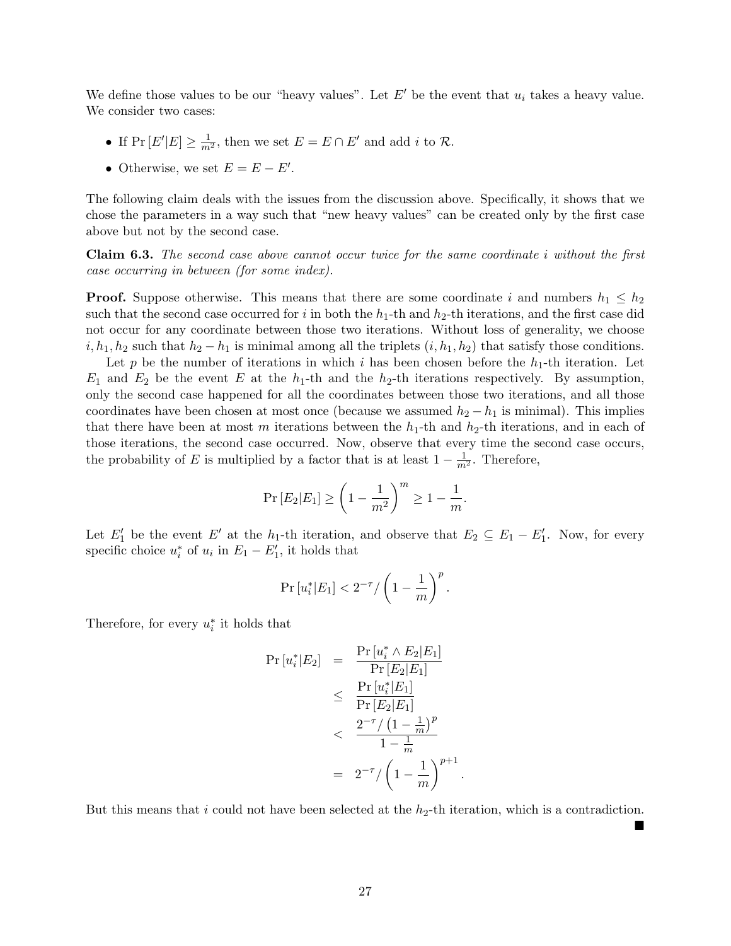We define those values to be our "heavy values". Let  $E'$  be the event that  $u_i$  takes a heavy value. We consider two cases:

- If  $Pr[E'|E] \ge \frac{1}{m^2}$ , then we set  $E = E \cap E'$  and add *i* to  $\mathcal{R}$ .
- Otherwise, we set  $E = E E'$ .

The following claim deals with the issues from the discussion above. Specifically, it shows that we chose the parameters in a way such that "new heavy values" can be created only by the first case above but not by the second case.

Claim 6.3. The second case above cannot occur twice for the same coordinate i without the first case occurring in between (for some index).

**Proof.** Suppose otherwise. This means that there are some coordinate i and numbers  $h_1 \leq h_2$ such that the second case occurred for i in both the  $h_1$ -th and  $h_2$ -th iterations, and the first case did not occur for any coordinate between those two iterations. Without loss of generality, we choose  $i, h_1, h_2$  such that  $h_2 - h_1$  is minimal among all the triplets  $(i, h_1, h_2)$  that satisfy those conditions.

Let p be the number of iterations in which i has been chosen before the  $h_1$ -th iteration. Let  $E_1$  and  $E_2$  be the event E at the  $h_1$ -th and the  $h_2$ -th iterations respectively. By assumption, only the second case happened for all the coordinates between those two iterations, and all those coordinates have been chosen at most once (because we assumed  $h_2 - h_1$  is minimal). This implies that there have been at most m iterations between the  $h_1$ -th and  $h_2$ -th iterations, and in each of those iterations, the second case occurred. Now, observe that every time the second case occurs, the probability of E is multiplied by a factor that is at least  $1 - \frac{1}{m^2}$ . Therefore,

$$
Pr [E_2 | E_1] \ge \left(1 - \frac{1}{m^2}\right)^m \ge 1 - \frac{1}{m}.
$$

Let  $E'_1$  be the event E' at the h<sub>1</sub>-th iteration, and observe that  $E_2 \subseteq E_1 - E'_1$ . Now, for every specific choice  $u_i^*$  of  $u_i$  in  $E_1 - E_1'$ , it holds that

$$
\Pr\left[u_i^*|E_1\right] < 2^{-\tau} / \left(1 - \frac{1}{m}\right)^p.
$$

Therefore, for every  $u_i^*$  it holds that

$$
\Pr\left[u_i^*|E_2\right] = \frac{\Pr\left[u_i^* \wedge E_2|E_1\right]}{\Pr\left[E_2|E_1\right]} \\
\leq \frac{\Pr\left[u_i^*|E_1\right]}{\Pr\left[E_2|E_1\right]} \\
<\frac{2^{-\tau}/\left(1-\frac{1}{m}\right)^p}{1-\frac{1}{m}} \\
= 2^{-\tau}/\left(1-\frac{1}{m}\right)^{p+1}.
$$

But this means that i could not have been selected at the  $h_2$ -th iteration, which is a contradiction.

 $\blacksquare$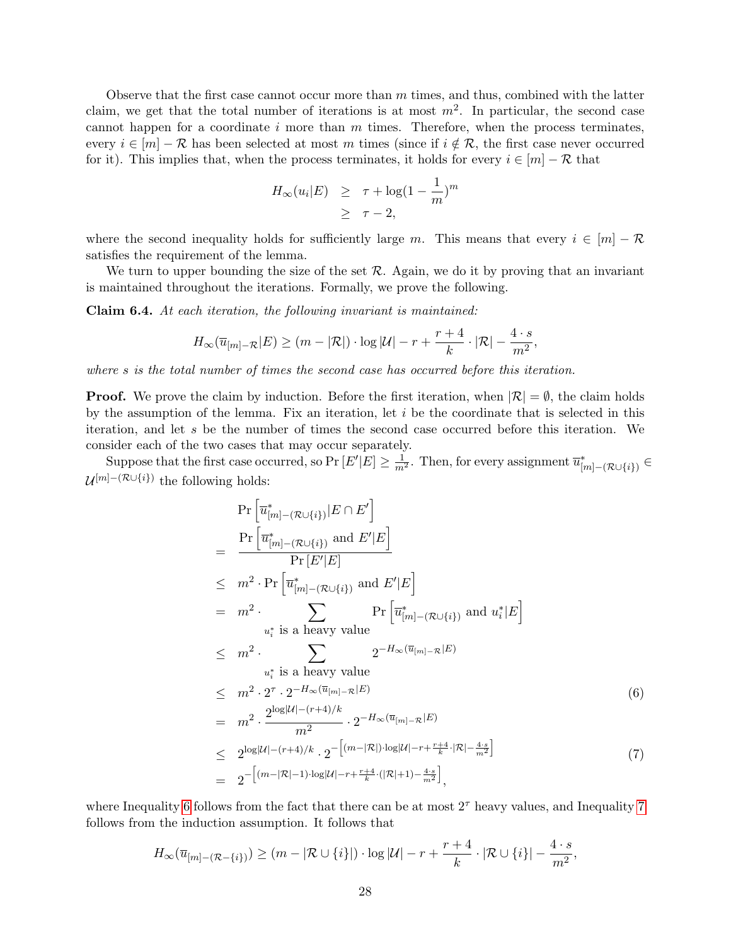Observe that the first case cannot occur more than  $m$  times, and thus, combined with the latter claim, we get that the total number of iterations is at most  $m^2$ . In particular, the second case cannot happen for a coordinate  $i$  more than  $m$  times. Therefore, when the process terminates, every  $i \in [m] - \mathcal{R}$  has been selected at most m times (since if  $i \notin \mathcal{R}$ , the first case never occurred for it). This implies that, when the process terminates, it holds for every  $i \in [m] - \mathcal{R}$  that

$$
H_{\infty}(u_i|E) \geq \tau + \log(1 - \frac{1}{m})^m
$$
  
 
$$
\geq \tau - 2,
$$

where the second inequality holds for sufficiently large m. This means that every  $i \in [m] - \mathcal{R}$ satisfies the requirement of the lemma.

We turn to upper bounding the size of the set  $R$ . Again, we do it by proving that an invariant is maintained throughout the iterations. Formally, we prove the following.

Claim 6.4. At each iteration, the following invariant is maintained:

$$
H_{\infty}(\overline{u}_{[m]-\mathcal{R}}|E) \ge (m - |\mathcal{R}|) \cdot \log |\mathcal{U}| - r + \frac{r+4}{k} \cdot |\mathcal{R}| - \frac{4 \cdot s}{m^2},
$$

where s is the total number of times the second case has occurred before this iteration.

**Proof.** We prove the claim by induction. Before the first iteration, when  $|\mathcal{R}| = \emptyset$ , the claim holds by the assumption of the lemma. Fix an iteration, let  $i$  be the coordinate that is selected in this iteration, and let s be the number of times the second case occurred before this iteration. We consider each of the two cases that may occur separately.

Suppose that the first case occurred, so Pr  $[E'|E] \geq \frac{1}{m^2}$ . Then, for every assignment  $\overline{u}_{[m]-({\cal R} \cup \{i\})}^* \in$  $\mathcal{U}^{[m] - (\mathcal{R} \cup \{i\})}$  the following holds:

<span id="page-27-0"></span>
$$
\Pr\left[\overline{u}_{[m] - (\mathcal{R} \cup \{i\})}^{*} | E \cap E'\right]
$$
\n
$$
= \frac{\Pr\left[\overline{u}_{[m] - (\mathcal{R} \cup \{i\})}^{*} \text{ and } E'|E\right]}{\Pr\left[E'|E\right]}
$$
\n
$$
\leq m^{2} \cdot \Pr\left[\overline{u}_{[m] - (\mathcal{R} \cup \{i\})}^{*} \text{ and } E'|E\right]
$$
\n
$$
= m^{2} \cdot \sum_{u_{i}^{*} \text{ is a heavy value}} \Pr\left[\overline{u}_{[m] - (\mathcal{R} \cup \{i\})}^{*} \text{ and } u_{i}^{*} | E\right]
$$
\n
$$
\leq m^{2} \cdot \sum_{u_{i}^{*} \text{ is a heavy value}} 2^{-H_{\infty}(\overline{u}_{[m] - \mathcal{R}}|E)}
$$
\n
$$
\leq m^{2} \cdot 2^{\tau} \cdot 2^{-H_{\infty}(\overline{u}_{[m] - \mathcal{R}}|E)} \qquad (6)
$$
\n
$$
= m^{2} \cdot \frac{2^{\log|\mathcal{U}| - (r+4)/k}}{m^{2}} \cdot 2^{-H_{\infty}(\overline{u}_{[m] - \mathcal{R}}|E)} \qquad (6)
$$
\n
$$
\leq 2^{\log|\mathcal{U}| - (r+4)/k} \cdot 2^{-\left[(m-|\mathcal{R}|) \cdot \log|\mathcal{U}| - r + \frac{r+4}{k} \cdot |\mathcal{R}| - \frac{4 \cdot s}{m^{2}}\right]} \qquad (7)
$$

where Inequality [6](#page-27-0) follows from the fact that there can be at most  $2^{\tau}$  heavy values, and Inequality [7](#page-27-0) follows from the induction assumption. It follows that

$$
H_{\infty}(\overline{u}_{[m]-(\mathcal{R}-\{i\})}) \geq (m-|\mathcal{R}\cup\{i\}|) \cdot \log|\mathcal{U}| - r + \frac{r+4}{k} \cdot |\mathcal{R}\cup\{i\}| - \frac{4\cdot s}{m^2},
$$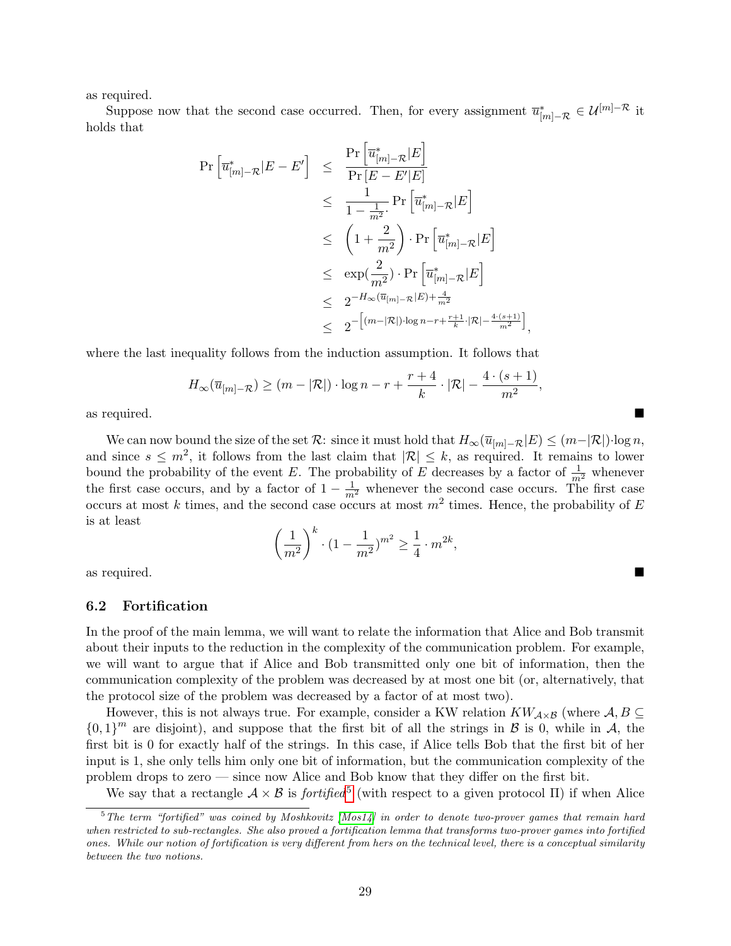as required.

Suppose now that the second case occurred. Then, for every assignment  $\overline{u}_{[m]-\mathcal{R}}^* \in \mathcal{U}^{[m]-\mathcal{R}}$  it holds that

$$
\begin{array}{rcl} \Pr\left[\overline{u}_{[m]-\mathcal{R}}^{*}|E-E^{\prime}\right] & \leq & \frac{\Pr\left[\overline{u}_{[m]-\mathcal{R}}^{*}|E\right]}{\Pr\left[E-E^{\prime}|E\right]} \\ & \leq & \frac{1}{1-\frac{1}{m^{2}}}. \Pr\left[\overline{u}_{[m]-\mathcal{R}}^{*}|E\right] \\ & \leq & \left(1+\frac{2}{m^{2}}\right) \cdot \Pr\left[\overline{u}_{[m]-\mathcal{R}}^{*}|E\right] \\ & \leq & \exp(\frac{2}{m^{2}}) \cdot \Pr\left[\overline{u}_{[m]-\mathcal{R}}^{*}|E\right] \\ & \leq & 2^{-H_{\infty}(\overline{u}_{[m]-\mathcal{R}}|E)+\frac{4}{m^{2}}} \\ & \leq & 2^{-\left[(m-|\mathcal{R}|) \cdot \log n-r+\frac{r+1}{k} \cdot |\mathcal{R}|-\frac{4-(s+1)}{m^{2}}\right)} \end{array}
$$

where the last inequality follows from the induction assumption. It follows that

$$
H_{\infty}(\overline{u}_{[m]-\mathcal{R}}) \geq (m-|\mathcal{R}|) \cdot \log n - r + \frac{r+4}{k} \cdot |\mathcal{R}| - \frac{4 \cdot (s+1)}{m^2},
$$

i ,

as required.

We can now bound the size of the set R: since it must hold that  $H_{\infty}(\overline{u}_{[m]-R}|E) \leq (m-|\mathcal{R}|)\cdot \log n$ , and since  $s \leq m^2$ , it follows from the last claim that  $|\mathcal{R}| \leq k$ , as required. It remains to lower bound the probability of the event E. The probability of E decreases by a factor of  $\frac{1}{m^2}$  whenever the first case occurs, and by a factor of  $1 - \frac{1}{m^2}$  whenever the second case occurs. The first case occurs at most k times, and the second case occurs at most  $m^2$  times. Hence, the probability of E is at least

$$
\left(\frac{1}{m^2}\right)^k \cdot (1 - \frac{1}{m^2})^{m^2} \ge \frac{1}{4} \cdot m^{2k},
$$

as required.

#### <span id="page-28-0"></span>6.2 Fortification

In the proof of the main lemma, we will want to relate the information that Alice and Bob transmit about their inputs to the reduction in the complexity of the communication problem. For example, we will want to argue that if Alice and Bob transmitted only one bit of information, then the communication complexity of the problem was decreased by at most one bit (or, alternatively, that the protocol size of the problem was decreased by a factor of at most two).

However, this is not always true. For example, consider a KW relation  $KW_{\mathcal{A}\times\mathcal{B}}$  (where  $\mathcal{A}, B \subseteq$  ${0,1}^m$  are disjoint), and suppose that the first bit of all the strings in B is 0, while in A, the first bit is 0 for exactly half of the strings. In this case, if Alice tells Bob that the first bit of her input is 1, she only tells him only one bit of information, but the communication complexity of the problem drops to zero — since now Alice and Bob know that they differ on the first bit.

We say that a rectangle  $A \times B$  is *fortified*<sup>[5](#page-28-1)</sup> (with respect to a given protocol II) if when Alice

<span id="page-28-1"></span> $5$ The term "fortified" was coined by Moshkovitz [\[Mos14\]](#page-52-13) in order to denote two-prover games that remain hard when restricted to sub-rectangles. She also proved a fortification lemma that transforms two-prover games into fortified ones. While our notion of fortification is very different from hers on the technical level, there is a conceptual similarity between the two notions.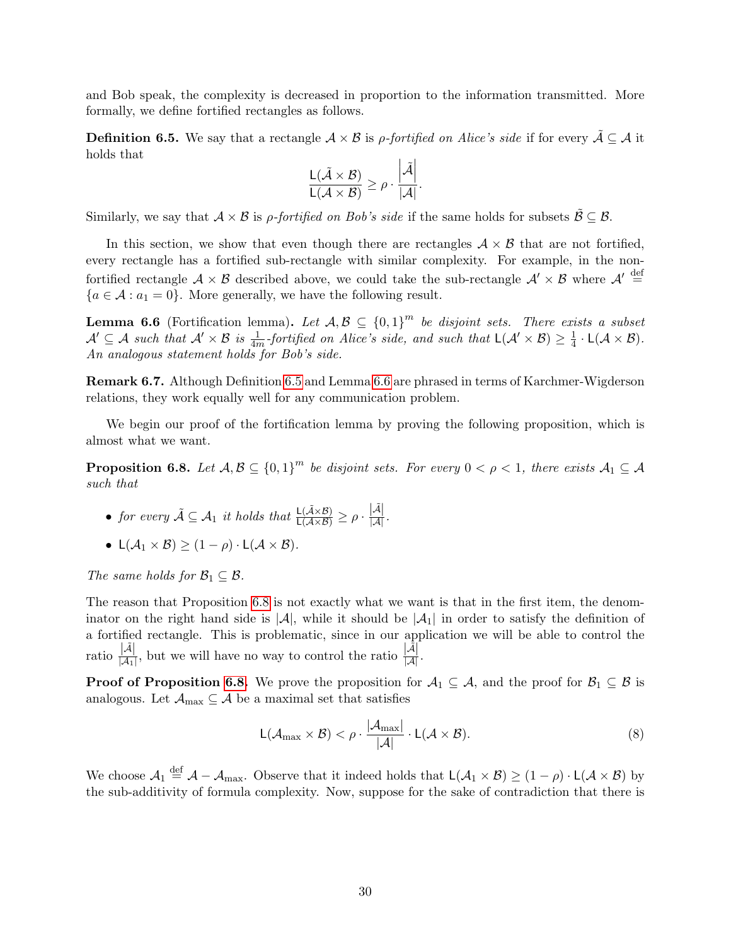and Bob speak, the complexity is decreased in proportion to the information transmitted. More formally, we define fortified rectangles as follows.

<span id="page-29-0"></span>**Definition 6.5.** We say that a rectangle  $A \times B$  is *ρ-fortified on Alice's side* if for every  $\tilde{A} \subseteq A$  it holds that

$$
\frac{\mathsf{L}(\tilde{\mathcal{A}} \times \mathcal{B})}{\mathsf{L}(\mathcal{A} \times \mathcal{B})} \geq \rho \cdot \frac{\left|\tilde{\mathcal{A}}\right|}{|\mathcal{A}|}.
$$

Similarly, we say that  $A \times B$  is *ρ-fortified on Bob's side* if the same holds for subsets  $\tilde{B} \subseteq B$ .

In this section, we show that even though there are rectangles  $A \times B$  that are not fortified, every rectangle has a fortified sub-rectangle with similar complexity. For example, in the nonfortified rectangle  $A \times B$  described above, we could take the sub-rectangle  $A' \times B$  where  $A' \stackrel{\text{def}}{=}$  ${a \in \mathcal{A} : a_1 = 0}$ . More generally, we have the following result.

<span id="page-29-1"></span>**Lemma 6.6** (Fortification lemma). Let  $A, B \subseteq \{0,1\}^m$  be disjoint sets. There exists a subset  $\mathcal{A}' \subseteq \mathcal{A}$  such that  $\mathcal{A}' \times \mathcal{B}$  is  $\frac{1}{4m}$ -fortified on Alice's side, and such that  $L(\mathcal{A}' \times \mathcal{B}) \geq \frac{1}{4}$  $\frac{1}{4} \cdot L(\mathcal{A} \times \mathcal{B}).$ An analogous statement holds for Bob's side.

Remark 6.7. Although Definition [6.5](#page-29-0) and Lemma [6.6](#page-29-1) are phrased in terms of Karchmer-Wigderson relations, they work equally well for any communication problem.

We begin our proof of the fortification lemma by proving the following proposition, which is almost what we want.

<span id="page-29-2"></span>**Proposition 6.8.** Let  $A, B \subseteq \{0,1\}^m$  be disjoint sets. For every  $0 < \rho < 1$ , there exists  $A_1 \subseteq A$ such that

- for every  $\tilde{\mathcal{A}} \subseteq \mathcal{A}_1$  it holds that  $\frac{\mathsf{L}(\tilde{\mathcal{A}} \times \mathcal{B})}{\mathsf{L}(\mathcal{A} \times \mathcal{B})} \geq \rho \cdot \frac{|\tilde{\mathcal{A}}|}{|\mathcal{A}|}$ .
- $L(\mathcal{A}_1 \times \mathcal{B}) \geq (1 \rho) \cdot L(\mathcal{A} \times \mathcal{B}).$

The same holds for  $\mathcal{B}_1 \subseteq \mathcal{B}$ .

The reason that Proposition [6.8](#page-29-2) is not exactly what we want is that in the first item, the denominator on the right hand side is  $|\mathcal{A}|$ , while it should be  $|\mathcal{A}|$  in order to satisfy the definition of a fortified rectangle. This is problematic, since in our application we will be able to control the ratio  $\frac{|\tilde{\mathcal{A}}|}{|\mathcal{A}_1|}$ , but we will have no way to control the ratio  $\frac{|\tilde{\mathcal{A}}|}{|\mathcal{A}|}$ .

**Proof of Proposition [6.8.](#page-29-2)** We prove the proposition for  $A_1 \subseteq A$ , and the proof for  $B_1 \subseteq B$  is analogous. Let  $\mathcal{A}_{\text{max}} \subseteq \mathcal{A}$  be a maximal set that satisfies

<span id="page-29-3"></span>
$$
L(\mathcal{A}_{\max} \times \mathcal{B}) < \rho \cdot \frac{|\mathcal{A}_{\max}|}{|\mathcal{A}|} \cdot L(\mathcal{A} \times \mathcal{B}). \tag{8}
$$

We choose  $A_1 \stackrel{\text{def}}{=} A - A_{\text{max}}$ . Observe that it indeed holds that  $L(A_1 \times B) \ge (1 - \rho) \cdot L(A \times B)$  by the sub-additivity of formula complexity. Now, suppose for the sake of contradiction that there is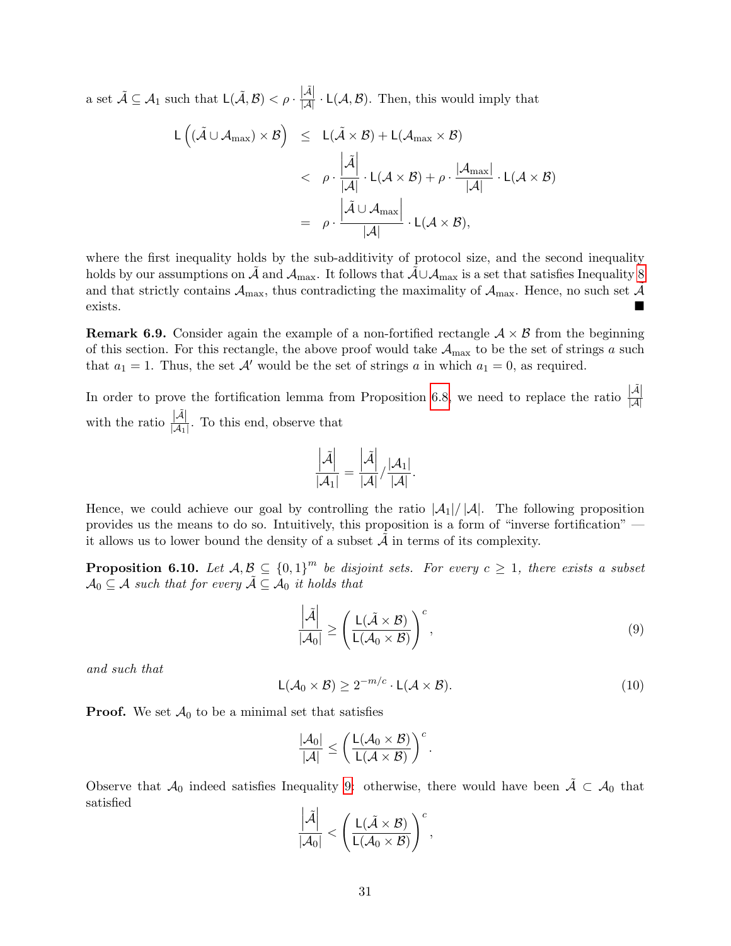a set  $\tilde{\mathcal{A}} \subseteq \mathcal{A}_1$  such that  $\mathsf{L}(\tilde{\mathcal{A}}, \mathcal{B}) < \rho \cdot \frac{|\tilde{\mathcal{A}}|}{|\mathcal{A}|} \cdot \mathsf{L}(\mathcal{A}, \mathcal{B})$ . Then, this would imply that

$$
L((\tilde{\mathcal{A}} \cup \mathcal{A}_{max}) \times \mathcal{B}) \leq L(\tilde{\mathcal{A}} \times \mathcal{B}) + L(\mathcal{A}_{max} \times \mathcal{B})
$$
  

$$
< \rho \cdot \frac{|\tilde{\mathcal{A}}|}{|\mathcal{A}|} \cdot L(\mathcal{A} \times \mathcal{B}) + \rho \cdot \frac{|\mathcal{A}_{max}|}{|\mathcal{A}|} \cdot L(\mathcal{A} \times \mathcal{B})
$$
  

$$
= \rho \cdot \frac{|\tilde{\mathcal{A}} \cup \mathcal{A}_{max}|}{|\mathcal{A}|} \cdot L(\mathcal{A} \times \mathcal{B}),
$$

where the first inequality holds by the sub-additivity of protocol size, and the second inequality holds by our assumptions on A and  $\mathcal{A}_{\max}$ . It follows that  $\mathcal{A}\cup\mathcal{A}_{\max}$  is a set that satisfies Inequality [8](#page-29-3) and that strictly contains  $A_{\text{max}}$ , thus contradicting the maximality of  $A_{\text{max}}$ . Hence, no such set A exists.

**Remark 6.9.** Consider again the example of a non-fortified rectangle  $A \times B$  from the beginning of this section. For this rectangle, the above proof would take  $A_{\text{max}}$  to be the set of strings a such that  $a_1 = 1$ . Thus, the set  $\mathcal{A}'$  would be the set of strings a in which  $a_1 = 0$ , as required.

In order to prove the fortification lemma from Proposition [6.8,](#page-29-2) we need to replace the ratio  $\frac{|\mathcal{A}|}{|\mathcal{A}|}$ with the ratio  $\frac{|\tilde{\mathcal{A}}|}{|\mathcal{A}_1|}$ . To this end, observe that

$$
\frac{\left|\tilde{\mathcal{A}}\right|}{\left|\mathcal{A}_1\right|} = \frac{\left|\tilde{\mathcal{A}}\right|}{\left|\mathcal{A}\right|} / \frac{\left|\mathcal{A}_1\right|}{\left|\mathcal{A}\right|}.
$$

Hence, we could achieve our goal by controlling the ratio  $|\mathcal{A}_1|/|\mathcal{A}|$ . The following proposition provides us the means to do so. Intuitively, this proposition is a form of "inverse fortification" it allows us to lower bound the density of a subset  $A$  in terms of its complexity.

<span id="page-30-2"></span>**Proposition 6.10.** Let  $A, B \subseteq \{0,1\}^m$  be disjoint sets. For every  $c \geq 1$ , there exists a subset  $\mathcal{A}_0 \subseteq \mathcal{A}$  such that for every  $\tilde{\mathcal{A}} \subseteq \tilde{\mathcal{A}}_0$  it holds that

<span id="page-30-0"></span>
$$
\frac{\left|\tilde{\mathcal{A}}\right|}{\left|\mathcal{A}_0\right|} \ge \left(\frac{\mathsf{L}(\tilde{\mathcal{A}} \times \mathcal{B})}{\mathsf{L}(\mathcal{A}_0 \times \mathcal{B})}\right)^c,\tag{9}
$$

and such that

<span id="page-30-1"></span>
$$
L(\mathcal{A}_0 \times \mathcal{B}) \ge 2^{-m/c} \cdot L(\mathcal{A} \times \mathcal{B}).
$$
\n(10)

**Proof.** We set  $\mathcal{A}_0$  to be a minimal set that satisfies

$$
\frac{|\mathcal{A}_0|}{|\mathcal{A}|} \le \left(\frac{L(\mathcal{A}_0 \times \mathcal{B})}{L(\mathcal{A} \times \mathcal{B})}\right)^c.
$$

Observe that  $\mathcal{A}_0$  indeed satisfies Inequality [9:](#page-30-0) otherwise, there would have been  $\tilde{\mathcal{A}} \subset \mathcal{A}_0$  that satisfied

$$
\frac{\left|\tilde{\mathcal{A}}\right|}{|\mathcal{A}_0|} < \left(\frac{L(\tilde{\mathcal{A}} \times \mathcal{B})}{L(\mathcal{A}_0 \times \mathcal{B})}\right)^c,
$$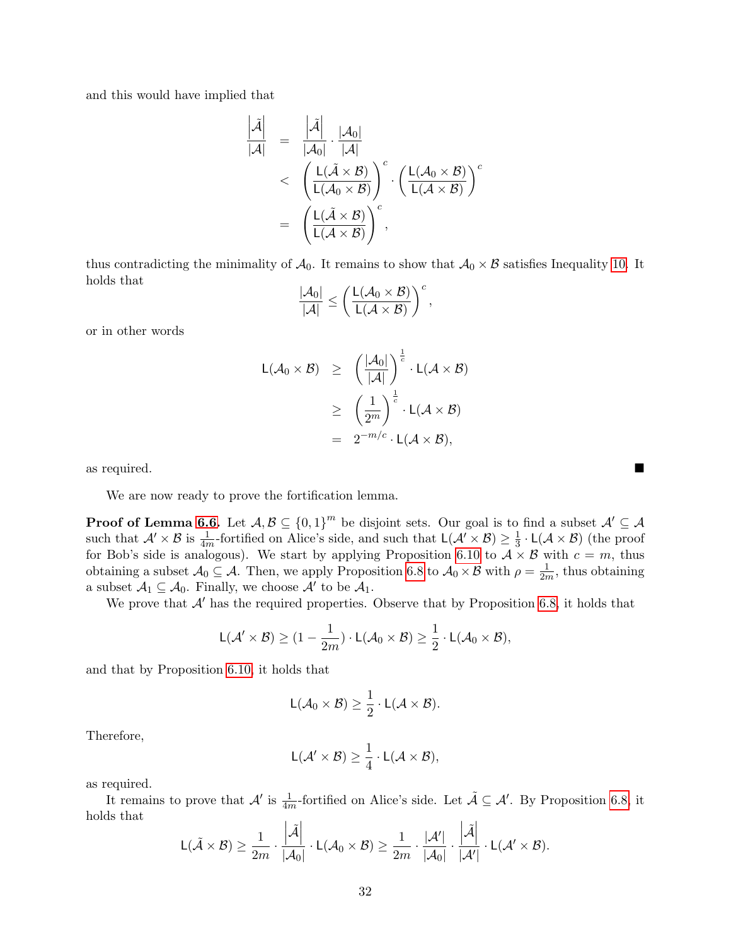and this would have implied that

$$
\frac{\left|\tilde{\mathcal{A}}\right|}{\left|\mathcal{A}\right|} = \frac{\left|\tilde{\mathcal{A}}\right|}{\left|\mathcal{A}_0\right|} \cdot \frac{\left|\mathcal{A}_0\right|}{\left|\mathcal{A}\right|} \left(\frac{L(\tilde{\mathcal{A}} \times \mathcal{B})}{L(\mathcal{A}_0 \times \mathcal{B})}\right)^c \cdot \left(\frac{L(\mathcal{A}_0 \times \mathcal{B})}{L(\mathcal{A} \times \mathcal{B})}\right)^c \\
= \left(\frac{L(\tilde{\mathcal{A}} \times \mathcal{B})}{L(\mathcal{A} \times \mathcal{B})}\right)^c,
$$

thus contradicting the minimality of  $\mathcal{A}_0$ . It remains to show that  $\mathcal{A}_0 \times \mathcal{B}$  satisfies Inequality [10.](#page-30-1) It holds that

$$
\frac{|\mathcal{A}_0|}{|\mathcal{A}|} \le \left(\frac{L(\mathcal{A}_0 \times \mathcal{B})}{L(\mathcal{A} \times \mathcal{B})}\right)^c,
$$

or in other words

$$
L(\mathcal{A}_0 \times \mathcal{B}) \ge \left(\frac{|\mathcal{A}_0|}{|\mathcal{A}|}\right)^{\frac{1}{c}} \cdot L(\mathcal{A} \times \mathcal{B})
$$
  
\n
$$
\ge \left(\frac{1}{2^m}\right)^{\frac{1}{c}} \cdot L(\mathcal{A} \times \mathcal{B})
$$
  
\n
$$
= 2^{-m/c} \cdot L(\mathcal{A} \times \mathcal{B}),
$$

as required.

We are now ready to prove the fortification lemma.

**Proof of Lemma [6.6.](#page-29-1)** Let  $A, B \subseteq \{0,1\}^m$  be disjoint sets. Our goal is to find a subset  $A' \subseteq A$ such that  $\mathcal{A}' \times \mathcal{B}$  is  $\frac{1}{4m}$ -fortified on Alice's side, and such that  $L(\mathcal{A}' \times \mathcal{B}) \ge \frac{1}{3}$  $\frac{1}{3} \cdot L(\mathcal{A} \times \mathcal{B})$  (the proof for Bob's side is analogous). We start by applying Proposition [6.10](#page-30-2) to  $A \times B$  with  $c = m$ , thus obtaining a subset  $\mathcal{A}_0 \subseteq \mathcal{A}$ . Then, we apply Proposition [6.8](#page-29-2) to  $\mathcal{A}_0 \times \mathcal{B}$  with  $\rho = \frac{1}{2n}$  $\frac{1}{2m}$ , thus obtaining a subset  $A_1 \subseteq A_0$ . Finally, we choose  $A'$  to be  $A_1$ .

We prove that  $\mathcal{A}'$  has the required properties. Observe that by Proposition [6.8,](#page-29-2) it holds that

$$
\mathsf{L}(\mathcal{A}' \times \mathcal{B}) \geq (1 - \frac{1}{2m}) \cdot \mathsf{L}(\mathcal{A}_0 \times \mathcal{B}) \geq \frac{1}{2} \cdot \mathsf{L}(\mathcal{A}_0 \times \mathcal{B}),
$$

and that by Proposition [6.10,](#page-30-2) it holds that

$$
L(\mathcal{A}_0\times\mathcal{B})\geq \frac{1}{2}\cdot L(\mathcal{A}\times\mathcal{B}).
$$

Therefore,

$$
L(\mathcal{A}' \times \mathcal{B}) \geq \frac{1}{4} \cdot L(\mathcal{A} \times \mathcal{B}),
$$

as required.

It remains to prove that  $\mathcal{A}'$  is  $\frac{1}{4m}$ -fortified on Alice's side. Let  $\tilde{\mathcal{A}} \subseteq \mathcal{A}'$ . By Proposition [6.8,](#page-29-2) it holds that

$$
\mathsf{L}(\tilde{\mathcal{A}} \times \mathcal{B}) \geq \frac{1}{2m} \cdot \frac{\left|\tilde{\mathcal{A}}\right|}{|\mathcal{A}_0|} \cdot \mathsf{L}(\mathcal{A}_0 \times \mathcal{B}) \geq \frac{1}{2m} \cdot \frac{|\mathcal{A}'|}{|\mathcal{A}_0|} \cdot \frac{\left|\tilde{\mathcal{A}}\right|}{|\mathcal{A}'|} \cdot \mathsf{L}(\mathcal{A}' \times \mathcal{B}).
$$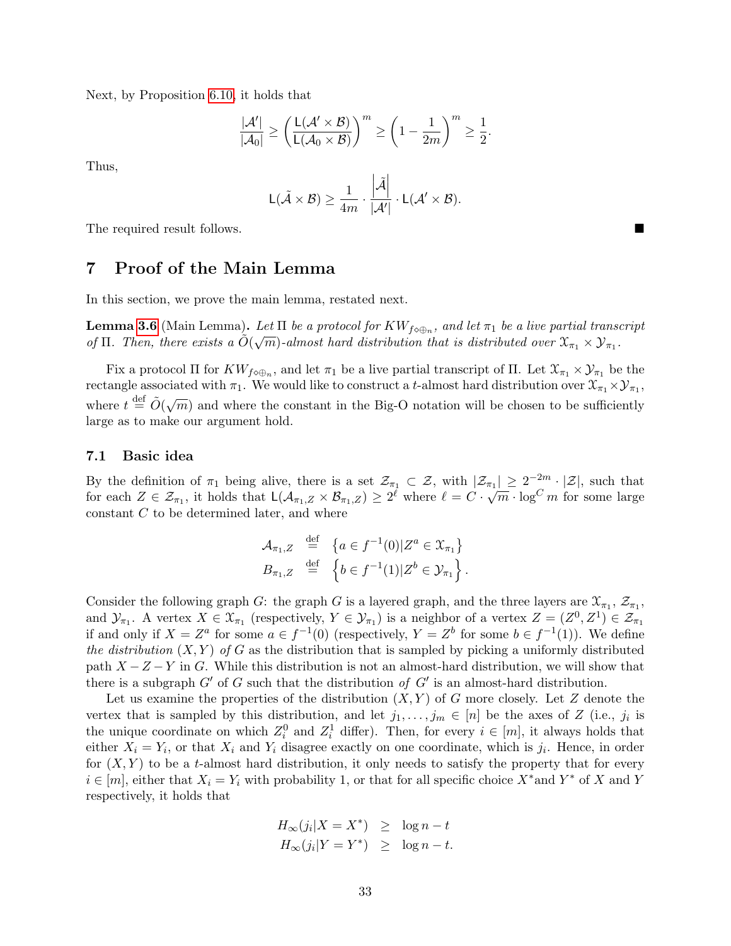Next, by Proposition [6.10,](#page-30-2) it holds that

$$
\frac{|\mathcal{A}'|}{|\mathcal{A}_0|} \ge \left(\frac{L(\mathcal{A}' \times \mathcal{B})}{L(\mathcal{A}_0 \times \mathcal{B})}\right)^m \ge \left(1 - \frac{1}{2m}\right)^m \ge \frac{1}{2}.
$$

Thus,

$$
L(\tilde{\mathcal{A}} \times \mathcal{B}) \ge \frac{1}{4m} \cdot \frac{\left|\tilde{\mathcal{A}}\right|}{|\mathcal{A}'|} \cdot L(\mathcal{A}' \times \mathcal{B}).
$$

The required result follows.

# <span id="page-32-0"></span>7 Proof of the Main Lemma

In this section, we prove the main lemma, restated next.

**Lemma [3.6](#page-15-1)** (Main Lemma). Let  $\Pi$  be a protocol for  $KW_{f\circ\oplus_n}$ , and let  $\pi_1$  be a live partial transcript of  $\Pi$ . Then, there exists a  $\tilde{O}(\sqrt{m})$ -almost hard distribution that is distributed over  $\mathfrak{X}_{\pi_1} \times \mathcal{Y}_{\pi_1}$ .

Fix a protocol  $\Pi$  for  $KW_{f\circ\oplus_n}$ , and let  $\pi_1$  be a live partial transcript of  $\Pi$ . Let  $\mathfrak{X}_{\pi_1}\times\mathcal{Y}_{\pi_1}$  be the rectangle associated with  $\pi_1$ . We would like to construct a t-almost hard distribution over  $\mathfrak{X}_{\pi_1} \times \mathcal{Y}_{\pi_1}$ , where  $t \stackrel{\text{def}}{=} \tilde{O}(\sqrt{m})$  and where the constant in the Big-O notation will be chosen to be sufficiently large as to make our argument hold.

#### <span id="page-32-1"></span>7.1 Basic idea

By the definition of  $\pi_1$  being alive, there is a set  $\mathcal{Z}_{\pi_1} \subset \mathcal{Z}$ , with  $|\mathcal{Z}_{\pi_1}| \geq 2^{-2m} \cdot |\mathcal{Z}|$ , such that for each  $Z \in \mathcal{Z}_{\pi_1}$ , it holds that  $\mathsf{L}(\mathcal{A}_{\pi_1,Z} \times \mathcal{B}_{\pi_1,Z}) \geq 2^{\ell}$  where  $\ell = C \cdot \sqrt{m} \cdot \log^C m$  for some large constant C to be determined later, and where

$$
\mathcal{A}_{\pi_1, Z} \stackrel{\text{def}}{=} \{ a \in f^{-1}(0) | Z^a \in \mathcal{X}_{\pi_1} \}
$$
  

$$
B_{\pi_1, Z} \stackrel{\text{def}}{=} \{ b \in f^{-1}(1) | Z^b \in \mathcal{Y}_{\pi_1} \}.
$$

Consider the following graph G: the graph G is a layered graph, and the three layers are  $\mathfrak{X}_{\pi_1}$ ,  $\mathcal{Z}_{\pi_1}$ , and  $\mathcal{Y}_{\pi_1}$ . A vertex  $X \in \mathcal{X}_{\pi_1}$  (respectively,  $Y \in \mathcal{Y}_{\pi_1}$ ) is a neighbor of a vertex  $Z = (Z^0, Z^1) \in \mathcal{Z}_{\pi_1}$ if and only if  $X = Z^a$  for some  $a \in f^{-1}(0)$  (respectively,  $Y = Z^b$  for some  $b \in f^{-1}(1)$ ). We define the distribution  $(X, Y)$  of G as the distribution that is sampled by picking a uniformly distributed path  $X - Z - Y$  in G. While this distribution is not an almost-hard distribution, we will show that there is a subgraph  $G'$  of G such that the distribution of  $G'$  is an almost-hard distribution.

Let us examine the properties of the distribution  $(X, Y)$  of G more closely. Let Z denote the vertex that is sampled by this distribution, and let  $j_1, \ldots, j_m \in [n]$  be the axes of Z (i.e.,  $j_i$  is the unique coordinate on which  $Z_i^0$  and  $Z_i^1$  differ). Then, for every  $i \in [m]$ , it always holds that either  $X_i = Y_i$ , or that  $X_i$  and  $Y_i$  disagree exactly on one coordinate, which is  $j_i$ . Hence, in order for  $(X, Y)$  to be a t-almost hard distribution, it only needs to satisfy the property that for every  $i \in [m]$ , either that  $X_i = Y_i$  with probability 1, or that for all specific choice  $X^*$  and  $Y^*$  of X and Y respectively, it holds that

$$
H_{\infty}(j_i|X = X^*) \ge \log n - t
$$
  

$$
H_{\infty}(j_i|Y = Y^*) \ge \log n - t.
$$

33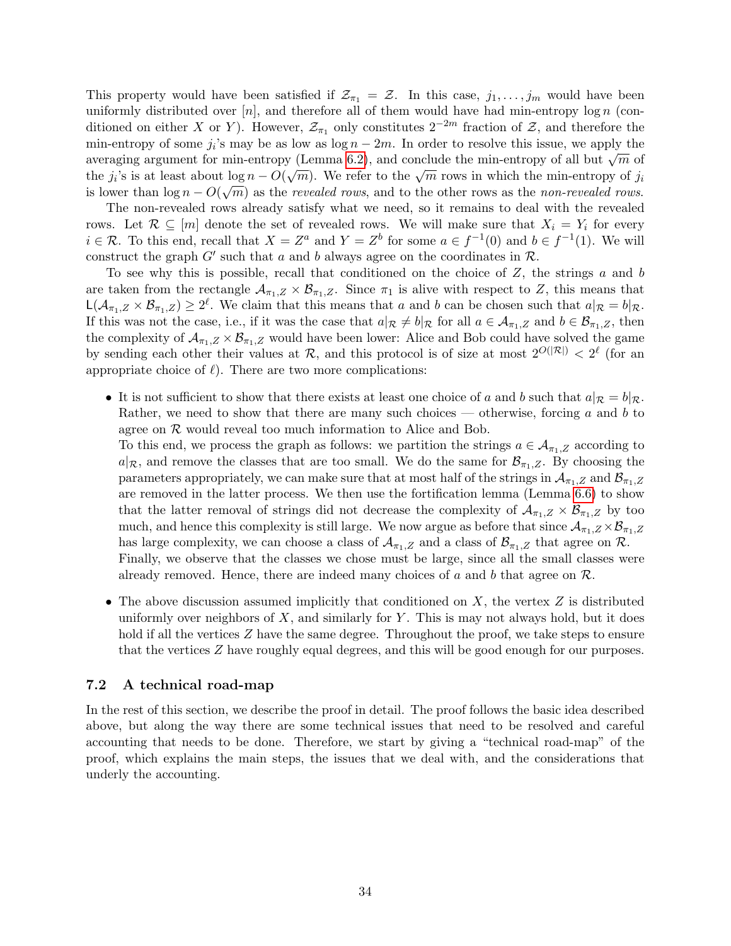This property would have been satisfied if  $\mathcal{Z}_{\pi_1} = \mathcal{Z}$ . In this case,  $j_1, \ldots, j_m$  would have been uniformly distributed over  $[n]$ , and therefore all of them would have had min-entropy log n (conditioned on either X or Y). However,  $\mathcal{Z}_{\pi_1}$  only constitutes  $2^{-2m}$  fraction of  $\mathcal{Z}$ , and therefore the min-entropy of some  $j_i$ 's may be as low as  $\log n - 2m$ . In order to resolve this issue, we apply the averaging argument for min-entropy (Lemma [6.2\)](#page-25-0), and conclude the min-entropy of all but  $\sqrt{m}$  of the j<sub>i</sub>'s is at least about  $\log n - O(\sqrt{m})$ . We refer to the  $\sqrt{m}$  rows in which the min-entropy of j<sub>i</sub> is lower than  $\log n - O(\sqrt{m})$  as the *revealed rows*, and to the other rows as the *non-revealed rows*.

The non-revealed rows already satisfy what we need, so it remains to deal with the revealed rows. Let  $\mathcal{R} \subseteq [m]$  denote the set of revealed rows. We will make sure that  $X_i = Y_i$  for every  $i \in \mathcal{R}$ . To this end, recall that  $X = Z^a$  and  $Y = Z^b$  for some  $a \in f^{-1}(0)$  and  $b \in f^{-1}(1)$ . We will construct the graph  $G'$  such that a and b always agree on the coordinates in  $\mathcal{R}$ .

To see why this is possible, recall that conditioned on the choice of  $Z$ , the strings  $a$  and  $b$ are taken from the rectangle  $\mathcal{A}_{\pi_1,Z} \times \mathcal{B}_{\pi_1,Z}$ . Since  $\pi_1$  is alive with respect to Z, this means that  $\mathsf{L}(\mathcal{A}_{\pi_1,Z}\times\mathcal{B}_{\pi_1,Z})\geq 2^{\ell}$ . We claim that this means that a and b can be chosen such that  $a|_{\mathcal{R}}=b|_{\mathcal{R}}$ . If this was not the case, i.e., if it was the case that  $a|_{\mathcal{R}} \neq b|_{\mathcal{R}}$  for all  $a \in \mathcal{A}_{\pi_1,Z}$  and  $b \in \mathcal{B}_{\pi_1,Z}$ , then the complexity of  $\mathcal{A}_{\pi_1,Z} \times \mathcal{B}_{\pi_1,Z}$  would have been lower: Alice and Bob could have solved the game by sending each other their values at  $\mathcal{R}$ , and this protocol is of size at most  $2^{O(|\mathcal{R}|)} < 2^{\ell}$  (for an appropriate choice of  $\ell$ ). There are two more complications:

• It is not sufficient to show that there exists at least one choice of a and b such that  $a|_{\mathcal{R}} = b|_{\mathcal{R}}$ . Rather, we need to show that there are many such choices — otherwise, forcing  $a$  and  $b$  to agree on  $R$  would reveal too much information to Alice and Bob.

To this end, we process the graph as follows: we partition the strings  $a \in A_{\pi_1,Z}$  according to  $a|\mathcal{R}$ , and remove the classes that are too small. We do the same for  $\mathcal{B}_{\pi_1,Z}$ . By choosing the parameters appropriately, we can make sure that at most half of the strings in  $\mathcal{A}_{\pi_1,Z}$  and  $\mathcal{B}_{\pi_1,Z}$ are removed in the latter process. We then use the fortification lemma (Lemma [6.6\)](#page-29-1) to show that the latter removal of strings did not decrease the complexity of  $\mathcal{A}_{\pi_1,Z} \times \mathcal{B}_{\pi_1,Z}$  by too much, and hence this complexity is still large. We now argue as before that since  $A_{\pi_1,Z} \times B_{\pi_1,Z}$ has large complexity, we can choose a class of  $\mathcal{A}_{\pi_1,Z}$  and a class of  $\mathcal{B}_{\pi_1,Z}$  that agree on  $\mathcal{R}$ . Finally, we observe that the classes we chose must be large, since all the small classes were already removed. Hence, there are indeed many choices of a and b that agree on  $\mathcal{R}$ .

• The above discussion assumed implicitly that conditioned on  $X$ , the vertex  $Z$  is distributed uniformly over neighbors of  $X$ , and similarly for  $Y$ . This is may not always hold, but it does hold if all the vertices Z have the same degree. Throughout the proof, we take steps to ensure that the vertices Z have roughly equal degrees, and this will be good enough for our purposes.

#### <span id="page-33-0"></span>7.2 A technical road-map

In the rest of this section, we describe the proof in detail. The proof follows the basic idea described above, but along the way there are some technical issues that need to be resolved and careful accounting that needs to be done. Therefore, we start by giving a "technical road-map" of the proof, which explains the main steps, the issues that we deal with, and the considerations that underly the accounting.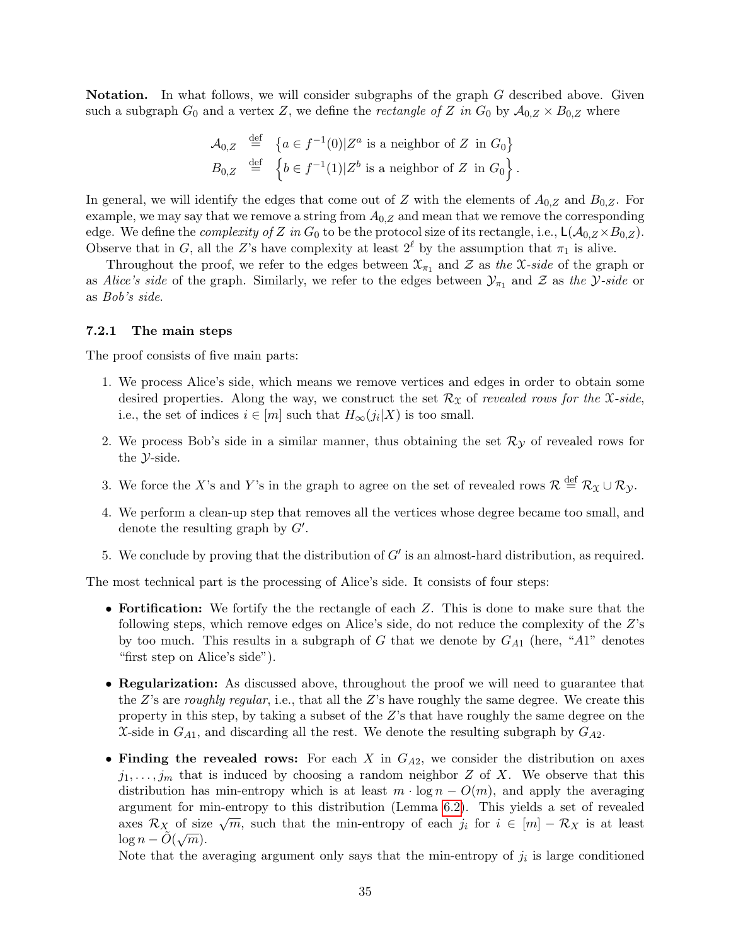Notation. In what follows, we will consider subgraphs of the graph G described above. Given such a subgraph  $G_0$  and a vertex Z, we define the *rectangle of* Z in  $G_0$  by  $\mathcal{A}_{0,Z} \times B_{0,Z}$  where

$$
\mathcal{A}_{0,Z} \stackrel{\text{def}}{=} \{ a \in f^{-1}(0) | Z^a \text{ is a neighbor of } Z \text{ in } G_0 \}
$$
  

$$
B_{0,Z} \stackrel{\text{def}}{=} \{ b \in f^{-1}(1) | Z^b \text{ is a neighbor of } Z \text{ in } G_0 \}.
$$

In general, we will identify the edges that come out of Z with the elements of  $A_{0,Z}$  and  $B_{0,Z}$ . For example, we may say that we remove a string from  $A_{0,Z}$  and mean that we remove the corresponding edge. We define the *complexity of Z in*  $G_0$  to be the protocol size of its rectangle, i.e.,  $\mathsf{L}(\mathcal{A}_{0,Z} \times B_{0,Z})$ . Observe that in G, all the Z's have complexity at least  $2^{\ell}$  by the assumption that  $\pi_1$  is alive.

Throughout the proof, we refer to the edges between  $\mathfrak{X}_{\pi_1}$  and  $\mathcal Z$  as the X-side of the graph or as Alice's side of the graph. Similarly, we refer to the edges between  $\mathcal{Y}_{\pi_1}$  and  $\mathcal Z$  as the  $\mathcal Y$ -side or as Bob's side.

#### <span id="page-34-0"></span>7.2.1 The main steps

The proof consists of five main parts:

- 1. We process Alice's side, which means we remove vertices and edges in order to obtain some desired properties. Along the way, we construct the set  $\mathcal{R}_{\mathcal{X}}$  of revealed rows for the X-side, i.e., the set of indices  $i \in [m]$  such that  $H_{\infty}(j_i|X)$  is too small.
- 2. We process Bob's side in a similar manner, thus obtaining the set  $\mathcal{R}_{\mathcal{Y}}$  of revealed rows for the Y-side.
- 3. We force the X's and Y's in the graph to agree on the set of revealed rows  $\mathcal{R} \stackrel{\text{def}}{=} \mathcal{R}_{\mathfrak{X}} \cup \mathcal{R}_{\mathcal{Y}}$ .
- 4. We perform a clean-up step that removes all the vertices whose degree became too small, and denote the resulting graph by  $G'$ .
- 5. We conclude by proving that the distribution of  $G'$  is an almost-hard distribution, as required.

The most technical part is the processing of Alice's side. It consists of four steps:

- Fortification: We fortify the the rectangle of each Z. This is done to make sure that the following steps, which remove edges on Alice's side, do not reduce the complexity of the Z's by too much. This results in a subgraph of G that we denote by  $G_{A1}$  (here, "A1" denotes "first step on Alice's side").
- Regularization: As discussed above, throughout the proof we will need to guarantee that the  $Z$ 's are roughly regular, i.e., that all the  $Z$ 's have roughly the same degree. We create this property in this step, by taking a subset of the  $Z$ 's that have roughly the same degree on the X-side in  $G_{A1}$ , and discarding all the rest. We denote the resulting subgraph by  $G_{A2}$ .
- Finding the revealed rows: For each X in  $G_{A2}$ , we consider the distribution on axes  $j_1, \ldots, j_m$  that is induced by choosing a random neighbor Z of X. We observe that this distribution has min-entropy which is at least  $m \cdot \log n - O(m)$ , and apply the averaging argument for min-entropy to this distribution (Lemma [6.2\)](#page-25-0). This yields a set of revealed argument for fini-entropy to this distribution (Lemma 0.2). This yields a set of revealed<br>axes  $\mathcal{R}_X$  of size  $\sqrt{m}$ , such that the min-entropy of each  $j_i$  for  $i \in [m] - \mathcal{R}_X$  is at least  $\log n - \tilde{O}(\sqrt{m}).$

Note that the averaging argument only says that the min-entropy of  $j_i$  is large conditioned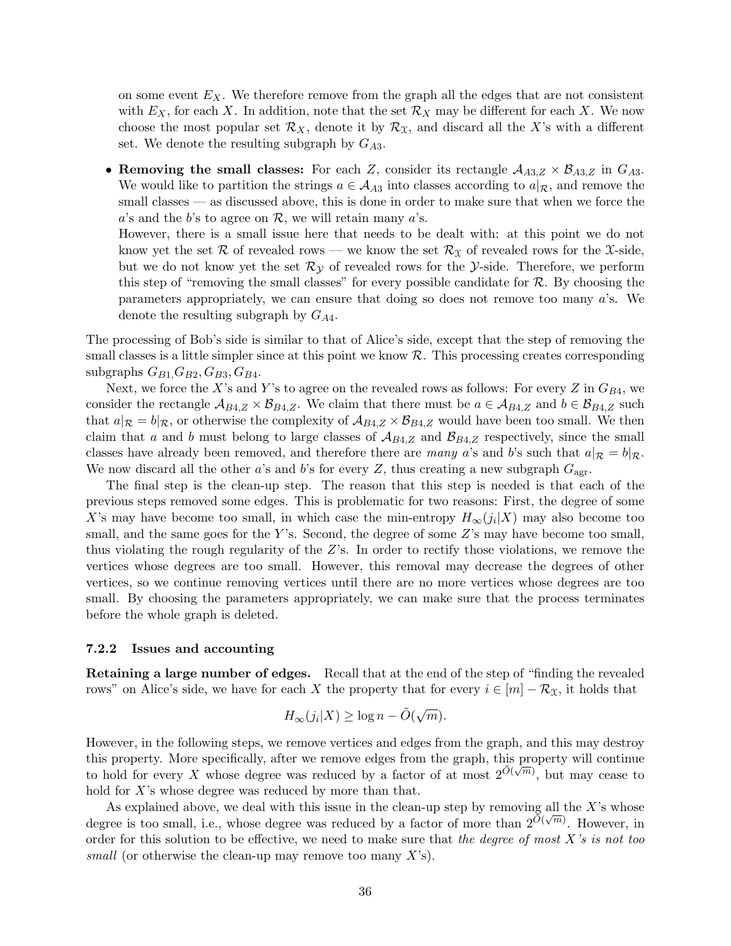on some event  $E<sub>X</sub>$ . We therefore remove from the graph all the edges that are not consistent with  $E_X$ , for each X. In addition, note that the set  $\mathcal{R}_X$  may be different for each X. We now choose the most popular set  $\mathcal{R}_X$ , denote it by  $\mathcal{R}_X$ , and discard all the X's with a different set. We denote the resulting subgraph by  $G_{A3}$ .

• Removing the small classes: For each Z, consider its rectangle  $A_{A3,Z} \times B_{A3,Z}$  in  $G_{A3}$ . We would like to partition the strings  $a \in A_{A3}$  into classes according to  $a|\mathcal{R}$ , and remove the small classes — as discussed above, this is done in order to make sure that when we force the a's and the b's to agree on  $\mathcal{R}$ , we will retain many a's.

However, there is a small issue here that needs to be dealt with: at this point we do not know yet the set R of revealed rows — we know the set  $\mathcal{R}_{\mathcal{X}}$  of revealed rows for the X-side, but we do not know yet the set  $\mathcal{R}_{\mathcal{V}}$  of revealed rows for the *Y*-side. Therefore, we perform this step of "removing the small classes" for every possible candidate for  $R$ . By choosing the parameters appropriately, we can ensure that doing so does not remove too many a's. We denote the resulting subgraph by  $G_{A4}$ .

The processing of Bob's side is similar to that of Alice's side, except that the step of removing the small classes is a little simpler since at this point we know  $\mathcal{R}$ . This processing creates corresponding subgraphs  $G_{B1}$ ,  $G_{B2}$ ,  $G_{B3}$ ,  $G_{B4}$ .

Next, we force the X's and Y's to agree on the revealed rows as follows: For every Z in  $G_{B4}$ , we consider the rectangle  $A_{B4,Z} \times B_{B4,Z}$ . We claim that there must be  $a \in A_{B4,Z}$  and  $b \in B_{B4,Z}$  such that  $a|_{\mathcal{R}} = b|_{\mathcal{R}}$ , or otherwise the complexity of  $\mathcal{A}_{B4,Z} \times \mathcal{B}_{B4,Z}$  would have been too small. We then claim that a and b must belong to large classes of  $\mathcal{A}_{B4,Z}$  and  $\mathcal{B}_{B4,Z}$  respectively, since the small classes have already been removed, and therefore there are many a's and b's such that  $a|_{\mathcal{R}} = b|_{\mathcal{R}}$ . We now discard all the other a's and b's for every Z, thus creating a new subgraph  $G_{\text{agr}}$ .

The final step is the clean-up step. The reason that this step is needed is that each of the previous steps removed some edges. This is problematic for two reasons: First, the degree of some X's may have become too small, in which case the min-entropy  $H_{\infty}(j_i|X)$  may also become too small, and the same goes for the Y's. Second, the degree of some  $Z$ 's may have become too small, thus violating the rough regularity of the Z's. In order to rectify those violations, we remove the vertices whose degrees are too small. However, this removal may decrease the degrees of other vertices, so we continue removing vertices until there are no more vertices whose degrees are too small. By choosing the parameters appropriately, we can make sure that the process terminates before the whole graph is deleted.

#### <span id="page-35-0"></span>7.2.2 Issues and accounting

Retaining a large number of edges. Recall that at the end of the step of "finding the revealed rows" on Alice's side, we have for each X the property that for every  $i \in [m] - \mathcal{R}_{\mathfrak{X}}$ , it holds that

$$
H_{\infty}(j_i|X) \ge \log n - \tilde{O}(\sqrt{m}).
$$

However, in the following steps, we remove vertices and edges from the graph, and this may destroy this property. More specifically, after we remove edges from the graph, this property will continue to hold for every X whose degree was reduced by a factor of at most  $2^{\tilde{O}(\sqrt{m})}$ , but may cease to hold for X's whose degree was reduced by more than that.

As explained above, we deal with this issue in the clean-up step by removing all the X's whose degree is too small, i.e., whose degree was reduced by a factor of more than  $2^{\tilde{O}(\sqrt{m})}$ . However, in order for this solution to be effective, we need to make sure that the degree of most  $X$ 's is not too small (or otherwise the clean-up may remove too many  $X$ 's).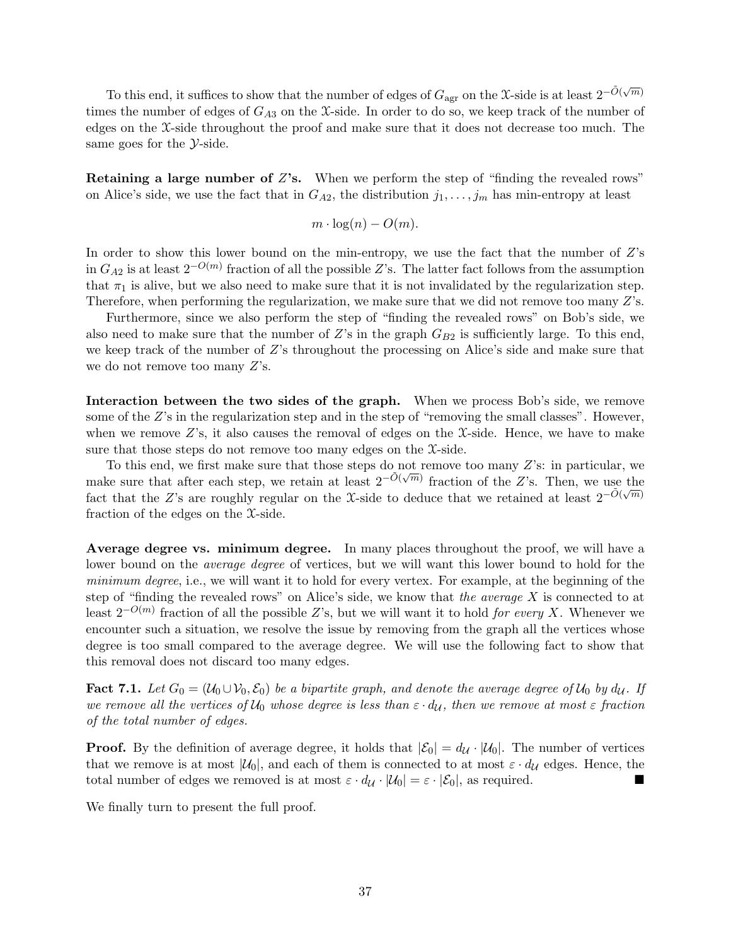To this end, it suffices to show that the number of edges of  $G_{\text{agr}}$  on the X-side is at least  $2^{-\tilde{O}(\sqrt{m})}$ times the number of edges of  $G_{A3}$  on the X-side. In order to do so, we keep track of the number of edges on the X-side throughout the proof and make sure that it does not decrease too much. The same goes for the  $\mathcal{Y}\text{-side}.$ 

Retaining a large number of Z's. When we perform the step of "finding the revealed rows" on Alice's side, we use the fact that in  $G_{A2}$ , the distribution  $j_1, \ldots, j_m$  has min-entropy at least

$$
m \cdot \log(n) - O(m).
$$

In order to show this lower bound on the min-entropy, we use the fact that the number of  $Z$ 's in  $G_{A2}$  is at least  $2^{-O(m)}$  fraction of all the possible Z's. The latter fact follows from the assumption that  $\pi_1$  is alive, but we also need to make sure that it is not invalidated by the regularization step. Therefore, when performing the regularization, we make sure that we did not remove too many Z's.

Furthermore, since we also perform the step of "finding the revealed rows" on Bob's side, we also need to make sure that the number of  $Z$ 's in the graph  $G_{B2}$  is sufficiently large. To this end, we keep track of the number of Z's throughout the processing on Alice's side and make sure that we do not remove too many  $Z$ 's.

Interaction between the two sides of the graph. When we process Bob's side, we remove some of the Z's in the regularization step and in the step of "removing the small classes". However, when we remove  $Z$ 's, it also causes the removal of edges on the  $\mathcal{X}$ -side. Hence, we have to make sure that those steps do not remove too many edges on the X-side.

To this end, we first make sure that those steps do not remove too many Z's: in particular, we make sure that after each step, we retain at least  $2^{-\tilde{O}(\sqrt{m})}$  fraction of the Z's. Then, we use the fact that the Z's are roughly regular on the X-side to deduce that we retained at least  $2^{-\tilde{O}(\sqrt{m})}$ fraction of the edges on the X-side.

Average degree vs. minimum degree. In many places throughout the proof, we will have a lower bound on the *average degree* of vertices, but we will want this lower bound to hold for the minimum degree, i.e., we will want it to hold for every vertex. For example, at the beginning of the step of "finding the revealed rows" on Alice's side, we know that the average  $X$  is connected to at least  $2^{-O(m)}$  fraction of all the possible Z's, but we will want it to hold for every X. Whenever we encounter such a situation, we resolve the issue by removing from the graph all the vertices whose degree is too small compared to the average degree. We will use the following fact to show that this removal does not discard too many edges.

<span id="page-36-0"></span>**Fact 7.1.** Let  $G_0 = (\mathcal{U}_0 \cup \mathcal{V}_0, \mathcal{E}_0)$  be a bipartite graph, and denote the average degree of  $\mathcal{U}_0$  by  $d_{\mathcal{U}}$ . If we remove all the vertices of  $U_0$  whose degree is less than  $\varepsilon \cdot d_{\mathcal{U}}$ , then we remove at most  $\varepsilon$  fraction of the total number of edges.

**Proof.** By the definition of average degree, it holds that  $|\mathcal{E}_0| = d_{\mathcal{U}} \cdot |\mathcal{U}_0|$ . The number of vertices that we remove is at most  $|\mathcal{U}_0|$ , and each of them is connected to at most  $\varepsilon \cdot d_{\mathcal{U}}$  edges. Hence, the total number of edges we removed is at most  $\varepsilon \cdot d_{\mathcal{U}} \cdot |\mathcal{U}_0| = \varepsilon \cdot |\mathcal{E}_0|$ , as required.

We finally turn to present the full proof.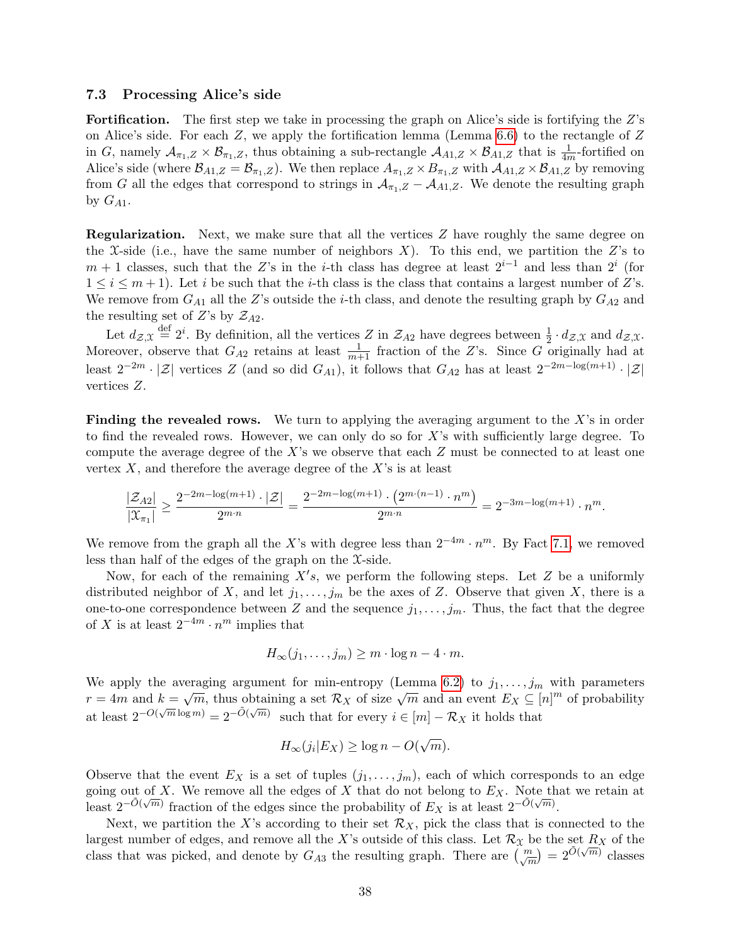#### <span id="page-37-0"></span>7.3 Processing Alice's side

Fortification. The first step we take in processing the graph on Alice's side is fortifying the Z's on Alice's side. For each  $Z$ , we apply the fortification lemma (Lemma [6.6\)](#page-29-1) to the rectangle of  $Z$ in G, namely  $\mathcal{A}_{\pi_1,Z} \times \mathcal{B}_{\pi_1,Z}$ , thus obtaining a sub-rectangle  $\mathcal{A}_{A_1,Z} \times \mathcal{B}_{A_1,Z}$  that is  $\frac{1}{4m}$ -fortified on Alice's side (where  $\mathcal{B}_{A1,Z} = \mathcal{B}_{\pi_1,Z}$ ). We then replace  $A_{\pi_1,Z} \times B_{\pi_1,Z}$  with  $\mathcal{A}_{A1,Z} \times \mathcal{B}_{A1,Z}$  by removing from G all the edges that correspond to strings in  $A_{\pi_1,Z} - A_{A_1,Z}$ . We denote the resulting graph by  $G_{A1}$ .

Regularization. Next, we make sure that all the vertices Z have roughly the same degree on the X-side (i.e., have the same number of neighbors X). To this end, we partition the Z's to  $m + 1$  classes, such that the Z's in the *i*-th class has degree at least  $2^{i-1}$  and less than  $2^i$  (for  $1 \leq i \leq m+1$ ). Let i be such that the i-th class is the class that contains a largest number of Z's. We remove from  $G_{A1}$  all the Z's outside the *i*-th class, and denote the resulting graph by  $G_{A2}$  and the resulting set of Z's by  $\mathcal{Z}_{A2}$ .

Let  $d_{\mathcal{Z},\mathfrak{X}} \stackrel{\text{def}}{=} 2^i$ . By definition, all the vertices Z in  $\mathcal{Z}_{A2}$  have degrees between  $\frac{1}{2} \cdot d_{\mathcal{Z},\mathfrak{X}}$  and  $d_{\mathcal{Z},\mathfrak{X}}$ . Moreover, observe that  $G_{A2}$  retains at least  $\frac{1}{m+1}$  fraction of the Z's. Since G originally had at least  $2^{-2m} \cdot |\mathcal{Z}|$  vertices Z (and so did  $G_{A1}$ ), it follows that  $G_{A2}$  has at least  $2^{-2m-\log(m+1)} \cdot |\mathcal{Z}|$ vertices Z.

**Finding the revealed rows.** We turn to applying the averaging argument to the  $X$ 's in order to find the revealed rows. However, we can only do so for X's with sufficiently large degree. To compute the average degree of the X's we observe that each  $Z$  must be connected to at least one vertex  $X$ , and therefore the average degree of the  $X$ 's is at least

$$
\frac{|\mathcal{Z}_{A2}|}{|\mathcal{X}_{\pi_1}|} \ge \frac{2^{-2m - \log(m+1)} \cdot |\mathcal{Z}|}{2^{m \cdot n}} = \frac{2^{-2m - \log(m+1)} \cdot (2^{m \cdot (n-1)} \cdot n^m)}{2^{m \cdot n}} = 2^{-3m - \log(m+1)} \cdot n^m.
$$

We remove from the graph all the X's with degree less than  $2^{-4m} \cdot n^m$ . By Fact [7.1,](#page-36-0) we removed less than half of the edges of the graph on the X-side.

Now, for each of the remaining  $X's$ , we perform the following steps. Let  $Z$  be a uniformly distributed neighbor of X, and let  $j_1, \ldots, j_m$  be the axes of Z. Observe that given X, there is a one-to-one correspondence between Z and the sequence  $j_1, \ldots, j_m$ . Thus, the fact that the degree of X is at least  $2^{-4m} \cdot n^m$  implies that

$$
H_{\infty}(j_1,\ldots,j_m) \ge m \cdot \log n - 4 \cdot m.
$$

We apply the averaging argument for min-entropy (Lemma [6.2\)](#page-25-0) to  $j_1, \ldots, j_m$  with parameters we apply the averaging argument for finite-htropy (Lemma 0.2) to  $f_1, \ldots, f_m$  with parameters  $r = 4m$  and  $k = \sqrt{m}$ , thus obtaining a set  $\mathcal{R}_X$  of size  $\sqrt{m}$  and an event  $E_X \subseteq [n]^m$  of probability at least  $2^{-O(\sqrt{m}\log m)} = 2^{-\tilde{O}(\sqrt{m})}$  such that for every  $i \in [m] - \mathcal{R}_X$  it holds that

$$
H_{\infty}(j_i|E_X) \ge \log n - O(\sqrt{m}).
$$

Observe that the event  $E_X$  is a set of tuples  $(j_1, \ldots, j_m)$ , each of which corresponds to an edge going out of X. We remove all the edges of X that do not belong to  $E_X$ . Note that we retain at least  $2^{-\tilde{O}(\sqrt{m})}$  fraction of the edges since the probability of  $E_X$  is at least  $2^{-\tilde{O}(\sqrt{m})}$ .

Next, we partition the X's according to their set  $\mathcal{R}_X$ , pick the class that is connected to the largest number of edges, and remove all the X's outside of this class. Let  $\mathcal{R}_\chi$  be the set  $R_X$  of the class that was picked, and denote by  $G_{A3}$  the resulting graph. There are  $\binom{m}{\sqrt{m}} = 2^{\tilde{O}(\sqrt{m})}$  classes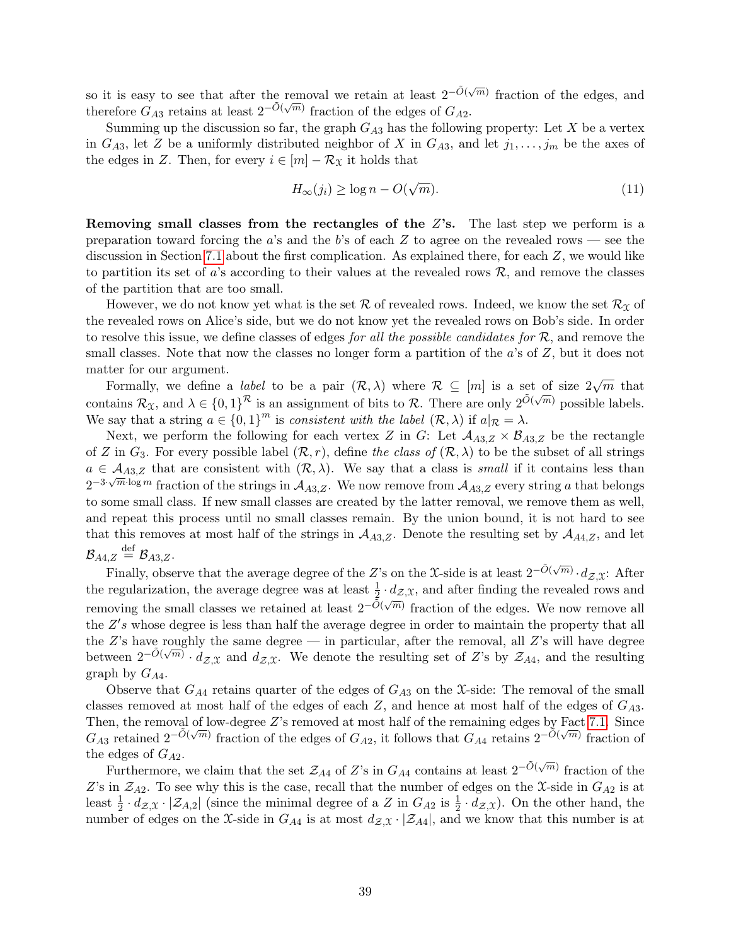so it is easy to see that after the removal we retain at least  $2^{-\tilde{O}(\sqrt{m})}$  fraction of the edges, and therefore  $G_{A3}$  retains at least  $2^{-\tilde{O}(\sqrt{m})}$  fraction of the edges of  $G_{A2}$ .

Summing up the discussion so far, the graph  $G_{A3}$  has the following property: Let X be a vertex in  $G_{A3}$ , let Z be a uniformly distributed neighbor of X in  $G_{A3}$ , and let  $j_1, \ldots, j_m$  be the axes of the edges in Z. Then, for every  $i \in [m] - \mathcal{R}_{\mathfrak{X}}$  it holds that

<span id="page-38-0"></span>
$$
H_{\infty}(j_i) \ge \log n - O(\sqrt{m}).\tag{11}
$$

Removing small classes from the rectangles of the  $Z$ 's. The last step we perform is a preparation toward forcing the a's and the b's of each  $Z$  to agree on the revealed rows — see the discussion in Section [7.1](#page-32-1) about the first complication. As explained there, for each Z, we would like to partition its set of a's according to their values at the revealed rows  $\mathcal{R}$ , and remove the classes of the partition that are too small.

However, we do not know yet what is the set  $\mathcal R$  of revealed rows. Indeed, we know the set  $\mathcal R_X$  of the revealed rows on Alice's side, but we do not know yet the revealed rows on Bob's side. In order to resolve this issue, we define classes of edges *for all the possible candidates for*  $\mathcal{R}$ , and remove the small classes. Note that now the classes no longer form a partition of the  $a$ 's of  $Z$ , but it does not matter for our argument.

Formally, we define a *label* to be a pair  $(\mathcal{R}, \lambda)$  where  $\mathcal{R} \subseteq [m]$  is a set of size  $2\sqrt{m}$  that contains  $\mathcal{R}_\mathfrak{X}$ , and  $\lambda \in \{0,1\}^\mathcal{R}$  is an assignment of bits to  $\mathcal{R}$ . There are only  $2^{\tilde{O}(\sqrt{m})}$  possible labels. We say that a string  $a \in \{0,1\}^m$  is consistent with the label  $(\mathcal{R}, \lambda)$  if  $a|_{\mathcal{R}} = \lambda$ .

Next, we perform the following for each vertex Z in G: Let  $A_{A3,Z} \times B_{A3,Z}$  be the rectangle of Z in  $G_3$ . For every possible label  $(\mathcal{R}, r)$ , define the class of  $(\mathcal{R}, \lambda)$  to be the subset of all strings  $a \in \mathcal{A}_{A3,Z}$  that are consistent with  $(\mathcal{R}, \lambda)$ . We say that a class is *small* if it contains less than  $2^{-3\cdot\sqrt{m}\cdot\log m}$  fraction of the strings in  $\mathcal{A}_{A3,Z}$ . We now remove from  $\mathcal{A}_{A3,Z}$  every string a that belongs to some small class. If new small classes are created by the latter removal, we remove them as well, and repeat this process until no small classes remain. By the union bound, it is not hard to see that this removes at most half of the strings in  $A_{A3,Z}$ . Denote the resulting set by  $A_{A4,Z}$ , and let  $\mathcal{B}_{A4,Z}\stackrel{\mathrm{def}}{=}\mathcal{B}_{A3,Z}.$ 

Finally, observe that the average degree of the Z's on the X-side is at least  $2^{-\tilde{O}(\sqrt{m})} \cdot d_{\mathcal{Z},\mathfrak{X}}$ : After the regularization, the average degree was at least  $\frac{1}{2} \cdot d_{\mathcal{Z},\mathfrak{X}}$ , and after finding the revealed rows and removing the small classes we retained at least  $2^{-\tilde{O}(\sqrt{m})}$  fraction of the edges. We now remove all the  $Z's$  whose degree is less than half the average degree in order to maintain the property that all the Z's have roughly the same degree — in particular, after the removal, all Z's will have degree between  $2^{-\tilde{O}(\sqrt{m})} \cdot d_{\mathcal{Z},\mathfrak{X}}$  and  $d_{\mathcal{Z},\mathfrak{X}}$ . We denote the resulting set of Z's by  $\mathcal{Z}_{A4}$ , and the resulting graph by  $G_{A4}$ .

Observe that  $G_{A4}$  retains quarter of the edges of  $G_{A3}$  on the X-side: The removal of the small classes removed at most half of the edges of each  $Z$ , and hence at most half of the edges of  $G_{A3}$ . Then, the removal of low-degree Z's removed at most half of the remaining edges by Fact [7.1.](#page-36-0) Since  $G_{A3}$  retained  $2^{-\tilde{O}(\sqrt{m})}$  fraction of the edges of  $G_{A2}$ , it follows that  $G_{A4}$  retains  $2^{-\tilde{O}(\sqrt{m})}$  fraction of the edges of  $G_{A2}$ .

Furthermore, we claim that the set  $\mathcal{Z}_{A4}$  of Z's in  $G_{A4}$  contains at least  $2^{-\tilde{O}(\sqrt{m})}$  fraction of the Z's in  $\mathcal{Z}_{A2}$ . To see why this is the case, recall that the number of edges on the X-side in  $G_{A2}$  is at least  $\frac{1}{2} \cdot d_{\mathcal{Z},\mathfrak{X}} \cdot |\mathcal{Z}_{A,2}|$  (since the minimal degree of a Z in  $G_{A2}$  is  $\frac{1}{2} \cdot d_{\mathcal{Z},\mathfrak{X}}$ ). On the other hand, the number of edges on the X-side in  $G_{A4}$  is at most  $d_{\mathcal{Z},\mathfrak{X}} \cdot |\mathcal{Z}_{A4}|$ , and we know that this number is at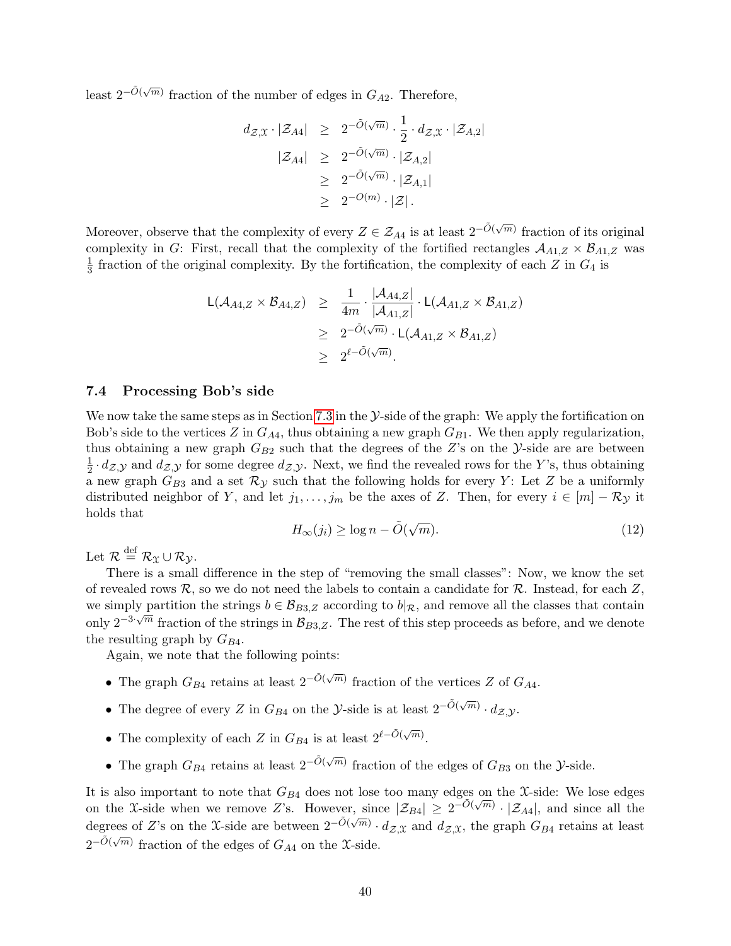least  $2^{-\tilde{O}(\sqrt{m})}$  fraction of the number of edges in  $G_{A2}$ . Therefore,

$$
d_{\mathcal{Z},\mathfrak{X}} \cdot |\mathcal{Z}_{A4}| \geq 2^{-\tilde{O}(\sqrt{m})} \cdot \frac{1}{2} \cdot d_{\mathcal{Z},\mathfrak{X}} \cdot |\mathcal{Z}_{A,2}|
$$
  

$$
|\mathcal{Z}_{A4}| \geq 2^{-\tilde{O}(\sqrt{m})} \cdot |\mathcal{Z}_{A,2}|
$$
  

$$
\geq 2^{-\tilde{O}(\sqrt{m})} \cdot |\mathcal{Z}_{A,1}|
$$
  

$$
\geq 2^{-O(m)} \cdot |\mathcal{Z}|.
$$

Moreover, observe that the complexity of every  $Z \in \mathcal{Z}_{A4}$  is at least  $2^{-\tilde{O}(\sqrt{m})}$  fraction of its original complexity in G: First, recall that the complexity of the fortified rectangles  $A_{A1,Z} \times B_{A1,Z}$  was 1  $\frac{1}{3}$  fraction of the original complexity. By the fortification, the complexity of each Z in  $G_4$  is

$$
\mathsf{L}(\mathcal{A}_{A4,Z} \times \mathcal{B}_{A4,Z}) \geq \frac{1}{4m} \cdot \frac{|\mathcal{A}_{A4,Z}|}{|\mathcal{A}_{A1,Z}|} \cdot \mathsf{L}(\mathcal{A}_{A1,Z} \times \mathcal{B}_{A1,Z})
$$
  
\n
$$
\geq 2^{-\tilde{O}(\sqrt{m})} \cdot \mathsf{L}(\mathcal{A}_{A1,Z} \times \mathcal{B}_{A1,Z})
$$
  
\n
$$
\geq 2^{\ell - \tilde{O}(\sqrt{m})}.
$$

### <span id="page-39-0"></span>7.4 Processing Bob's side

We now take the same steps as in Section [7.3](#page-37-0) in the  $\mathcal Y$ -side of the graph: We apply the fortification on Bob's side to the vertices Z in  $G_{A4}$ , thus obtaining a new graph  $G_{B1}$ . We then apply regularization, thus obtaining a new graph  $G_{B2}$  such that the degrees of the Z's on the Y-side are are between 1  $\frac{1}{2} \cdot d_{\mathcal{Z},\mathcal{Y}}$  and  $d_{\mathcal{Z},\mathcal{Y}}$  for some degree  $d_{\mathcal{Z},\mathcal{Y}}$ . Next, we find the revealed rows for the Y's, thus obtaining a new graph  $G_{B3}$  and a set  $\mathcal{R}_{\mathcal{Y}}$  such that the following holds for every Y: Let Z be a uniformly distributed neighbor of Y, and let  $j_1, \ldots, j_m$  be the axes of Z. Then, for every  $i \in [m] - \mathcal{R}_{\mathcal{Y}}$  it holds that √

<span id="page-39-1"></span>
$$
H_{\infty}(j_i) \ge \log n - \tilde{O}(\sqrt{m}).\tag{12}
$$

Let  $\mathcal{R} \stackrel{\text{def}}{=} \mathcal{R}_{\mathfrak{X}} \cup \mathcal{R}_{\mathcal{Y}}$ .

There is a small difference in the step of "removing the small classes": Now, we know the set of revealed rows  $\mathcal{R}$ , so we do not need the labels to contain a candidate for  $\mathcal{R}$ . Instead, for each  $Z$ , we simply partition the strings  $b \in \mathcal{B}_{B3,Z}$  according to  $b|_{\mathcal{R}}$ , and remove all the classes that contain only  $2^{-3\sqrt{m}}$  fraction of the strings in  $\mathcal{B}_{B3,Z}$ . The rest of this step proceeds as before, and we denote the resulting graph by  $G_{B4}$ .

Again, we note that the following points:

- The graph  $G_{B4}$  retains at least  $2^{-\tilde{O}(\sqrt{m})}$  fraction of the vertices Z of  $G_{A4}$ .
- The degree of every Z in  $G_{B4}$  on the Y-side is at least  $2^{-\tilde{O}(\sqrt{m})} \cdot d_{\mathcal{Z},\mathcal{Y}}$ .
- The complexity of each Z in  $G_{B4}$  is at least  $2^{\ell-\tilde{O}(\sqrt{m})}$ .
- The graph  $G_{B4}$  retains at least  $2^{-\tilde{O}(\sqrt{m})}$  fraction of the edges of  $G_{B3}$  on the *Y*-side.

It is also important to note that  $G_{B4}$  does not lose too many edges on the X-side: We lose edges on the X-side when we remove Z's. However, since  $|\mathcal{Z}_{B4}| \geq 2^{-\tilde{O}(\sqrt{m})} \cdot |\mathcal{Z}_{A4}|$ , and since all the degrees of Z's on the X-side are between  $2^{-\tilde{O}(\sqrt{m})} \cdot d_{\mathcal{Z},\mathfrak{X}}$  and  $d_{\mathcal{Z},\mathfrak{X}}$ , the graph  $G_{B4}$  retains at least  $2^{-\tilde{O}(\sqrt{m})}$  fraction of the edges of  $G_{A4}$  on the X-side.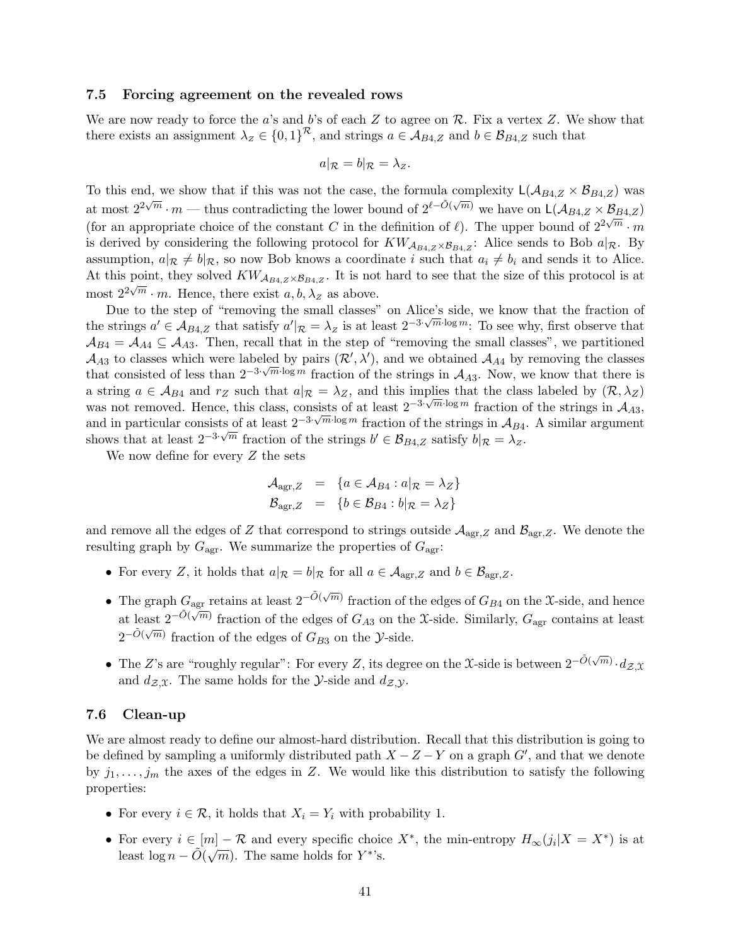### <span id="page-40-0"></span>7.5 Forcing agreement on the revealed rows

We are now ready to force the a's and b's of each  $Z$  to agree on  $\mathcal{R}$ . Fix a vertex  $Z$ . We show that there exists an assignment  $\lambda_z \in \{0,1\}^{\mathcal{R}}$ , and strings  $a \in \mathcal{A}_{B4,Z}$  and  $b \in \mathcal{B}_{B4,Z}$  such that

$$
a|_{\mathcal{R}} = b|_{\mathcal{R}} = \lambda_z.
$$

To this end, we show that if this was not the case, the formula complexity  $L(A_{B4,Z} \times B_{B4,Z})$  was at most  $2^{2\sqrt{m}} \cdot m$  — thus contradicting the lower bound of  $2^{\ell-\tilde{O}(\sqrt{m})}$  we have on  $\mathsf{L}(\mathcal{A}_{B4,Z} \times \mathcal{B}_{B4,Z})$ (for an appropriate choice of the constant C in the definition of  $\ell$ ). The upper bound of  $2^{2\sqrt{m}} \cdot m$ is derived by considering the following protocol for  $KW_{\mathcal{A}_{B4,Z}\times\mathcal{B}_{B4,Z}}$ : Alice sends to Bob  $a|_{\mathcal{R}}$ . By assumption,  $a|\mathcal{R} \neq b|\mathcal{R}$ , so now Bob knows a coordinate i such that  $a_i \neq b_i$  and sends it to Alice. At this point, they solved  $KW_{A_{B4,Z}\times\mathcal{B}_{B4,Z}}$ . It is not hard to see that the size of this protocol is at most  $2^{2\sqrt{m}} \cdot m$ . Hence, there exist  $a, b, \lambda_z$  as above.

Due to the step of "removing the small classes" on Alice's side, we know that the fraction of the strings  $a' \in A_{B4,Z}$  that satisfy  $a' |_{\mathcal{R}} = \lambda_Z$  is at least  $2^{-3\sqrt{m}\cdot\log m}$ . To see why, first observe that  $A_{B4} = A_{A4} \subseteq A_{A3}$ . Then, recall that in the step of "removing the small classes", we partitioned  $\mathcal{A}_{A3}$  to classes which were labeled by pairs  $(\mathcal{R}', \lambda')$ , and we obtained  $\mathcal{A}_{A4}$  by removing the classes that consisted of less than  $2^{-3\cdot\sqrt{m}\cdot\log m}$  fraction of the strings in  $\mathcal{A}_{A3}$ . Now, we know that there is a string  $a \in A_{B4}$  and  $r_Z$  such that  $a|_{\mathcal{R}} = \lambda_Z$ , and this implies that the class labeled by  $(\mathcal{R}, \lambda_Z)$ was not removed. Hence, this class, consists of at least  $2^{-3\cdot\sqrt{m}\cdot\log m}$  fraction of the strings in  $\mathcal{A}_{A3}$ , was not removed. Hence, this class, consists of at least 2<sup>−3</sup> and in particular consists of at least  $2^{-3\sqrt{m}\cdot\log m}$  fraction of the strings in  $\mathcal{A}_{B4}$ . A similar argument shows that at least  $2^{-3} \sqrt{m}$  fraction of the strings  $b' \in \mathcal{B}_{B4,Z}$  satisfy  $b|_{\mathcal{R}} = \lambda_z$ .

We now define for every Z the sets

$$
\mathcal{A}_{\text{agr},Z} = \{ a \in \mathcal{A}_{B4} : a|_{\mathcal{R}} = \lambda_Z \}
$$
  

$$
\mathcal{B}_{\text{agr},Z} = \{ b \in \mathcal{B}_{B4} : b|_{\mathcal{R}} = \lambda_Z \}
$$

and remove all the edges of Z that correspond to strings outside  $A_{\text{agr},Z}$  and  $B_{\text{agr},Z}$ . We denote the resulting graph by  $G_{\text{agr}}$ . We summarize the properties of  $G_{\text{agr}}$ :

- For every Z, it holds that  $a|_{\mathcal{R}} = b|_{\mathcal{R}}$  for all  $a \in \mathcal{A}_{\text{agr},Z}$  and  $b \in \mathcal{B}_{\text{agr},Z}$ .
- The graph  $G_{\text{agr}}$  retains at least  $2^{-\tilde{O}(\sqrt{m})}$  fraction of the edges of  $G_{B4}$  on the X-side, and hence at least  $2^{-\tilde{O}(\sqrt{m})}$  fraction of the edges of  $G_{A3}$  on the X-side. Similarly,  $G_{\text{agr}}$  contains at least  $\tilde{\delta}(\sqrt{m})$  $2^{-\tilde{O}(\sqrt{m})}$  fraction of the edges of  $G_{B3}$  on the *Y*-side.
- The Z's are "roughly regular": For every Z, its degree on the X-side is between  $2^{-\tilde{O}(\sqrt{m})} \cdot d_{\mathcal{Z},\mathfrak{X}}$ and  $d_{\mathcal{Z},\mathfrak{X}}$ . The same holds for the *Y*-side and  $d_{\mathcal{Z},\mathcal{Y}}$ .

### <span id="page-40-1"></span>7.6 Clean-up

We are almost ready to define our almost-hard distribution. Recall that this distribution is going to be defined by sampling a uniformly distributed path  $X - Z - Y$  on a graph  $G'$ , and that we denote by  $j_1, \ldots, j_m$  the axes of the edges in Z. We would like this distribution to satisfy the following properties:

- For every  $i \in \mathcal{R}$ , it holds that  $X_i = Y_i$  with probability 1.
- For every  $i \in [m] \mathcal{R}$  and every specific choice  $X^*$ , the min-entropy  $H_{\infty}(j_i | X = X^*)$  is at least  $\log n - \tilde{O}(\sqrt{m})$ . The same holds for  $Y^*$ 's.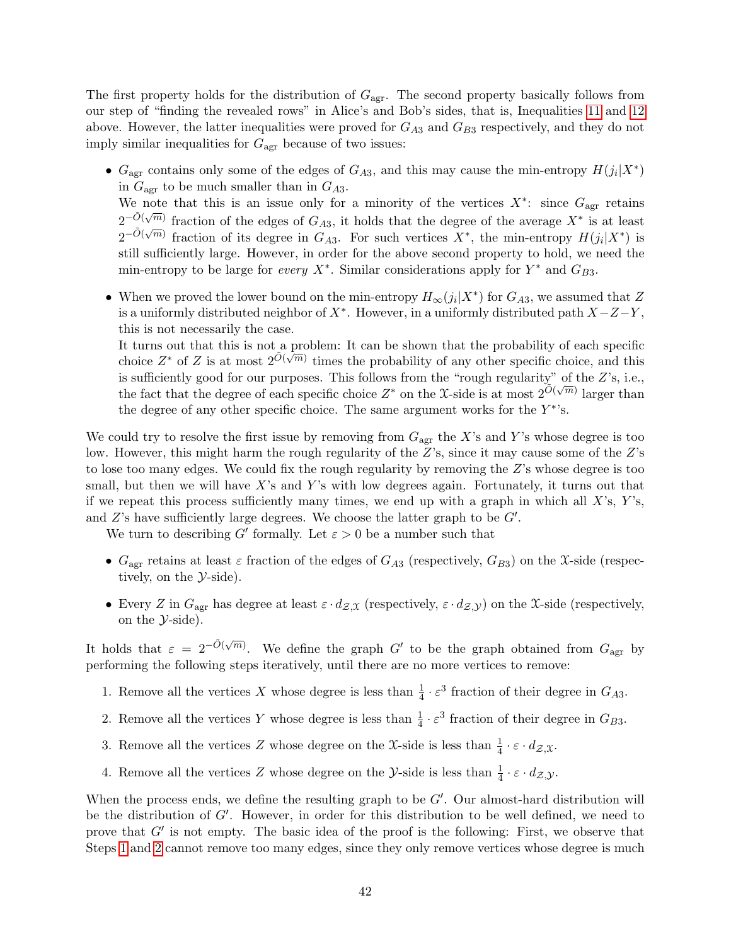The first property holds for the distribution of  $G_{\text{agr}}$ . The second property basically follows from our step of "finding the revealed rows" in Alice's and Bob's sides, that is, Inequalities [11](#page-38-0) and [12](#page-39-1) above. However, the latter inequalities were proved for  $G_{A3}$  and  $G_{B3}$  respectively, and they do not imply similar inequalities for  $G_{\text{agr}}$  because of two issues:

- $G_{\text{agr}}$  contains only some of the edges of  $G_{A3}$ , and this may cause the min-entropy  $H(j_i|X^*)$ in  $G_{\text{agr}}$  to be much smaller than in  $G_{A3}$ . We note that this is an issue only for a minority of the vertices  $X^*$ : since  $G_{\text{agr}}$  retains  $2^{-\tilde{O}(\sqrt{m})}$  fraction of the edges of  $G_{A3}$ , it holds that the degree of the average  $X^*$  is at least  $2^{-\tilde{O}(\sqrt{m})}$  fraction of its degree in  $G_{A3}$ . For such vertices  $X^*$ , the min-entropy  $H(j_i|X^*)$  is still sufficiently large. However, in order for the above second property to hold, we need the min-entropy to be large for every  $X^*$ . Similar considerations apply for  $Y^*$  and  $G_{B3}$ .
- When we proved the lower bound on the min-entropy  $H_{\infty}(j_i|X^*)$  for  $G_{A3}$ , we assumed that Z is a uniformly distributed neighbor of  $X^*$ . However, in a uniformly distributed path  $X-Z-Y$ , this is not necessarily the case.

It turns out that this is not a problem: It can be shown that the probability of each specific to turns out that this is not a problem. It can be shown that the probability of each specific choice, and this choice  $Z^*$  of Z is at most  $2^{\tilde{O}(\sqrt{m})}$  times the probability of any other specific choice, and this is sufficiently good for our purposes. This follows from the "rough regularity" of the Z's, i.e., the fact that the degree of each specific choice  $Z^*$  on the X-side is at most  $2^{\tilde{O}(\sqrt{m})}$  larger than the degree of any other specific choice. The same argument works for the  $Y^*$ 's.

We could try to resolve the first issue by removing from  $G_{\text{agr}}$  the X's and Y's whose degree is too low. However, this might harm the rough regularity of the Z's, since it may cause some of the Z's to lose too many edges. We could fix the rough regularity by removing the Z's whose degree is too small, but then we will have  $X$ 's and  $Y$ 's with low degrees again. Fortunately, it turns out that if we repeat this process sufficiently many times, we end up with a graph in which all  $X$ 's,  $Y$ 's, and  $Z$ 's have sufficiently large degrees. We choose the latter graph to be  $G'$ .

We turn to describing G' formally. Let  $\varepsilon > 0$  be a number such that

- $G_{\text{agr}}$  retains at least  $\varepsilon$  fraction of the edges of  $G_{A3}$  (respectively,  $G_{B3}$ ) on the X-side (respectively, on the  $\mathcal{Y}\text{-side}$ .
- Every Z in  $G_{\text{agr}}$  has degree at least  $\varepsilon \cdot d_{\mathcal{Z},\mathfrak{X}}$  (respectively,  $\varepsilon \cdot d_{\mathcal{Z},\mathcal{Y}}$ ) on the X-side (respectively, on the  $\mathcal{V}\text{-side}$ .

It holds that  $\varepsilon = 2^{-\tilde{O}(\sqrt{m})}$ . We define the graph  $G'$  to be the graph obtained from  $G_{\text{agr}}$  by performing the following steps iteratively, until there are no more vertices to remove:

- <span id="page-41-0"></span>1. Remove all the vertices X whose degree is less than  $\frac{1}{4} \cdot \varepsilon^3$  fraction of their degree in  $G_{A3}$ .
- <span id="page-41-1"></span>2. Remove all the vertices Y whose degree is less than  $\frac{1}{4} \cdot \varepsilon^3$  fraction of their degree in  $G_{B3}$ .
- <span id="page-41-2"></span>3. Remove all the vertices Z whose degree on the X-side is less than  $\frac{1}{4} \cdot \varepsilon \cdot d_{\mathcal{Z},\mathfrak{X}}$ .
- <span id="page-41-3"></span>4. Remove all the vertices Z whose degree on the  $\mathcal{Y}$ -side is less than  $\frac{1}{4} \cdot \varepsilon \cdot d_{\mathcal{Z}, \mathcal{Y}}$ .

When the process ends, we define the resulting graph to be  $G'$ . Our almost-hard distribution will be the distribution of  $G'$ . However, in order for this distribution to be well defined, we need to prove that  $G'$  is not empty. The basic idea of the proof is the following: First, we observe that Steps [1](#page-41-0) and [2](#page-41-1) cannot remove too many edges, since they only remove vertices whose degree is much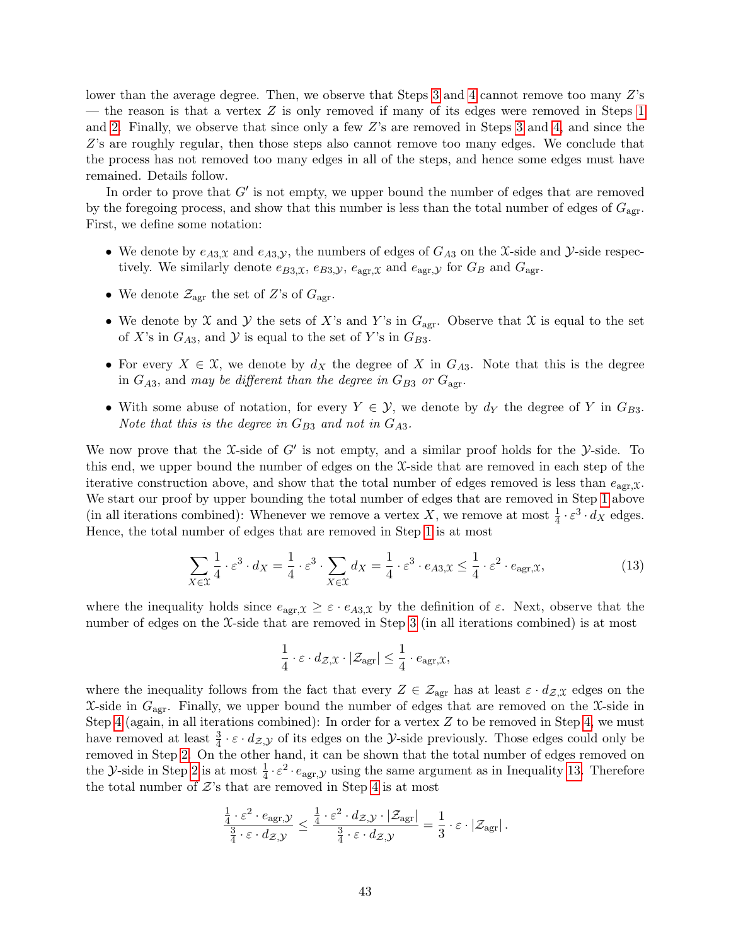lower than the average degree. Then, we observe that Steps [3](#page-41-2) and [4](#page-41-3) cannot remove too many Z's — the reason is that a vertex  $Z$  is only removed if many of its edges were removed in Steps [1](#page-41-0) and [2.](#page-41-1) Finally, we observe that since only a few Z's are removed in Steps [3](#page-41-2) and [4,](#page-41-3) and since the Z's are roughly regular, then those steps also cannot remove too many edges. We conclude that the process has not removed too many edges in all of the steps, and hence some edges must have remained. Details follow.

In order to prove that  $G'$  is not empty, we upper bound the number of edges that are removed by the foregoing process, and show that this number is less than the total number of edges of  $G_{\text{agr}}$ . First, we define some notation:

- We denote by  $e_{A3,x}$  and  $e_{A3,y}$ , the numbers of edges of  $G_{A3}$  on the X-side and Y-side respectively. We similarly denote  $e_{B3,X}$ ,  $e_{B3,Y}$ ,  $e_{\text{agr},X}$  and  $e_{\text{agr},Y}$  for  $G_B$  and  $G_{\text{agr}}$ .
- We denote  $\mathcal{Z}_{\text{agr}}$  the set of Z's of  $G_{\text{agr}}$ .
- We denote by X and Y the sets of X's and Y's in  $G_{\text{agr}}$ . Observe that X is equal to the set of X's in  $G_{A3}$ , and Y is equal to the set of Y's in  $G_{B3}$ .
- For every  $X \in \mathfrak{X}$ , we denote by  $d_X$  the degree of X in  $G_{A3}$ . Note that this is the degree in  $G_{A3}$ , and may be different than the degree in  $G_{B3}$  or  $G_{\text{agr}}$ .
- With some abuse of notation, for every  $Y \in \mathcal{Y}$ , we denote by  $d_Y$  the degree of Y in  $G_{B3}$ . Note that this is the degree in  $G_{B3}$  and not in  $G_{A3}$ .

We now prove that the X-side of  $G'$  is not empty, and a similar proof holds for the Y-side. To this end, we upper bound the number of edges on the X-side that are removed in each step of the iterative construction above, and show that the total number of edges removed is less than  $e_{\text{agr},\mathfrak{X}}$ . We start our proof by upper bounding the total number of edges that are removed in Step [1](#page-41-0) above (in all iterations combined): Whenever we remove a vertex X, we remove at most  $\frac{1}{4} \cdot \varepsilon^3 \cdot d_X$  edges. Hence, the total number of edges that are removed in Step [1](#page-41-0) is at most

<span id="page-42-0"></span>
$$
\sum_{X \in \mathcal{X}} \frac{1}{4} \cdot \varepsilon^3 \cdot d_X = \frac{1}{4} \cdot \varepsilon^3 \cdot \sum_{X \in \mathcal{X}} d_X = \frac{1}{4} \cdot \varepsilon^3 \cdot e_{A3, \mathcal{X}} \le \frac{1}{4} \cdot \varepsilon^2 \cdot e_{\text{agr}, \mathcal{X}},\tag{13}
$$

where the inequality holds since  $e_{\text{agr},\mathfrak{X}} \geq \varepsilon \cdot e_{A3,\mathfrak{X}}$  by the definition of  $\varepsilon$ . Next, observe that the number of edges on the X-side that are removed in Step [3](#page-41-2) (in all iterations combined) is at most

$$
\frac{1}{4} \cdot \varepsilon \cdot d_{\mathcal{Z},\mathfrak{X}} \cdot |\mathcal{Z}_{\mathrm{agr}}| \leq \frac{1}{4} \cdot e_{\mathrm{agr},\mathfrak{X}},
$$

where the inequality follows from the fact that every  $Z \in \mathcal{Z}_{\text{agr}}$  has at least  $\varepsilon \cdot d_{\mathcal{Z},\mathfrak{X}}$  edges on the  $\mathfrak{X}\text{-side}$  in  $G_{\text{agr}}$ . Finally, we upper bound the number of edges that are removed on the  $\mathfrak{X}\text{-side}$  in Step [4](#page-41-3) (again, in all iterations combined): In order for a vertex  $Z$  to be removed in Step [4,](#page-41-3) we must have removed at least  $\frac{3}{4} \cdot \varepsilon \cdot d_{\mathcal{Z},\mathcal{Y}}$  of its edges on the *Y*-side previously. Those edges could only be removed in Step [2.](#page-41-1) On the other hand, it can be shown that the total number of edges removed on the *Y*-side in Step [2](#page-41-1) is at most  $\frac{1}{4} \cdot \varepsilon^2 \cdot e_{\text{agr},\mathcal{Y}}$  using the same argument as in Inequality [13.](#page-42-0) Therefore the total number of  $\mathcal{Z}'s$  that are removed in Step [4](#page-41-3) is at most

$$
\frac{\frac{1}{4} \cdot \varepsilon^2 \cdot e_{\text{agr}, \mathcal{Y}}}{\frac{3}{4} \cdot \varepsilon \cdot d_{\mathcal{Z}, \mathcal{Y}}} \leq \frac{\frac{1}{4} \cdot \varepsilon^2 \cdot d_{\mathcal{Z}, \mathcal{Y}} \cdot |\mathcal{Z}_{\text{agr}}|}{\frac{3}{4} \cdot \varepsilon \cdot d_{\mathcal{Z}, \mathcal{Y}}} = \frac{1}{3} \cdot \varepsilon \cdot |\mathcal{Z}_{\text{agr}}|.
$$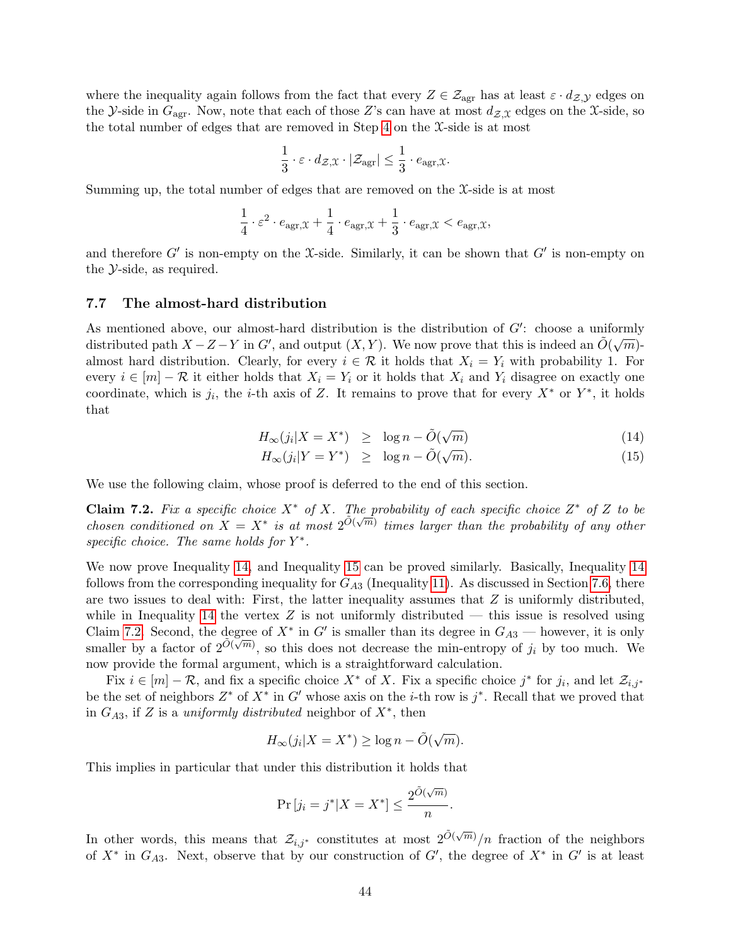where the inequality again follows from the fact that every  $Z \in \mathcal{Z}_{\text{agr}}$  has at least  $\varepsilon \cdot d_{\mathcal{Z},\mathcal{Y}}$  edges on the *Y*-side in  $G_{\text{agr}}$ . Now, note that each of those Z's can have at most  $d_{\mathcal{Z},\mathcal{X}}$  edges on the X-side, so the total number of edges that are removed in Step [4](#page-41-3) on the X-side is at most

$$
\frac{1}{3} \cdot \varepsilon \cdot d_{\mathcal{Z},\mathfrak{X}} \cdot |\mathcal{Z}_{\text{agr}}| \leq \frac{1}{3} \cdot e_{\text{agr},\mathfrak{X}}.
$$

Summing up, the total number of edges that are removed on the  $\mathfrak{X}\text{-side}$  is at most

$$
\frac{1}{4} \cdot \varepsilon^2 \cdot e_{\text{agr}, \mathfrak{X}} + \frac{1}{4} \cdot e_{\text{agr}, \mathfrak{X}} + \frac{1}{3} \cdot e_{\text{agr}, \mathfrak{X}} < e_{\text{agr}, \mathfrak{X}},
$$

and therefore  $G'$  is non-empty on the X-side. Similarly, it can be shown that  $G'$  is non-empty on the Y-side, as required.

#### <span id="page-43-0"></span>7.7 The almost-hard distribution

As mentioned above, our almost-hard distribution is the distribution of  $G'$ : choose a uniformly distributed path  $X - Z - Y$  in G', and output  $(X, Y)$ . We now prove that this is indeed an  $\tilde{O}(\sqrt{m})$ almost hard distribution. Clearly, for every  $i \in \mathcal{R}$  it holds that  $X_i = Y_i$  with probability 1. For every  $i \in [m] - \mathcal{R}$  it either holds that  $X_i = Y_i$  or it holds that  $X_i$  and  $Y_i$  disagree on exactly one coordinate, which is  $j_i$ , the *i*-th axis of Z. It remains to prove that for every  $X^*$  or  $Y^*$ , it holds that

<span id="page-43-1"></span>
$$
H_{\infty}(j_i|X=X^*) \ge \log n - \tilde{O}(\sqrt{m}) \tag{14}
$$

$$
H_{\infty}(j_i|Y = Y^*) \geq \log n - \tilde{O}(\sqrt{m}). \tag{15}
$$

<span id="page-43-2"></span>We use the following claim, whose proof is deferred to the end of this section.

**Claim 7.2.** Fix a specific choice  $X^*$  of X. The probability of each specific choice  $Z^*$  of Z to be chosen conditioned on  $X = X^*$  is at most  $2^{\tilde{O}(\sqrt{m})}$  times larger than the probability of any other specific choice. The same holds for  $Y^*$ .

We now prove Inequality [14,](#page-43-1) and Inequality [15](#page-43-1) can be proved similarly. Basically, Inequality [14](#page-43-1) follows from the corresponding inequality for  $G_{A3}$  (Inequality [11\)](#page-38-0). As discussed in Section [7.6,](#page-40-1) there are two issues to deal with: First, the latter inequality assumes that  $Z$  is uniformly distributed, while in Inequality [14](#page-43-1) the vertex  $Z$  is not uniformly distributed — this issue is resolved using Claim [7.2.](#page-43-2) Second, the degree of  $X^*$  in  $G'$  is smaller than its degree in  $G_{A3}$  — however, it is only smaller by a factor of  $2^{\tilde{O}(\sqrt{m})}$ , so this does not decrease the min-entropy of  $j_i$  by too much. We now provide the formal argument, which is a straightforward calculation.

Fix  $i \in [m] - \mathcal{R}$ , and fix a specific choice  $X^*$  of X. Fix a specific choice  $j^*$  for  $j_i$ , and let  $\mathcal{Z}_{i,j^*}$ be the set of neighbors  $Z^*$  of  $X^*$  in  $G'$  whose axis on the *i*-th row is  $j^*$ . Recall that we proved that in  $G_{A3}$ , if Z is a uniformly distributed neighbor of  $X^*$ , then

$$
H_{\infty}(j_i|X = X^*) \ge \log n - \tilde{O}(\sqrt{m}).
$$

This implies in particular that under this distribution it holds that

$$
\Pr[j_i = j^* | X = X^*] \le \frac{2^{\tilde{O}(\sqrt{m})}}{n}.
$$

In other words, this means that  $\mathcal{Z}_{i,j^*}$  constitutes at most  $2^{\tilde{O}(\sqrt{m})}/n$  fraction of the neighbors of  $X^*$  in  $G_{A3}$ . Next, observe that by our construction of  $G'$ , the degree of  $X^*$  in  $G'$  is at least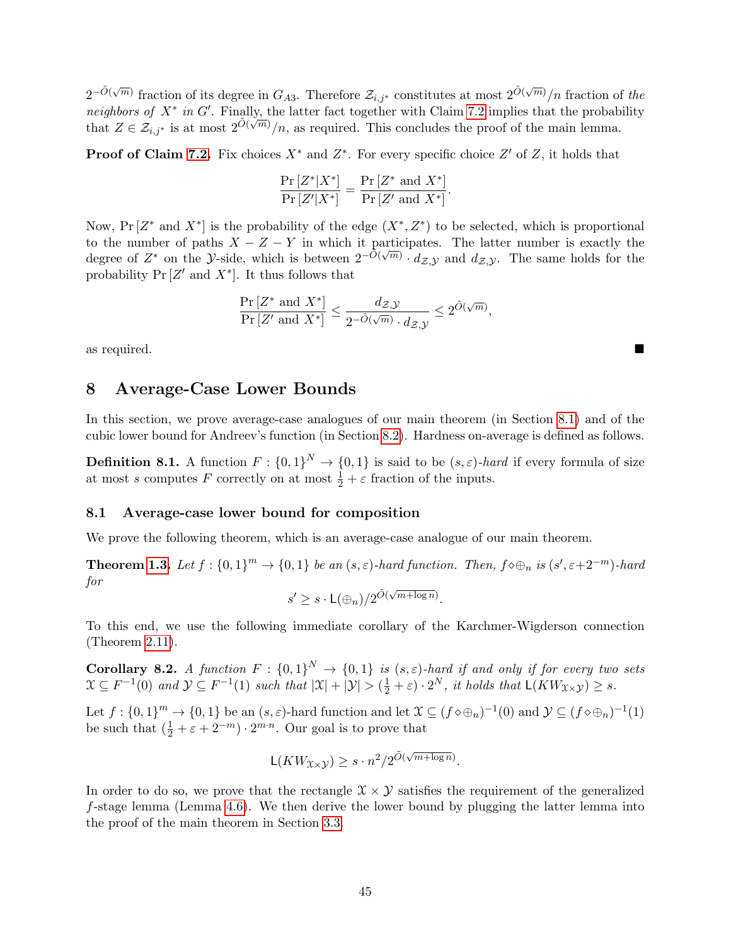$2^{-\tilde{O}(\sqrt{m})}$  fraction of its degree in  $G_{A3}$ . Therefore  $\mathcal{Z}_{i,j^*}$  constitutes at most  $2^{\tilde{O}(\sqrt{m})}/n$  fraction of the neighbors of  $X^*$  in G'. Finally, the latter fact together with Claim [7.2](#page-43-2) implies that the probability that  $Z \in \mathcal{Z}_{i,j^*}$  is at most  $2^{\tilde{O}(\sqrt{m})}/n$ , as required. This concludes the proof of the main lemma.

**Proof of Claim [7.2.](#page-43-2)** Fix choices  $X^*$  and  $Z^*$ . For every specific choice  $Z'$  of  $Z$ , it holds that

$$
\frac{\Pr\left[Z^*|X^*\right]}{\Pr\left[Z'|X^*\right]} = \frac{\Pr\left[Z^* \text{ and } X^*\right]}{\Pr\left[Z' \text{ and } X^*\right]}.
$$

Now,  $Pr[Z^* \text{ and } X^*]$  is the probability of the edge  $(X^*, Z^*)$  to be selected, which is proportional to the number of paths  $X - Z - Y$  in which it participates. The latter number is exactly the to the number of paths  $X = Z = T$  in which it participates. The factor number is exactly the degree of  $Z^*$  on the *y*-side, which is between  $2^{-\tilde{O}(\sqrt{m})} \cdot d_{\mathcal{Z},\mathcal{Y}}$  and  $d_{\mathcal{Z},\mathcal{Y}}$ . The same holds for the probability  $Pr[Z'$  and  $X^*]$ . It thus follows that

$$
\frac{\Pr\left[Z^*\text{ and }X^*\right]}{\Pr\left[Z'\text{ and }X^*\right]}\leq \frac{d_{\mathcal{Z},\mathcal{Y}}}{2^{-\tilde{O}(\sqrt{m})}\cdot d_{\mathcal{Z},\mathcal{Y}}}\leq 2^{\tilde{O}(\sqrt{m})},
$$

as required.

# <span id="page-44-0"></span>8 Average-Case Lower Bounds

In this section, we prove average-case analogues of our main theorem (in Section [8.1\)](#page-44-1) and of the cubic lower bound for Andreev's function (in Section [8.2\)](#page-45-0). Hardness on-average is defined as follows.

**Definition 8.1.** A function  $F: \{0,1\}^N \to \{0,1\}$  is said to be  $(s,\varepsilon)$ -hard if every formula of size at most s computes F correctly on at most  $\frac{1}{2} + \varepsilon$  fraction of the inputs.

#### <span id="page-44-1"></span>8.1 Average-case lower bound for composition

We prove the following theorem, which is an average-case analogue of our main theorem.

**Theorem [1.3.](#page-3-1)** Let  $f: \{0,1\}^m \to \{0,1\}$  be an  $(s,\varepsilon)$ -hard function. Then,  $f \diamond \bigoplus_n$  is  $(s', \varepsilon+2^{-m})$ -hard for √

$$
s' \geq s \cdot \mathsf{L}(\bigoplus_n) / 2^{\tilde{O}(\sqrt{m + \log n})}.
$$

To this end, we use the following immediate corollary of the Karchmer-Wigderson connection (Theorem [2.11\)](#page-9-3).

**Corollary 8.2.** A function  $F: \{0,1\}^N \to \{0,1\}$  is  $(s,\varepsilon)$ -hard if and only if for every two sets  $\mathfrak{X} \subseteq F^{-1}(0)$  and  $\mathcal{Y} \subseteq F^{-1}(1)$  such that  $|\mathfrak{X}| + |\mathcal{Y}| > (\frac{1}{2} + \varepsilon) \cdot 2^N$ , it holds that  $\mathsf{L}(KW_{\mathfrak{X}\times\mathcal{Y}}) \geq s$ .

Let  $f: \{0,1\}^m \to \{0,1\}$  be an  $(s,\varepsilon)$ -hard function and let  $\mathfrak{X} \subseteq (f \diamond \oplus_n)^{-1}(0)$  and  $\mathcal{Y} \subseteq (f \diamond \oplus_n)^{-1}(1)$ be such that  $(\frac{1}{2} + \varepsilon + 2^{-m}) \cdot 2^{m \cdot n}$ . Our goal is to prove that

$$
L(KW_{\mathfrak{X}\times\mathcal{Y}}) \ge s \cdot n^2/2^{\tilde{O}(\sqrt{m+\log n})}.
$$

In order to do so, we prove that the rectangle  $\mathcal{X} \times \mathcal{Y}$  satisfies the requirement of the generalized  $f$ -stage lemma (Lemma [4.6\)](#page-21-1). We then derive the lower bound by plugging the latter lemma into the proof of the main theorem in Section [3.3.](#page-16-0)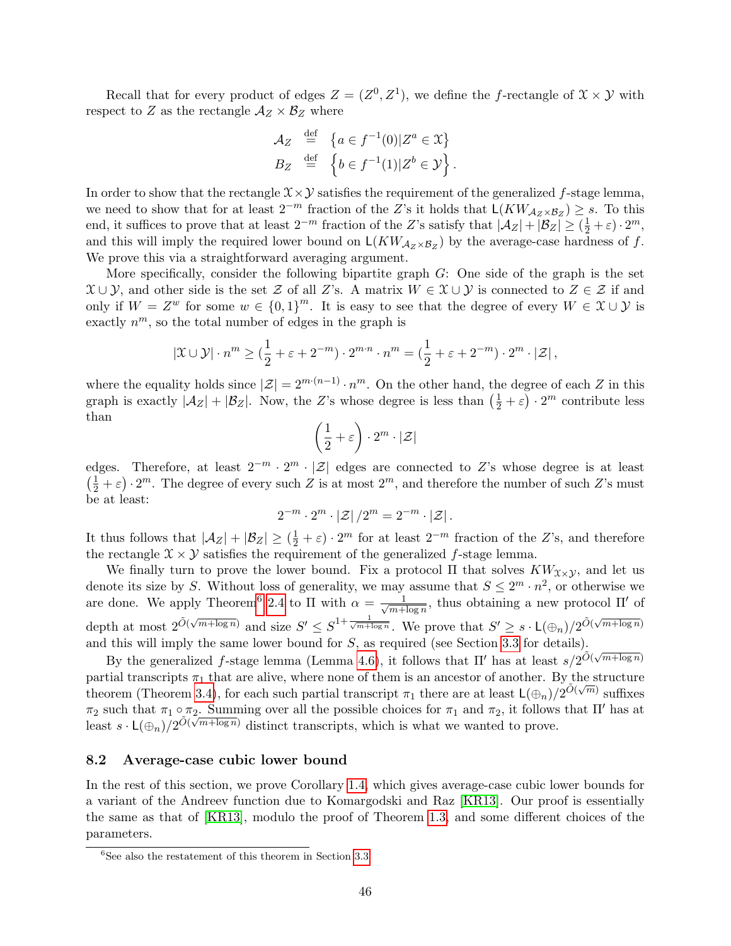Recall that for every product of edges  $Z = (Z^0, Z^1)$ , we define the f-rectangle of  $\mathfrak{X} \times \mathcal{Y}$  with respect to Z as the rectangle  $A_Z \times B_Z$  where

$$
\mathcal{A}_Z \stackrel{\text{def}}{=} \{ a \in f^{-1}(0) | Z^a \in \mathcal{X} \}
$$
  

$$
B_Z \stackrel{\text{def}}{=} \{ b \in f^{-1}(1) | Z^b \in \mathcal{Y} \}.
$$

In order to show that the rectangle  $\mathcal{X}\times\mathcal{Y}$  satisfies the requirement of the generalized f-stage lemma, we need to show that for at least  $2^{-m}$  fraction of the Z's it holds that  $\mathsf{L}(KW_{\mathcal{A}_Z\times\mathcal{B}_Z})\geq s$ . To this end, it suffices to prove that at least  $2^{-m}$  fraction of the Z's satisfy that  $|\mathcal{A}_Z| + |\mathcal{B}_Z| \geq (\frac{1}{2} + \varepsilon) \cdot 2^m$ , and this will imply the required lower bound on  $\mathsf{L}(KW_{\mathcal{A}_Z \times \mathcal{B}_Z})$  by the average-case hardness of f. We prove this via a straightforward averaging argument.

More specifically, consider the following bipartite graph  $G$ : One side of the graph is the set  $\mathcal{X} \cup \mathcal{Y}$ , and other side is the set Z of all Z's. A matrix  $W \in \mathcal{X} \cup \mathcal{Y}$  is connected to  $Z \in \mathcal{Z}$  if and only if  $W = Z^w$  for some  $w \in \{0,1\}^m$ . It is easy to see that the degree of every  $W \in \mathfrak{X} \cup \mathcal{Y}$  is exactly  $n^m$ , so the total number of edges in the graph is

$$
|\mathfrak{X} \cup \mathcal{Y}| \cdot n^m \geq (\frac{1}{2} + \varepsilon + 2^{-m}) \cdot 2^{m \cdot n} \cdot n^m = (\frac{1}{2} + \varepsilon + 2^{-m}) \cdot 2^m \cdot |\mathcal{Z}|,
$$

where the equality holds since  $|\mathcal{Z}| = 2^{m \cdot (n-1)} \cdot n^m$ . On the other hand, the degree of each Z in this graph is exactly  $|\mathcal{A}_Z| + |\mathcal{B}_Z|$ . Now, the Z's whose degree is less than  $(\frac{1}{2} + \varepsilon) \cdot 2^m$  contribute less than

$$
\left(\frac{1}{2} + \varepsilon\right) \cdot 2^m \cdot |\mathcal{Z}|
$$

edges. Therefore, at least  $2^{-m} \cdot 2^m \cdot |\mathcal{Z}|$  edges are connected to Z's whose degree is at least  $\left(\frac{1}{2} + \varepsilon\right) \cdot 2^m$ . The degree of every such Z is at most  $2^m$ , and therefore the number of such Z's must be at least:

$$
2^{-m} \cdot 2^m \cdot |\mathcal{Z}| / 2^m = 2^{-m} \cdot |\mathcal{Z}|.
$$

It thus follows that  $|\mathcal{A}_Z| + |\mathcal{B}_Z| \geq (\frac{1}{2} + \varepsilon) \cdot 2^m$  for at least  $2^{-m}$  fraction of the Z's, and therefore the rectangle  $\mathcal{X} \times \mathcal{Y}$  satisfies the requirement of the generalized f-stage lemma.

We finally turn to prove the lower bound. Fix a protocol  $\Pi$  that solves  $KW_{\chi\times{\cal Y}}$ , and let us denote its size by S. Without loss of generality, we may assume that  $S \leq 2^m \cdot n^2$ , or otherwise we are done. We apply Theorem<sup>[6](#page-45-1)</sup> [2.4](#page-8-1) to  $\Pi$  with  $\alpha = \frac{1}{\sqrt{m+1}}$  $\frac{1}{m + \log n}$ , thus obtaining a new protocol  $\Pi'$  of depth at most  $2^{\tilde{O}(\sqrt{m+\log n})}$  and size  $S' \leq S^{1+\frac{1}{\sqrt{m+\log n}}}$ . We prove that  $S' \geq s \cdot L(\bigoplus_n)/2^{\tilde{O}(\sqrt{m+\log n})}$ and this will imply the same lower bound for S, as required (see Section [3.3](#page-16-0) for details).

By the generalized f-stage lemma (Lemma [4.6\)](#page-21-1), it follows that  $\Pi'$  has at least  $s/2^{\tilde{O}(\sqrt{m+\log n})}$ partial transcripts  $\pi_1$  that are alive, where none of them is an ancestor of another. By the structure theorem (Theorem [3.4\)](#page-14-2), for each such partial transcript  $\pi_1$  there are at least  $\mathsf{L}(\oplus_n)/2^{\tilde{O}(\sqrt{m})}$  suffixes  $\pi_2$  such that  $\pi_1 \circ \pi_2$ . Summing over all the possible choices for  $\pi_1$  and  $\pi_2$ , it follows that  $\Pi'$  has at least  $s \cdot L(\bigoplus_n)/2^{\tilde{O}(\sqrt{m+\log n})}$  distinct transcripts, which is what we wanted to prove.

#### <span id="page-45-0"></span>8.2 Average-case cubic lower bound

In the rest of this section, we prove Corollary [1.4,](#page-3-2) which gives average-case cubic lower bounds for a variant of the Andreev function due to Komargodski and Raz [\[KR13\]](#page-52-14). Our proof is essentially the same as that of [\[KR13\]](#page-52-14), modulo the proof of Theorem [1.3,](#page-3-1) and some different choices of the parameters.

<span id="page-45-1"></span> ${}^{6}$ See also the restatement of this theorem in Section [3.3](#page-16-0)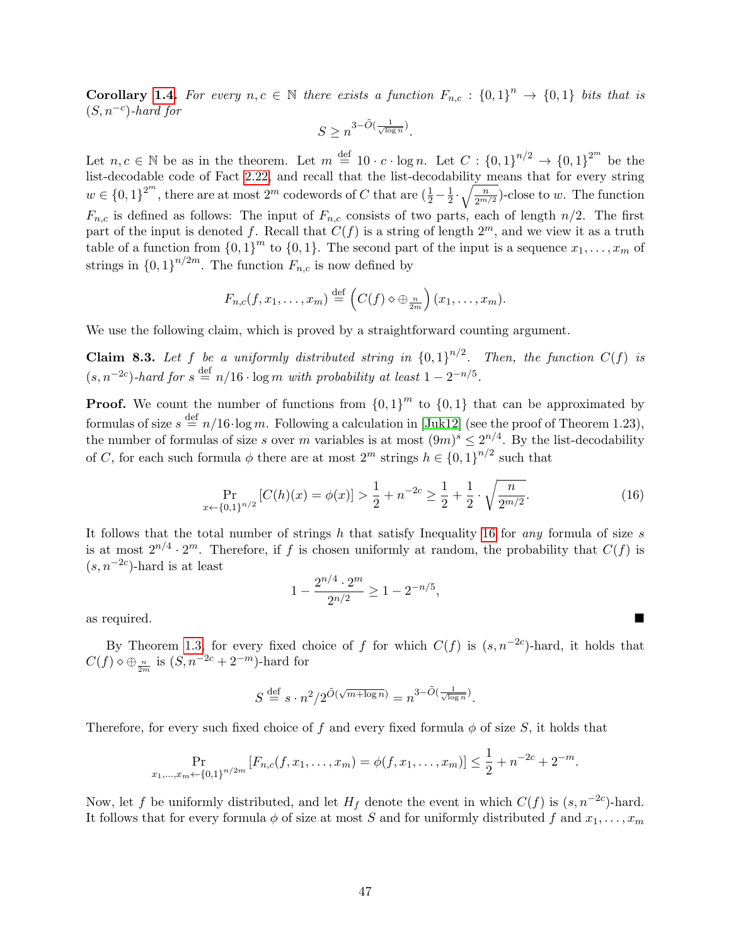**Corollary [1.4.](#page-3-2)** For every  $n, c \in \mathbb{N}$  there exists a function  $F_{n,c} : \{0,1\}^n \to \{0,1\}$  bits that is  $(S, n^{-c})$ -hard for

$$
S \ge n^{3-\tilde O(\frac{1}{\sqrt{\log n}})}.
$$

Let  $n, c \in \mathbb{N}$  be as in the theorem. Let  $m \stackrel{\text{def}}{=} 10 \cdot c \cdot \log n$ . Let  $C : \{0,1\}^{n/2} \to \{0,1\}^{2^m}$  be the list-decodable code of Fact [2.22,](#page-12-2) and recall that the list-decodability means that for every string  $w \in \{0,1\}^{2^m}$ , there are at most  $2^m$  codewords of C that are  $(\frac{1}{2} - \frac{1}{2})$  $\frac{1}{2} \cdot \sqrt{\frac{n}{2^{m/2}}}$ )-close to w. The function  $F_{n,c}$  is defined as follows: The input of  $F_{n,c}$  consists of two parts, each of length  $n/2$ . The first part of the input is denoted f. Recall that  $C(f)$  is a string of length  $2^m$ , and we view it as a truth table of a function from  $\{0,1\}^m$  to  $\{0,1\}$ . The second part of the input is a sequence  $x_1, \ldots, x_m$  of strings in  ${0,1}^{n/2m}$ . The function  $F_{n,c}$  is now defined by

$$
F_{n,c}(f,x_1,\ldots,x_m)\stackrel{\text{def}}{=} \left(C(f)\diamond\oplus_{\frac{n}{2m}}\right)(x_1,\ldots,x_m).
$$

<span id="page-46-1"></span>We use the following claim, which is proved by a straightforward counting argument.

**Claim 8.3.** Let f be a uniformly distributed string in  ${0,1}^{n/2}$ . Then, the function  $C(f)$  is  $(s, n^{-2c})$ -hard for  $s \stackrel{\text{def}}{=} n/16 \cdot \log m$  with probability at least  $1 - 2^{-n/5}$ .

**Proof.** We count the number of functions from  $\{0,1\}^m$  to  $\{0,1\}$  that can be approximated by formulas of size  $s \stackrel{\text{def}}{=} n/16 \cdot \log m$ . Following a calculation in [\[Juk12\]](#page-52-12) (see the proof of Theorem 1.23), the number of formulas of size s over m variables is at most  $(9m)^s \leq 2^{n/4}$ . By the list-decodability of C, for each such formula  $\phi$  there are at most  $2^m$  strings  $h \in \{0,1\}^{n/2}$  such that

<span id="page-46-0"></span>
$$
\Pr_{x \leftarrow \{0,1\}^{n/2}} \left[ C(h)(x) = \phi(x) \right] > \frac{1}{2} + n^{-2c} \ge \frac{1}{2} + \frac{1}{2} \cdot \sqrt{\frac{n}{2^{m/2}}}.\tag{16}
$$

,

It follows that the total number of strings h that satisfy Inequality [16](#page-46-0) for *any* formula of size s is at most  $2^{n/4} \cdot 2^m$ . Therefore, if f is chosen uniformly at random, the probability that  $C(f)$  is  $(s, n^{-2c})$ -hard is at least

$$
1 - \frac{2^{n/4} \cdot 2^m}{2^{n/2}} \ge 1 - 2^{-n/5}
$$

as required.

By Theorem [1.3,](#page-3-1) for every fixed choice of f for which  $C(f)$  is  $(s, n^{-2c})$ -hard, it holds that  $C(f) \diamond \bigoplus_{\frac{n}{2m}}$  is  $(S, n^{-2c} + 2^{-m})$ -hard for

$$
S \stackrel{\text{def}}{=} s \cdot n^2 / 2^{\tilde{O}(\sqrt{m + \log n})} = n^{3 - \tilde{O}(\frac{1}{\sqrt{\log n}})}.
$$

Therefore, for every such fixed choice of f and every fixed formula  $\phi$  of size S, it holds that

$$
\Pr_{x_1,\ldots,x_m \leftarrow \{0,1\}^{n/2m}} \left[ F_{n,c}(f,x_1,\ldots,x_m) = \phi(f,x_1,\ldots,x_m) \right] \le \frac{1}{2} + n^{-2c} + 2^{-m}.
$$

Now, let f be uniformly distributed, and let  $H_f$  denote the event in which  $C(f)$  is  $(s, n^{-2c})$ -hard. It follows that for every formula  $\phi$  of size at most S and for uniformly distributed f and  $x_1, \ldots, x_m$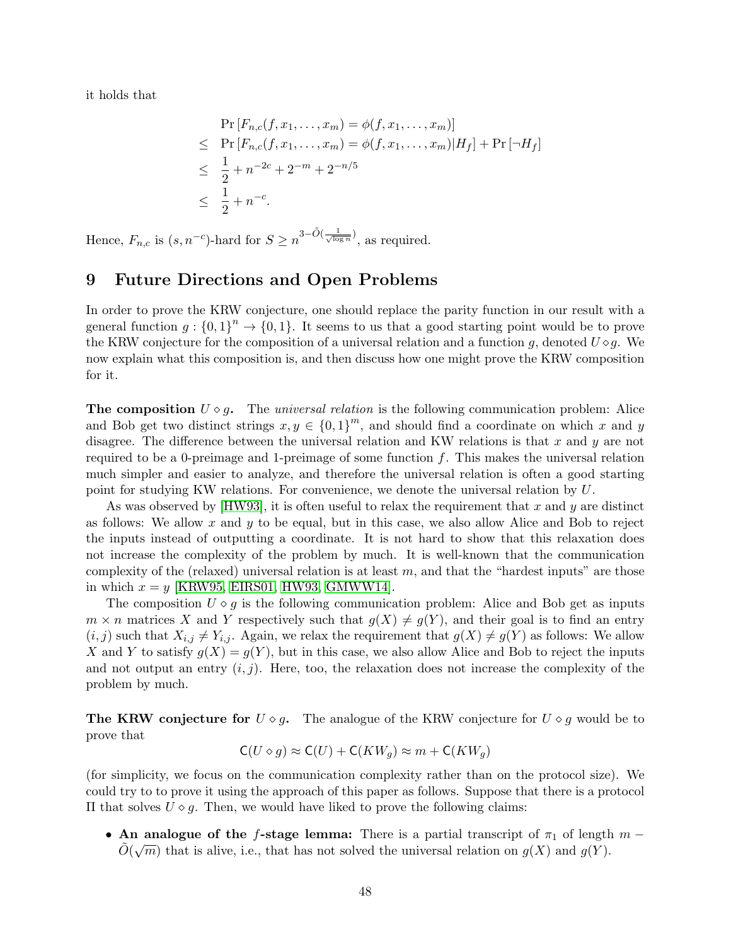it holds that

$$
\Pr[F_{n,c}(f, x_1, \dots, x_m) = \phi(f, x_1, \dots, x_m)]
$$
\n
$$
\leq \Pr[F_{n,c}(f, x_1, \dots, x_m) = \phi(f, x_1, \dots, x_m)|H_f] + \Pr[\neg H_f]
$$
\n
$$
\leq \frac{1}{2} + n^{-2c} + 2^{-m} + 2^{-n/5}
$$
\n
$$
\leq \frac{1}{2} + n^{-c}.
$$

Hence,  $F_{n,c}$  is  $(s, n^{-c})$ -hard for  $S \geq n^{3-\tilde{O}(\frac{1}{\sqrt{\log n}})}$ , as required.

# <span id="page-47-0"></span>9 Future Directions and Open Problems

In order to prove the KRW conjecture, one should replace the parity function in our result with a general function  $g: \{0,1\}^n \to \{0,1\}$ . It seems to us that a good starting point would be to prove the KRW conjecture for the composition of a universal relation and a function q, denoted  $U \diamond q$ . We now explain what this composition is, and then discuss how one might prove the KRW composition for it.

<span id="page-47-1"></span>The composition  $U \circ g$ . The universal relation is the following communication problem: Alice and Bob get two distinct strings  $x, y \in \{0,1\}^m$ , and should find a coordinate on which x and y disagree. The difference between the universal relation and KW relations is that x and y are not required to be a 0-preimage and 1-preimage of some function  $f$ . This makes the universal relation much simpler and easier to analyze, and therefore the universal relation is often a good starting point for studying KW relations. For convenience, we denote the universal relation by U.

As was observed by [\[HW93\]](#page-51-3), it is often useful to relax the requirement that x and y are distinct as follows: We allow x and  $y$  to be equal, but in this case, we also allow Alice and Bob to reject the inputs instead of outputting a coordinate. It is not hard to show that this relaxation does not increase the complexity of the problem by much. It is well-known that the communication complexity of the (relaxed) universal relation is at least  $m$ , and that the "hardest inputs" are those in which  $x = y$  [\[KRW95,](#page-52-0) [EIRS01,](#page-51-0) [HW93,](#page-51-3) [GMWW14\]](#page-51-4).

The composition  $U \circ q$  is the following communication problem: Alice and Bob get as inputs  $m \times n$  matrices X and Y respectively such that  $g(X) \neq g(Y)$ , and their goal is to find an entry  $(i, j)$  such that  $X_{i,j} \neq Y_{i,j}$ . Again, we relax the requirement that  $g(X) \neq g(Y)$  as follows: We allow X and Y to satisfy  $g(X) = g(Y)$ , but in this case, we also allow Alice and Bob to reject the inputs and not output an entry  $(i, j)$ . Here, too, the relaxation does not increase the complexity of the problem by much.

**The KRW conjecture for**  $U \circ g$ . The analogue of the KRW conjecture for  $U \circ g$  would be to prove that

$$
\mathsf{C}(U \diamond g) \approx \mathsf{C}(U) + \mathsf{C}(KW_g) \approx m + \mathsf{C}(KW_g)
$$

(for simplicity, we focus on the communication complexity rather than on the protocol size). We could try to to prove it using the approach of this paper as follows. Suppose that there is a protocol II that solves  $U \diamond g$ . Then, we would have liked to prove the following claims:

• An analogue of the f-stage lemma: There is a partial transcript of  $\pi_1$  of length  $m - \tilde{\gamma}$  ( $\pi$ )  $\tilde{O}(\sqrt{m})$  that is alive, i.e., that has not solved the universal relation on  $g(X)$  and  $g(Y)$ .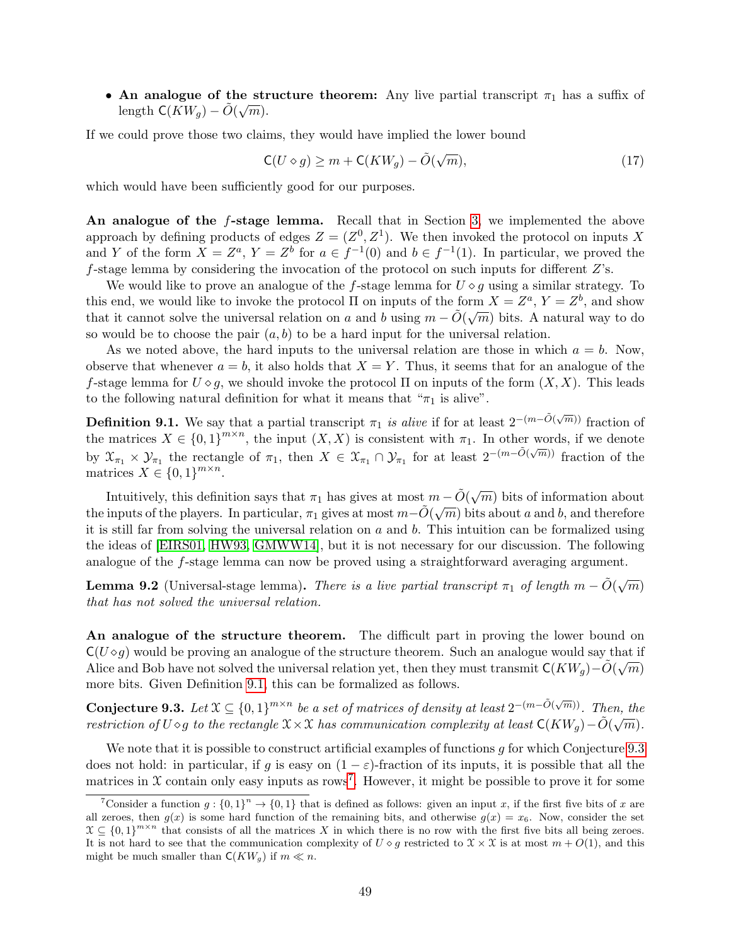• An analogue of the structure theorem: Any live partial transcript  $\pi_1$  has a suffix of length  $\mathsf{C}(KW_g)-\tilde{O}(\sqrt{m}).$ 

If we could prove those two claims, they would have implied the lower bound

$$
\mathsf{C}(U \diamond g) \ge m + \mathsf{C}(KW_g) - \tilde{O}(\sqrt{m}),\tag{17}
$$

which would have been sufficiently good for our purposes.

An analogue of the f-stage lemma. Recall that in Section [3,](#page-12-1) we implemented the above approach by defining products of edges  $Z = (Z^0, Z^1)$ . We then invoked the protocol on inputs X and Y of the form  $X = Z^a$ ,  $Y = Z^b$  for  $a \in f^{-1}(0)$  and  $b \in f^{-1}(1)$ . In particular, we proved the f-stage lemma by considering the invocation of the protocol on such inputs for different  $Z$ 's.

We would like to prove an analogue of the f-stage lemma for  $U \circ g$  using a similar strategy. To this end, we would like to invoke the protocol  $\Pi$  on inputs of the form  $X = Z^a$ ,  $Y = Z^b$ , and show that it cannot solve the universal relation on a and b using  $m - \tilde{O}(\sqrt{m})$  bits. A natural way to do so would be to choose the pair  $(a, b)$  to be a hard input for the universal relation.

As we noted above, the hard inputs to the universal relation are those in which  $a = b$ . Now, observe that whenever  $a = b$ , it also holds that  $X = Y$ . Thus, it seems that for an analogue of the f-stage lemma for  $U \circ g$ , we should invoke the protocol  $\Pi$  on inputs of the form  $(X, X)$ . This leads to the following natural definition for what it means that " $\pi_1$  is alive".

<span id="page-48-0"></span>**Definition 9.1.** We say that a partial transcript  $\pi_1$  is alive if for at least  $2^{-(m-\tilde{O}(\sqrt{m}))}$  fraction of the matrices  $X \in \{0,1\}^{m \times n}$ , the input  $(X,X)$  is consistent with  $\pi_1$ . In other words, if we denote by  $\mathfrak{X}_{\pi_1} \times \mathfrak{Y}_{\pi_1}$  the rectangle of  $\pi_1$ , then  $X \in \mathfrak{X}_{\pi_1} \cap \mathfrak{Y}_{\pi_1}$  for at least  $2^{-(m-\tilde{O}(\sqrt{m}))}$  fraction of the matrices  $X \in \{0,1\}^{m \times n}$ .

Intuitively, this definition says that  $\pi_1$  has gives at most  $m - \tilde{O}(\sqrt{m})$  bits of information about the inputs of the players. In particular,  $\pi_1$  gives at most  $m - \tilde{O}(\sqrt{m})$  bits about a and b, and therefore it is still far from solving the universal relation on  $a$  and  $b$ . This intuition can be formalized using the ideas of [\[EIRS01,](#page-51-0) [HW93,](#page-51-3) [GMWW14\]](#page-51-4), but it is not necessary for our discussion. The following analogue of the f-stage lemma can now be proved using a straightforward averaging argument.

<span id="page-48-3"></span>**Lemma 9.2** (Universal-stage lemma). There is a live partial transcript  $\pi_1$  of length  $m - \tilde{O}(\sqrt{m})$ that has not solved the universal relation.

An analogue of the structure theorem. The difficult part in proving the lower bound on  $C(U \diamond g)$  would be proving an analogue of the structure theorem. Such an analogue would say that if Alice and Bob have not solved the universal relation yet, then they must transmit  $\mathsf{C}(KW_g)-\tilde{O}(\sqrt{m})$ more bits. Given Definition [9.1,](#page-48-0) this can be formalized as follows.

<span id="page-48-1"></span>Conjecture 9.3. Let  $\mathfrak{X} \subseteq \{0,1\}^{m \times n}$  be a set of matrices of density at least  $2^{-(m-\tilde{O}(\sqrt{m}))}$ . Then, then restriction of U  $\diamond g$  to the rectangle  $\mathfrak X\times \mathfrak X$  has communication complexity at least  $\mathsf C(KW_g)-\tilde O(\sqrt{m}).$ 

We note that it is possible to construct artificial examples of functions  $q$  for which Conjecture [9.3](#page-48-1) does not hold: in particular, if g is easy on  $(1 - \varepsilon)$ -fraction of its inputs, it is possible that all the matrices in  $X$  contain only easy inputs as rows<sup>[7](#page-48-2)</sup>. However, it might be possible to prove it for some

<span id="page-48-2"></span><sup>&</sup>lt;sup>7</sup>Consider a function  $g: \{0,1\}^n \to \{0,1\}$  that is defined as follows: given an input x, if the first five bits of x are all zeroes, then  $q(x)$  is some hard function of the remaining bits, and otherwise  $q(x) = x_6$ . Now, consider the set  $X \subseteq \{0,1\}^{m \times n}$  that consists of all the matrices X in which there is no row with the first five bits all being zeroes. It is not hard to see that the communication complexity of  $U \circ g$  restricted to  $\mathfrak{X} \times \mathfrak{X}$  is at most  $m + O(1)$ , and this might be much smaller than  $\mathsf{C}(KW_a)$  if  $m \ll n$ .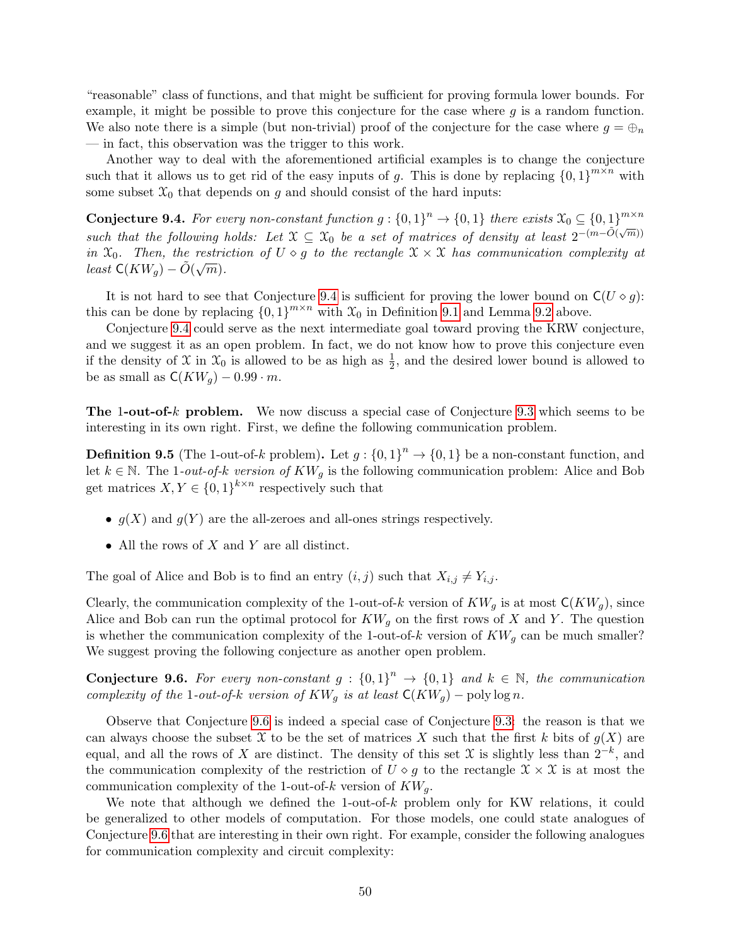"reasonable" class of functions, and that might be sufficient for proving formula lower bounds. For example, it might be possible to prove this conjecture for the case where  $g$  is a random function. We also note there is a simple (but non-trivial) proof of the conjecture for the case where  $g = \bigoplus_n$ — in fact, this observation was the trigger to this work.

Another way to deal with the aforementioned artificial examples is to change the conjecture such that it allows us to get rid of the easy inputs of g. This is done by replacing  ${0,1}^{m \times n}$  with some subset  $\mathfrak{X}_0$  that depends on g and should consist of the hard inputs:

<span id="page-49-0"></span>**Conjecture 9.4.** For every non-constant function  $g: \{0,1\}^n \to \{0,1\}$  there exists  $\mathfrak{X}_0 \subseteq \{0,1\}^{m \times n}$ such that the following holds: Let  $X \subseteq X_0$  be a set of matrices of density at least  $2^{-(m-\tilde{O}(\sqrt{m}))}$ in  $\mathfrak{X}_0$ . Then, the restriction of  $U \diamond g$  to the rectangle  $\mathfrak{X} \times \mathfrak{X}$  has communication complexity at least  $\mathsf{C}(KW_g)-\tilde{O}(\sqrt{m}).$ 

It is not hard to see that Conjecture [9.4](#page-49-0) is sufficient for proving the lower bound on  $C(U \diamond g)$ : this can be done by replacing  ${0,1}^{m \times n}$  with  $\mathfrak{X}_0$  in Definition [9.1](#page-48-0) and Lemma [9.2](#page-48-3) above.

Conjecture [9.4](#page-49-0) could serve as the next intermediate goal toward proving the KRW conjecture, and we suggest it as an open problem. In fact, we do not know how to prove this conjecture even if the density of X in  $\mathfrak{X}_0$  is allowed to be as high as  $\frac{1}{2}$ , and the desired lower bound is allowed to be as small as  $C(KW_g) - 0.99 \cdot m$ .

**The 1-out-of-k problem.** We now discuss a special case of Conjecture [9.3](#page-48-1) which seems to be interesting in its own right. First, we define the following communication problem.

**Definition 9.5** (The 1-out-of-k problem). Let  $g: \{0,1\}^n \to \{0,1\}$  be a non-constant function, and let  $k \in \mathbb{N}$ . The 1-out-of-k version of  $KW_g$  is the following communication problem: Alice and Bob get matrices  $X, Y \in \{0,1\}^{k \times n}$  respectively such that

- $g(X)$  and  $g(Y)$  are the all-zeroes and all-ones strings respectively.
- All the rows of  $X$  and  $Y$  are all distinct.

The goal of Alice and Bob is to find an entry  $(i, j)$  such that  $X_{i,j} \neq Y_{i,j}$ .

Clearly, the communication complexity of the 1-out-of-k version of  $KW_q$  is at most  $C(KW_q)$ , since Alice and Bob can run the optimal protocol for  $KW_q$  on the first rows of X and Y. The question is whether the communication complexity of the 1-out-of-k version of  $KW_q$  can be much smaller? We suggest proving the following conjecture as another open problem.

<span id="page-49-1"></span>**Conjecture 9.6.** For every non-constant  $g: \{0,1\}^n \rightarrow \{0,1\}$  and  $k \in \mathbb{N}$ , the communication complexity of the 1-out-of-k version of  $KW_a$  is at least  $\mathsf{C}(KW_a)$  – poly log n.

Observe that Conjecture [9.6](#page-49-1) is indeed a special case of Conjecture [9.3:](#page-48-1) the reason is that we can always choose the subset X to be the set of matrices X such that the first k bits of  $q(X)$  are equal, and all the rows of X are distinct. The density of this set X is slightly less than  $2^{-k}$ , and the communication complexity of the restriction of  $U \diamond q$  to the rectangle  $\mathfrak{X} \times \mathfrak{X}$  is at most the communication complexity of the 1-out-of-k version of  $KW_q$ .

<span id="page-49-2"></span>We note that although we defined the 1-out-of- $k$  problem only for KW relations, it could be generalized to other models of computation. For those models, one could state analogues of Conjecture [9.6](#page-49-1) that are interesting in their own right. For example, consider the following analogues for communication complexity and circuit complexity: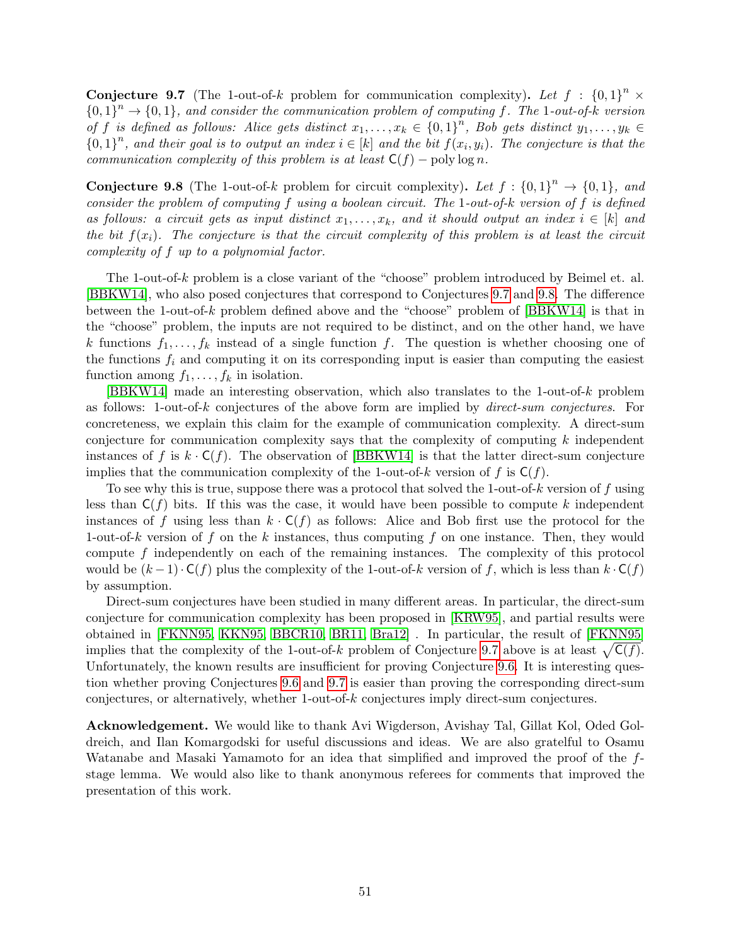**Conjecture 9.7** (The 1-out-of-k problem for communication complexity). Let  $f : \{0,1\}^n \times$  ${0,1}^n \rightarrow {0,1}$ , and consider the communication problem of computing f. The 1-out-of-k version of f is defined as follows: Alice gets distinct  $x_1, \ldots, x_k \in \{0,1\}^n$ , Bob gets distinct  $y_1, \ldots, y_k \in$  ${0,1}^n$ , and their goal is to output an index  $i \in [k]$  and the bit  $f(x_i, y_i)$ . The conjecture is that the communication complexity of this problem is at least  $C(f)$  – poly log n.

<span id="page-50-0"></span>**Conjecture 9.8** (The 1-out-of-k problem for circuit complexity). Let  $f : \{0,1\}^n \rightarrow \{0,1\}$ , and consider the problem of computing f using a boolean circuit. The 1-out-of-k version of f is defined as follows: a circuit gets as input distinct  $x_1, \ldots, x_k$ , and it should output an index  $i \in [k]$  and the bit  $f(x_i)$ . The conjecture is that the circuit complexity of this problem is at least the circuit complexity of f up to a polynomial factor.

The 1-out-of-k problem is a close variant of the "choose" problem introduced by Beimel et. al. [\[BBKW14\]](#page-51-11), who also posed conjectures that correspond to Conjectures [9.7](#page-49-2) and [9.8.](#page-50-0) The difference between the 1-out-of-k problem defined above and the "choose" problem of  $[B B K W 14]$  is that in the "choose" problem, the inputs are not required to be distinct, and on the other hand, we have k functions  $f_1, \ldots, f_k$  instead of a single function f. The question is whether choosing one of the functions  $f_i$  and computing it on its corresponding input is easier than computing the easiest function among  $f_1, \ldots, f_k$  in isolation.

[\[BBKW14\]](#page-51-11) made an interesting observation, which also translates to the 1-out-of-k problem as follows: 1-out-of-k conjectures of the above form are implied by direct-sum conjectures. For concreteness, we explain this claim for the example of communication complexity. A direct-sum conjecture for communication complexity says that the complexity of computing k independent instances of f is  $k \cdot C(f)$ . The observation of [\[BBKW14\]](#page-51-11) is that the latter direct-sum conjecture implies that the communication complexity of the 1-out-of-k version of f is  $C(f)$ .

To see why this is true, suppose there was a protocol that solved the 1-out-of-k version of f using less than  $C(f)$  bits. If this was the case, it would have been possible to compute k independent instances of f using less than  $k \cdot C(f)$  as follows: Alice and Bob first use the protocol for the 1-out-of-k version of f on the k instances, thus computing f on one instance. Then, they would compute f independently on each of the remaining instances. The complexity of this protocol would be  $(k-1)\cdot C(f)$  plus the complexity of the 1-out-of-k version of f, which is less than  $k\cdot C(f)$ by assumption.

Direct-sum conjectures have been studied in many different areas. In particular, the direct-sum conjecture for communication complexity has been proposed in [\[KRW95\]](#page-52-0), and partial results were obtained in [\[FKNN95,](#page-51-12) [KKN95,](#page-52-8) [BBCR10,](#page-51-13) [BR11,](#page-51-10) [Bra12\]](#page-51-14) . In particular, the result of [\[FKNN95\]](#page-51-12) implies that the complexity of the 1-out-of-k problem of Conjecture [9.7](#page-49-2) above is at least  $\sqrt{C(f)}$ . Unfortunately, the known results are insufficient for proving Conjecture [9.6.](#page-49-1) It is interesting question whether proving Conjectures [9.6](#page-49-1) and [9.7](#page-49-2) is easier than proving the corresponding direct-sum conjectures, or alternatively, whether 1-out-of-k conjectures imply direct-sum conjectures.

Acknowledgement. We would like to thank Avi Wigderson, Avishay Tal, Gillat Kol, Oded Goldreich, and Ilan Komargodski for useful discussions and ideas. We are also gratelful to Osamu Watanabe and Masaki Yamamoto for an idea that simplified and improved the proof of the fstage lemma. We would also like to thank anonymous referees for comments that improved the presentation of this work.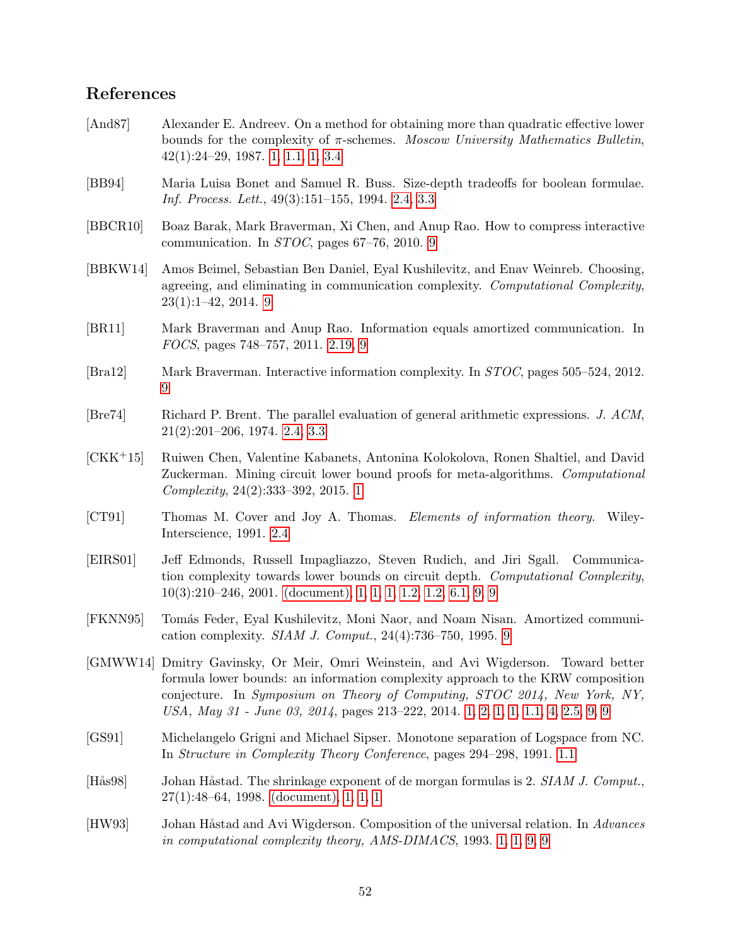# References

- <span id="page-51-2"></span>[And87] Alexander E. Andreev. On a method for obtaining more than quadratic effective lower bounds for the complexity of  $\pi$ -schemes. Moscow University Mathematics Bulletin, 42(1):24–29, 1987. [1,](#page-2-0) [1.1,](#page-2-3) [1,](#page-3-0) [3.4](#page-17-0)
- <span id="page-51-7"></span>[BB94] Maria Luisa Bonet and Samuel R. Buss. Size-depth tradeoffs for boolean formulae. Inf. Process. Lett., 49(3):151–155, 1994. [2.4,](#page-8-1) [3.3](#page-16-1)
- <span id="page-51-13"></span>[BBCR10] Boaz Barak, Mark Braverman, Xi Chen, and Anup Rao. How to compress interactive communication. In STOC, pages 67–76, 2010. [9](#page-50-0)
- <span id="page-51-11"></span>[BBKW14] Amos Beimel, Sebastian Ben Daniel, Eyal Kushilevitz, and Enav Weinreb. Choosing, agreeing, and eliminating in communication complexity. Computational Complexity, 23(1):1–42, 2014. [9](#page-50-0)
- <span id="page-51-10"></span>[BR11] Mark Braverman and Anup Rao. Information equals amortized communication. In FOCS, pages 748–757, 2011. [2.19,](#page-11-1) [9](#page-50-0)
- <span id="page-51-14"></span>[Bra12] Mark Braverman. Interactive information complexity. In STOC, pages 505–524, 2012. [9](#page-50-0)
- <span id="page-51-8"></span>[Bre74] Richard P. Brent. The parallel evaluation of general arithmetic expressions. J. ACM, 21(2):201–206, 1974. [2.4,](#page-8-1) [3.3](#page-16-1)
- <span id="page-51-5"></span>[CKK+15] Ruiwen Chen, Valentine Kabanets, Antonina Kolokolova, Ronen Shaltiel, and David Zuckerman. Mining circuit lower bound proofs for meta-algorithms. Computational Complexity, 24(2):333–392, 2015. [1](#page-3-3)
- <span id="page-51-9"></span>[CT91] Thomas M. Cover and Joy A. Thomas. Elements of information theory. Wiley-Interscience, 1991. [2.4](#page-10-0)
- <span id="page-51-0"></span>[EIRS01] Jeff Edmonds, Russell Impagliazzo, Steven Rudich, and Jiri Sgall. Communication complexity towards lower bounds on circuit depth. Computational Complexity, 10(3):210–246, 2001. [\(document\),](#page-0-0) [1,](#page-2-0) [1,](#page-2-4) [1,](#page-3-0) [1.2,](#page-4-1) [1.2,](#page-5-0) [6.1,](#page-23-1) [9,](#page-47-1) [9](#page-48-0)
- <span id="page-51-12"></span>[FKNN95] Tom´as Feder, Eyal Kushilevitz, Moni Naor, and Noam Nisan. Amortized communication complexity. SIAM J. Comput., 24(4):736–750, 1995. [9](#page-50-0)
- <span id="page-51-4"></span>[GMWW14] Dmitry Gavinsky, Or Meir, Omri Weinstein, and Avi Wigderson. Toward better formula lower bounds: an information complexity approach to the KRW composition conjecture. In Symposium on Theory of Computing, STOC 2014, New York, NY, USA, May 31 - June 03, 2014, pages 213–222, 2014. [1,](#page-2-0) [2,](#page-2-2) [1,](#page-2-4) [1,](#page-3-0) [1.1,](#page-4-2) [4,](#page-9-2) [2.5,](#page-11-2) [9,](#page-47-1) [9](#page-48-0)
- <span id="page-51-6"></span>[GS91] Michelangelo Grigni and Michael Sipser. Monotone separation of Logspace from NC. In Structure in Complexity Theory Conference, pages 294–298, 1991. [1.1](#page-4-2)
- <span id="page-51-1"></span>[Hås98] Johan Håstad. The shrinkage exponent of de morgan formulas is 2. SIAM J. Comput., 27(1):48–64, 1998. [\(document\),](#page-0-0) [1,](#page-2-0) [1,](#page-2-3) [1](#page-3-0)
- <span id="page-51-3"></span>[HW93] Johan Håstad and Avi Wigderson. Composition of the universal relation. In Advances in computational complexity theory, AMS-DIMACS, 1993. [1,](#page-2-0) [1,](#page-2-4) [9,](#page-47-1) [9](#page-48-0)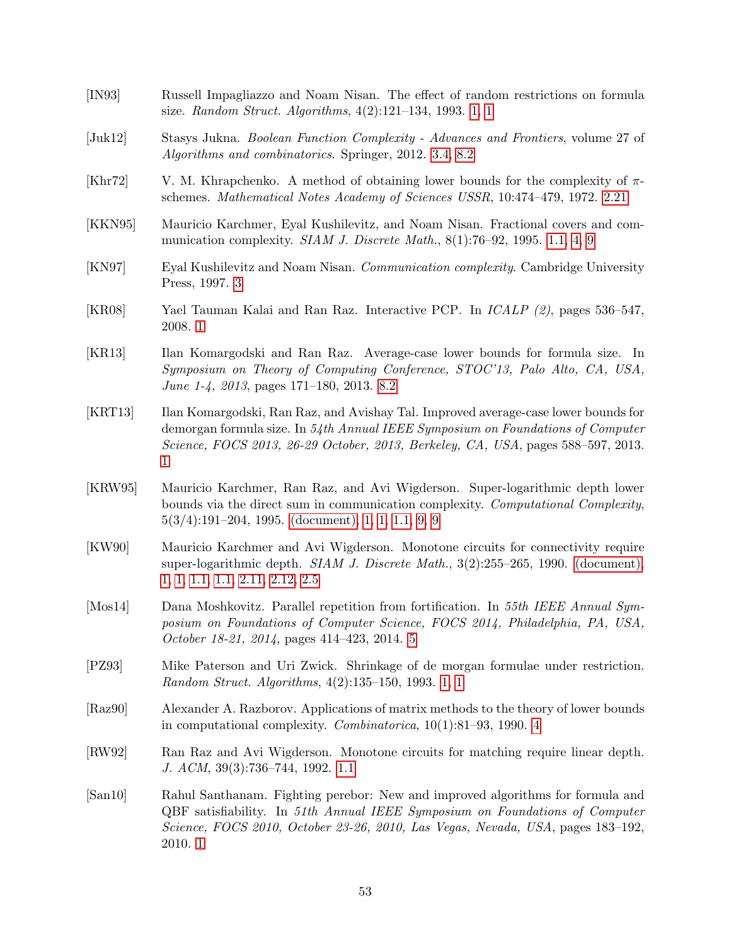<span id="page-52-14"></span><span id="page-52-13"></span><span id="page-52-12"></span><span id="page-52-11"></span><span id="page-52-10"></span><span id="page-52-9"></span><span id="page-52-8"></span><span id="page-52-7"></span><span id="page-52-6"></span><span id="page-52-5"></span><span id="page-52-4"></span><span id="page-52-3"></span><span id="page-52-2"></span><span id="page-52-1"></span><span id="page-52-0"></span>[IN93] Russell Impagliazzo and Noam Nisan. The effect of random restrictions on formula size. Random Struct. Algorithms, 4(2):121–134, 1993. [1,](#page-2-0) [1](#page-3-0) [Juk12] Stasys Jukna. Boolean Function Complexity - Advances and Frontiers, volume 27 of Algorithms and combinatorics. Springer, 2012. [3.4,](#page-17-0) [8.2](#page-46-1) [Khr72] V. M. Khrapchenko. A method of obtaining lower bounds for the complexity of  $\pi$ schemes. Mathematical Notes Academy of Sciences USSR, 10:474–479, 1972. [2.21](#page-11-4) [KKN95] Mauricio Karchmer, Eyal Kushilevitz, and Noam Nisan. Fractional covers and communication complexity. SIAM J. Discrete Math.,  $8(1)$ :76–92, 1995. [1.1,](#page-4-2) [4,](#page-9-2) [9](#page-50-0) [KN97] Eyal Kushilevitz and Noam Nisan. Communication complexity. Cambridge University Press, 1997. [3](#page-9-1) [KR08] Yael Tauman Kalai and Ran Raz. Interactive PCP. In ICALP (2), pages 536–547, 2008. [1](#page-3-3) [KR13] Ilan Komargodski and Ran Raz. Average-case lower bounds for formula size. In Symposium on Theory of Computing Conference, STOC'13, Palo Alto, CA, USA, June 1-4, 2013, pages 171–180, 2013. [8.2](#page-45-0) [KRT13] Ilan Komargodski, Ran Raz, and Avishay Tal. Improved average-case lower bounds for demorgan formula size. In 54th Annual IEEE Symposium on Foundations of Computer Science, FOCS 2013, 26-29 October, 2013, Berkeley, CA, USA, pages 588–597, 2013. [1](#page-3-3) [KRW95] Mauricio Karchmer, Ran Raz, and Avi Wigderson. Super-logarithmic depth lower bounds via the direct sum in communication complexity. Computational Complexity, 5(3/4):191–204, 1995. [\(document\),](#page-0-0) [1,](#page-2-0) [1,](#page-2-4) [1.1,](#page-4-2) [9,](#page-47-1) [9](#page-50-0) [KW90] Mauricio Karchmer and Avi Wigderson. Monotone circuits for connectivity require super-logarithmic depth. *SIAM J. Discrete Math.*, 3(2):255–265, 1990. [\(document\),](#page-0-0) [1,](#page-2-3) [1,](#page-3-4) [1.1,](#page-4-0) [1.1,](#page-4-2) [2.11,](#page-9-3) [2.12,](#page-9-4) [2.5](#page-11-2) [Mos14] Dana Moshkovitz. Parallel repetition from fortification. In 55th IEEE Annual Symposium on Foundations of Computer Science, FOCS 2014, Philadelphia, PA, USA, October 18-21, 2014, pages 414–423, 2014. [5](#page-28-1) [PZ93] Mike Paterson and Uri Zwick. Shrinkage of de morgan formulae under restriction. Random Struct. Algorithms, 4(2):135–150, 1993. [1,](#page-2-0) [1](#page-3-0) [Raz90] Alexander A. Razborov. Applications of matrix methods to the theory of lower bounds in computational complexity. Combinatorica, 10(1):81–93, 1990. [4](#page-9-2) [RW92] Ran Raz and Avi Wigderson. Monotone circuits for matching require linear depth. J. ACM, 39(3):736–744, 1992. [1.1](#page-4-2) [San10] Rahul Santhanam. Fighting perebor: New and improved algorithms for formula and QBF satisfiability. In 51th Annual IEEE Symposium on Foundations of Computer Science, FOCS 2010, October 23-26, 2010, Las Vegas, Nevada, USA, pages 183–192, 2010. [1](#page-3-3)